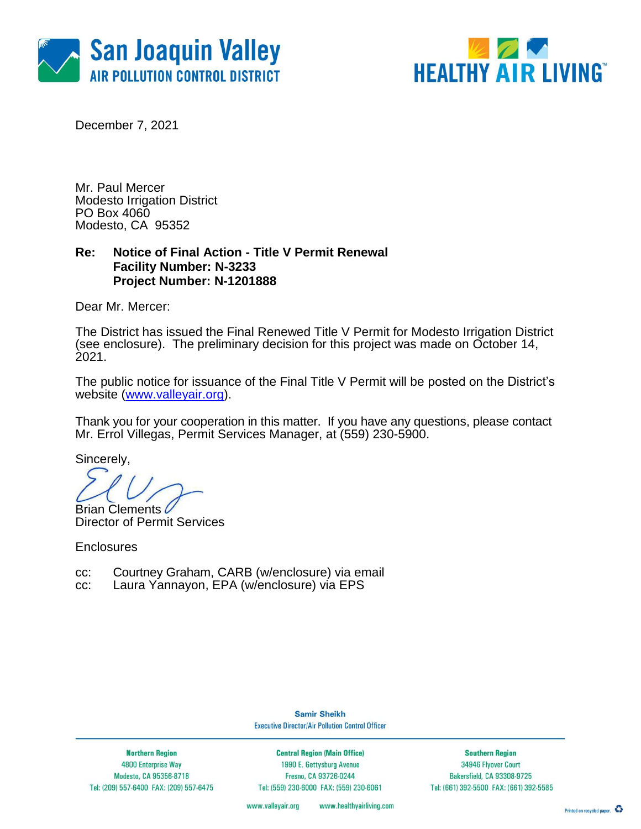



December 7, 2021

Mr. Paul Mercer Modesto Irrigation District PO Box 4060 Modesto, CA 95352

### **Re: Notice of Final Action - Title V Permit Renewal Facility Number: N-3233 Project Number: N-1201888**

Dear Mr. Mercer:

The District has issued the Final Renewed Title V Permit for Modesto Irrigation District (see enclosure). The preliminary decision for this project was made on October 14, 2021.

The public notice for issuance of the Final Title V Permit will be posted on the District's website [\(www.valleyair.org\)](http://www.valleyair.org/).

Thank you for your cooperation in this matter. If you have any questions, please contact Mr. Errol Villegas, Permit Services Manager, at (559) 230-5900.

Sincerely,

Brian Clements C Director of Permit Services

**Enclosures** 

- cc: Courtney Graham, CARB (w/enclosure) via email
- cc: Laura Yannayon, EPA (w/enclosure) via EPS

**Samir Sheikh Executive Director/Air Pollution Control Officer** 

**Northern Region** 4800 Enterprise Way Modesto, CA 95356-8718 Tel: (209) 557-6400 FAX: (209) 557-6475

**Central Region (Main Office)** 1990 E. Gettysburg Avenue Fresno, CA 93726-0244 Tel: (559) 230-6000 FAX: (559) 230-6061

**Southern Region** 34946 Flyover Court Bakersfield, CA 93308-9725 Tel: (661) 392-5500 FAX: (661) 392-5585

www.valleyair.org www.healthyairliving.com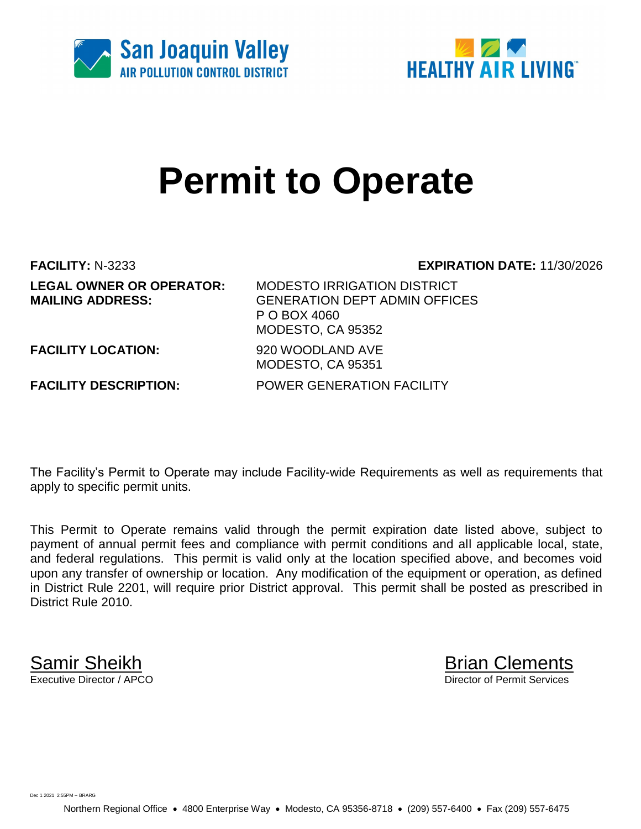



# **Permit to Operate**

**FACILITY:** N-3233 **EXPIRATION DATE:** 11/30/2026

**LEGAL OWNER OR OPERATOR:** MODESTO IRRIGATION DISTRICT **MAILING ADDRESS:** GENERATION DEPT ADMIN OFFICES P O BOX 4060 MODESTO, CA 95352

**FACILITY LOCATION:** 920 WOODLAND AVE

**FACILITY DESCRIPTION:** POWER GENERATION FACILITY

The Facility's Permit to Operate may include Facility-wide Requirements as well as requirements that apply to specific permit units.

MODESTO, CA 95351

This Permit to Operate remains valid through the permit expiration date listed above, subject to payment of annual permit fees and compliance with permit conditions and all applicable local, state, and federal regulations. This permit is valid only at the location specified above, and becomes void upon any transfer of ownership or location. Any modification of the equipment or operation, as defined in District Rule 2201, will require prior District approval. This permit shall be posted as prescribed in District Rule 2010.

**Samir Sheikh**<br>Executive Director / APCO

Director of Permit Services

Dec 1 2021 2:55PM -- BRARG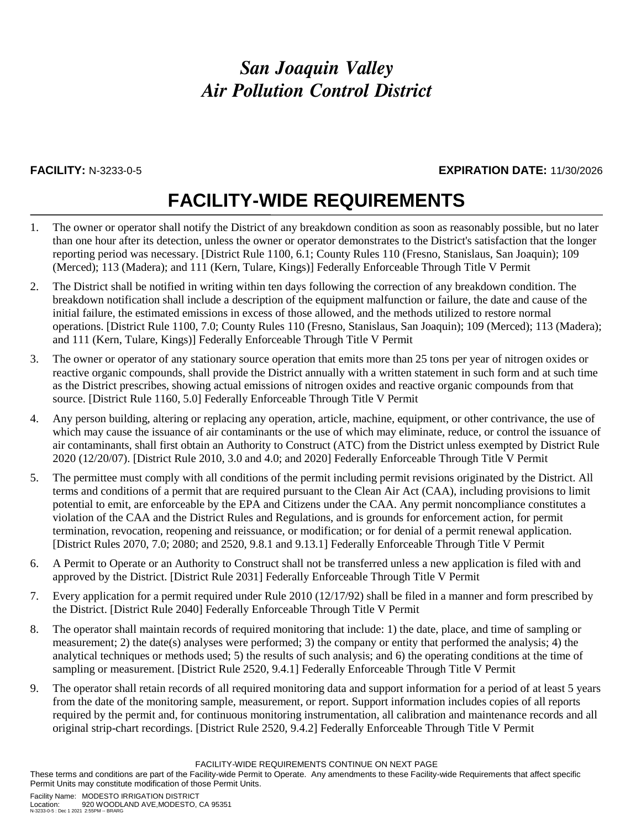### **FACILITY:** N-3233-0-5 **EXPIRATION DATE:** 11/30/2026

## **FACILITY-WIDE REQUIREMENTS**

- 1. The owner or operator shall notify the District of any breakdown condition as soon as reasonably possible, but no later than one hour after its detection, unless the owner or operator demonstrates to the District's satisfaction that the longer reporting period was necessary. [District Rule 1100, 6.1; County Rules 110 (Fresno, Stanislaus, San Joaquin); 109 (Merced); 113 (Madera); and 111 (Kern, Tulare, Kings)] Federally Enforceable Through Title V Permit
- 2. The District shall be notified in writing within ten days following the correction of any breakdown condition. The breakdown notification shall include a description of the equipment malfunction or failure, the date and cause of the initial failure, the estimated emissions in excess of those allowed, and the methods utilized to restore normal operations. [District Rule 1100, 7.0; County Rules 110 (Fresno, Stanislaus, San Joaquin); 109 (Merced); 113 (Madera); and 111 (Kern, Tulare, Kings)] Federally Enforceable Through Title V Permit
- 3. The owner or operator of any stationary source operation that emits more than 25 tons per year of nitrogen oxides or reactive organic compounds, shall provide the District annually with a written statement in such form and at such time as the District prescribes, showing actual emissions of nitrogen oxides and reactive organic compounds from that source. [District Rule 1160, 5.0] Federally Enforceable Through Title V Permit
- 4. Any person building, altering or replacing any operation, article, machine, equipment, or other contrivance, the use of which may cause the issuance of air contaminants or the use of which may eliminate, reduce, or control the issuance of air contaminants, shall first obtain an Authority to Construct (ATC) from the District unless exempted by District Rule 2020 (12/20/07). [District Rule 2010, 3.0 and 4.0; and 2020] Federally Enforceable Through Title V Permit
- 5. The permittee must comply with all conditions of the permit including permit revisions originated by the District. All terms and conditions of a permit that are required pursuant to the Clean Air Act (CAA), including provisions to limit potential to emit, are enforceable by the EPA and Citizens under the CAA. Any permit noncompliance constitutes a violation of the CAA and the District Rules and Regulations, and is grounds for enforcement action, for permit termination, revocation, reopening and reissuance, or modification; or for denial of a permit renewal application. [District Rules 2070, 7.0; 2080; and 2520, 9.8.1 and 9.13.1] Federally Enforceable Through Title V Permit
- 6. A Permit to Operate or an Authority to Construct shall not be transferred unless a new application is filed with and approved by the District. [District Rule 2031] Federally Enforceable Through Title V Permit
- 7. Every application for a permit required under Rule 2010 (12/17/92) shall be filed in a manner and form prescribed by the District. [District Rule 2040] Federally Enforceable Through Title V Permit
- 8. The operator shall maintain records of required monitoring that include: 1) the date, place, and time of sampling or measurement; 2) the date(s) analyses were performed; 3) the company or entity that performed the analysis; 4) the analytical techniques or methods used; 5) the results of such analysis; and 6) the operating conditions at the time of sampling or measurement. [District Rule 2520, 9.4.1] Federally Enforceable Through Title V Permit
- 9. The operator shall retain records of all required monitoring data and support information for a period of at least 5 years from the date of the monitoring sample, measurement, or report. Support information includes copies of all reports required by the permit and, for continuous monitoring instrumentation, all calibration and maintenance records and all original strip-chart recordings. [District Rule 2520, 9.4.2] Federally Enforceable Through Title V Permit

FACILITY-WIDE REQUIREMENTS CONTINUE ON NEXT PAGE

These terms and conditions are part of the Facility-wide Permit to Operate. Any amendments to these Facility-wide Requirements that affect specific Permit Units may constitute modification of those Permit Units.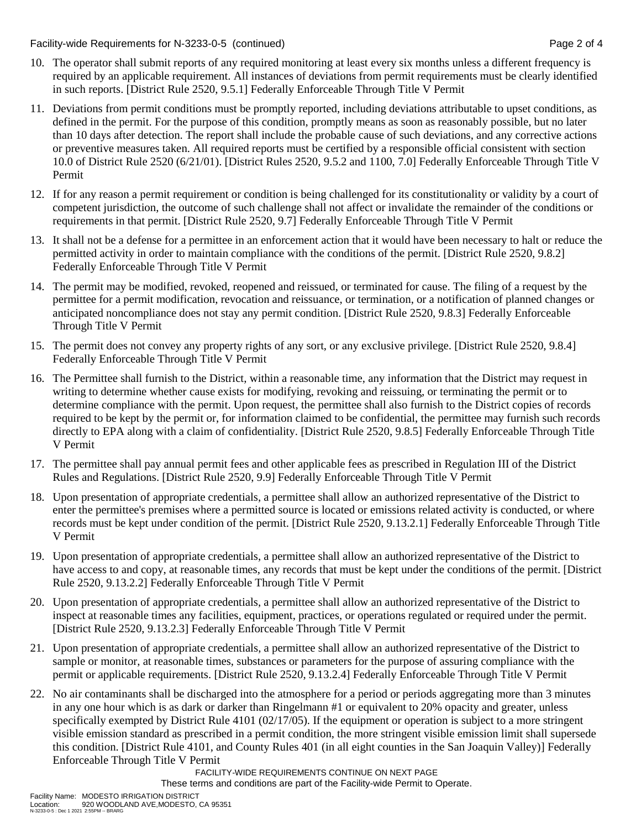Facility-wide Requirements for N-3233-0-5 (continued) Page 2 of 4

- 10. The operator shall submit reports of any required monitoring at least every six months unless a different frequency is required by an applicable requirement. All instances of deviations from permit requirements must be clearly identified in such reports. [District Rule 2520, 9.5.1] Federally Enforceable Through Title V Permit
- 11. Deviations from permit conditions must be promptly reported, including deviations attributable to upset conditions, as defined in the permit. For the purpose of this condition, promptly means as soon as reasonably possible, but no later than 10 days after detection. The report shall include the probable cause of such deviations, and any corrective actions or preventive measures taken. All required reports must be certified by a responsible official consistent with section 10.0 of District Rule 2520 (6/21/01). [District Rules 2520, 9.5.2 and 1100, 7.0] Federally Enforceable Through Title V Permit
- 12. If for any reason a permit requirement or condition is being challenged for its constitutionality or validity by a court of competent jurisdiction, the outcome of such challenge shall not affect or invalidate the remainder of the conditions or requirements in that permit. [District Rule 2520, 9.7] Federally Enforceable Through Title V Permit
- 13. It shall not be a defense for a permittee in an enforcement action that it would have been necessary to halt or reduce the permitted activity in order to maintain compliance with the conditions of the permit. [District Rule 2520, 9.8.2] Federally Enforceable Through Title V Permit
- 14. The permit may be modified, revoked, reopened and reissued, or terminated for cause. The filing of a request by the permittee for a permit modification, revocation and reissuance, or termination, or a notification of planned changes or anticipated noncompliance does not stay any permit condition. [District Rule 2520, 9.8.3] Federally Enforceable Through Title V Permit
- 15. The permit does not convey any property rights of any sort, or any exclusive privilege. [District Rule 2520, 9.8.4] Federally Enforceable Through Title V Permit
- 16. The Permittee shall furnish to the District, within a reasonable time, any information that the District may request in writing to determine whether cause exists for modifying, revoking and reissuing, or terminating the permit or to determine compliance with the permit. Upon request, the permittee shall also furnish to the District copies of records required to be kept by the permit or, for information claimed to be confidential, the permittee may furnish such records directly to EPA along with a claim of confidentiality. [District Rule 2520, 9.8.5] Federally Enforceable Through Title V Permit
- 17. The permittee shall pay annual permit fees and other applicable fees as prescribed in Regulation III of the District Rules and Regulations. [District Rule 2520, 9.9] Federally Enforceable Through Title V Permit
- 18. Upon presentation of appropriate credentials, a permittee shall allow an authorized representative of the District to enter the permittee's premises where a permitted source is located or emissions related activity is conducted, or where records must be kept under condition of the permit. [District Rule 2520, 9.13.2.1] Federally Enforceable Through Title V Permit
- 19. Upon presentation of appropriate credentials, a permittee shall allow an authorized representative of the District to have access to and copy, at reasonable times, any records that must be kept under the conditions of the permit. [District Rule 2520, 9.13.2.2] Federally Enforceable Through Title V Permit
- 20. Upon presentation of appropriate credentials, a permittee shall allow an authorized representative of the District to inspect at reasonable times any facilities, equipment, practices, or operations regulated or required under the permit. [District Rule 2520, 9.13.2.3] Federally Enforceable Through Title V Permit
- 21. Upon presentation of appropriate credentials, a permittee shall allow an authorized representative of the District to sample or monitor, at reasonable times, substances or parameters for the purpose of assuring compliance with the permit or applicable requirements. [District Rule 2520, 9.13.2.4] Federally Enforceable Through Title V Permit
- 22. No air contaminants shall be discharged into the atmosphere for a period or periods aggregating more than 3 minutes in any one hour which is as dark or darker than Ringelmann #1 or equivalent to 20% opacity and greater, unless specifically exempted by District Rule 4101 (02/17/05). If the equipment or operation is subject to a more stringent visible emission standard as prescribed in a permit condition, the more stringent visible emission limit shall supersede this condition. [District Rule 4101, and County Rules 401 (in all eight counties in the San Joaquin Valley)] Federally Enforceable Through Title V Permit

FACILITY-WIDE REQUIREMENTS CONTINUE ON NEXT PAGE

These terms and conditions are part of the Facility-wide Permit to Operate.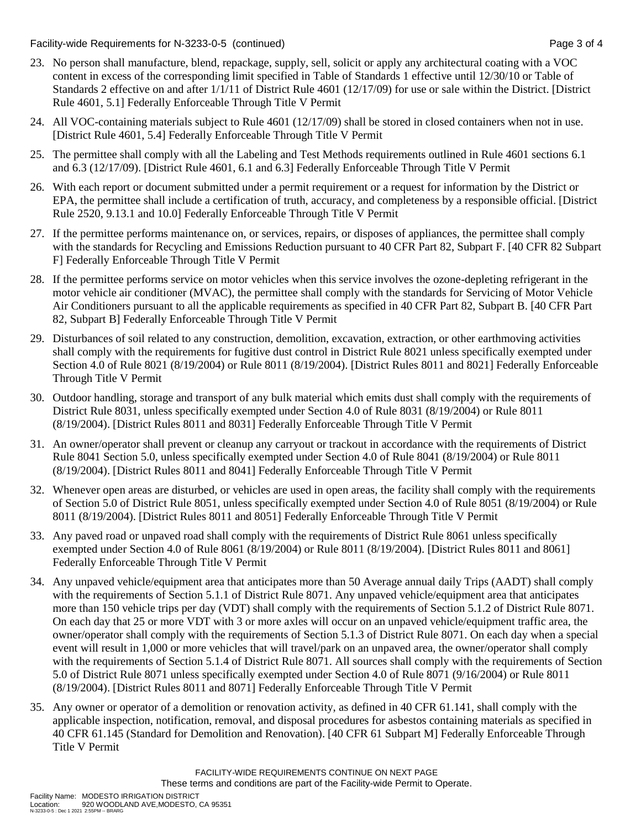Facility-wide Requirements for N-3233-0-5 (continued) Page 3 of 4

- 23. No person shall manufacture, blend, repackage, supply, sell, solicit or apply any architectural coating with a VOC content in excess of the corresponding limit specified in Table of Standards 1 effective until 12/30/10 or Table of Standards 2 effective on and after 1/1/11 of District Rule 4601 (12/17/09) for use or sale within the District. [District Rule 4601, 5.1] Federally Enforceable Through Title V Permit
- 24. All VOC-containing materials subject to Rule 4601 (12/17/09) shall be stored in closed containers when not in use. [District Rule 4601, 5.4] Federally Enforceable Through Title V Permit
- 25. The permittee shall comply with all the Labeling and Test Methods requirements outlined in Rule 4601 sections 6.1 and 6.3 (12/17/09). [District Rule 4601, 6.1 and 6.3] Federally Enforceable Through Title V Permit
- 26. With each report or document submitted under a permit requirement or a request for information by the District or EPA, the permittee shall include a certification of truth, accuracy, and completeness by a responsible official. [District Rule 2520, 9.13.1 and 10.0] Federally Enforceable Through Title V Permit
- 27. If the permittee performs maintenance on, or services, repairs, or disposes of appliances, the permittee shall comply with the standards for Recycling and Emissions Reduction pursuant to 40 CFR Part 82, Subpart F. [40 CFR 82 Subpart F] Federally Enforceable Through Title V Permit
- 28. If the permittee performs service on motor vehicles when this service involves the ozone-depleting refrigerant in the motor vehicle air conditioner (MVAC), the permittee shall comply with the standards for Servicing of Motor Vehicle Air Conditioners pursuant to all the applicable requirements as specified in 40 CFR Part 82, Subpart B. [40 CFR Part 82, Subpart B] Federally Enforceable Through Title V Permit
- 29. Disturbances of soil related to any construction, demolition, excavation, extraction, or other earthmoving activities shall comply with the requirements for fugitive dust control in District Rule 8021 unless specifically exempted under Section 4.0 of Rule 8021 (8/19/2004) or Rule 8011 (8/19/2004). [District Rules 8011 and 8021] Federally Enforceable Through Title V Permit
- 30. Outdoor handling, storage and transport of any bulk material which emits dust shall comply with the requirements of District Rule 8031, unless specifically exempted under Section 4.0 of Rule 8031 (8/19/2004) or Rule 8011 (8/19/2004). [District Rules 8011 and 8031] Federally Enforceable Through Title V Permit
- 31. An owner/operator shall prevent or cleanup any carryout or trackout in accordance with the requirements of District Rule 8041 Section 5.0, unless specifically exempted under Section 4.0 of Rule 8041 (8/19/2004) or Rule 8011 (8/19/2004). [District Rules 8011 and 8041] Federally Enforceable Through Title V Permit
- 32. Whenever open areas are disturbed, or vehicles are used in open areas, the facility shall comply with the requirements of Section 5.0 of District Rule 8051, unless specifically exempted under Section 4.0 of Rule 8051 (8/19/2004) or Rule 8011 (8/19/2004). [District Rules 8011 and 8051] Federally Enforceable Through Title V Permit
- 33. Any paved road or unpaved road shall comply with the requirements of District Rule 8061 unless specifically exempted under Section 4.0 of Rule 8061 (8/19/2004) or Rule 8011 (8/19/2004). [District Rules 8011 and 8061] Federally Enforceable Through Title V Permit
- 34. Any unpaved vehicle/equipment area that anticipates more than 50 Average annual daily Trips (AADT) shall comply with the requirements of Section 5.1.1 of District Rule 8071. Any unpaved vehicle/equipment area that anticipates more than 150 vehicle trips per day (VDT) shall comply with the requirements of Section 5.1.2 of District Rule 8071. On each day that 25 or more VDT with 3 or more axles will occur on an unpaved vehicle/equipment traffic area, the owner/operator shall comply with the requirements of Section 5.1.3 of District Rule 8071. On each day when a special event will result in 1,000 or more vehicles that will travel/park on an unpaved area, the owner/operator shall comply with the requirements of Section 5.1.4 of District Rule 8071. All sources shall comply with the requirements of Section 5.0 of District Rule 8071 unless specifically exempted under Section 4.0 of Rule 8071 (9/16/2004) or Rule 8011 (8/19/2004). [District Rules 8011 and 8071] Federally Enforceable Through Title V Permit
- 35. Any owner or operator of a demolition or renovation activity, as defined in 40 CFR 61.141, shall comply with the applicable inspection, notification, removal, and disposal procedures for asbestos containing materials as specified in 40 CFR 61.145 (Standard for Demolition and Renovation). [40 CFR 61 Subpart M] Federally Enforceable Through Title V Permit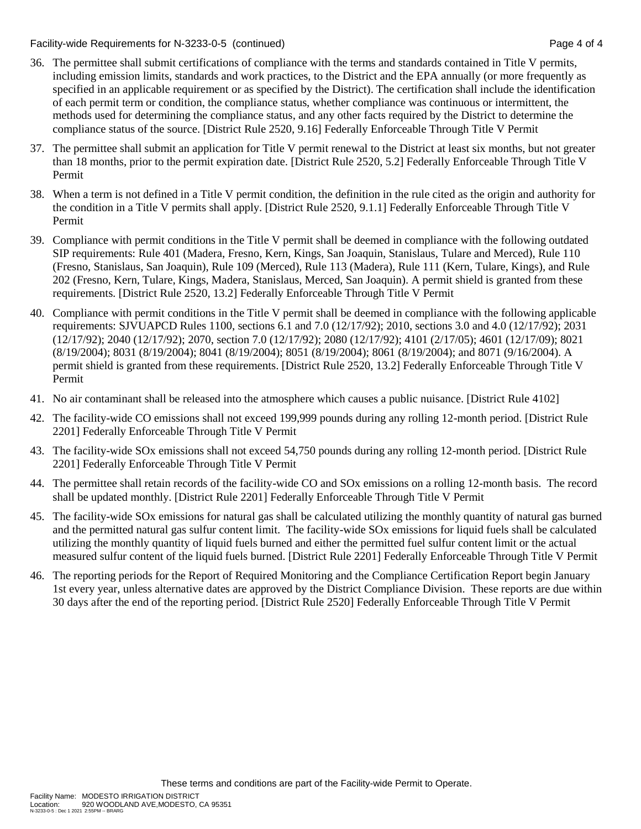Facility-wide Requirements for N-3233-0-5 (continued) Page 4 of 4

- 36. The permittee shall submit certifications of compliance with the terms and standards contained in Title V permits, including emission limits, standards and work practices, to the District and the EPA annually (or more frequently as specified in an applicable requirement or as specified by the District). The certification shall include the identification of each permit term or condition, the compliance status, whether compliance was continuous or intermittent, the methods used for determining the compliance status, and any other facts required by the District to determine the compliance status of the source. [District Rule 2520, 9.16] Federally Enforceable Through Title V Permit
- 37. The permittee shall submit an application for Title V permit renewal to the District at least six months, but not greater than 18 months, prior to the permit expiration date. [District Rule 2520, 5.2] Federally Enforceable Through Title V Permit
- 38. When a term is not defined in a Title V permit condition, the definition in the rule cited as the origin and authority for the condition in a Title V permits shall apply. [District Rule 2520, 9.1.1] Federally Enforceable Through Title V Permit
- 39. Compliance with permit conditions in the Title V permit shall be deemed in compliance with the following outdated SIP requirements: Rule 401 (Madera, Fresno, Kern, Kings, San Joaquin, Stanislaus, Tulare and Merced), Rule 110 (Fresno, Stanislaus, San Joaquin), Rule 109 (Merced), Rule 113 (Madera), Rule 111 (Kern, Tulare, Kings), and Rule 202 (Fresno, Kern, Tulare, Kings, Madera, Stanislaus, Merced, San Joaquin). A permit shield is granted from these requirements. [District Rule 2520, 13.2] Federally Enforceable Through Title V Permit
- 40. Compliance with permit conditions in the Title V permit shall be deemed in compliance with the following applicable requirements: SJVUAPCD Rules 1100, sections 6.1 and 7.0 (12/17/92); 2010, sections 3.0 and 4.0 (12/17/92); 2031 (12/17/92); 2040 (12/17/92); 2070, section 7.0 (12/17/92); 2080 (12/17/92); 4101 (2/17/05); 4601 (12/17/09); 8021 (8/19/2004); 8031 (8/19/2004); 8041 (8/19/2004); 8051 (8/19/2004); 8061 (8/19/2004); and 8071 (9/16/2004). A permit shield is granted from these requirements. [District Rule 2520, 13.2] Federally Enforceable Through Title V Permit
- 41. No air contaminant shall be released into the atmosphere which causes a public nuisance. [District Rule 4102]
- 42. The facility-wide CO emissions shall not exceed 199,999 pounds during any rolling 12-month period. [District Rule 2201] Federally Enforceable Through Title V Permit
- 43. The facility-wide SOx emissions shall not exceed 54,750 pounds during any rolling 12-month period. [District Rule 2201] Federally Enforceable Through Title V Permit
- 44. The permittee shall retain records of the facility-wide CO and SOx emissions on a rolling 12-month basis. The record shall be updated monthly. [District Rule 2201] Federally Enforceable Through Title V Permit
- 45. The facility-wide SOx emissions for natural gas shall be calculated utilizing the monthly quantity of natural gas burned and the permitted natural gas sulfur content limit. The facility-wide SOx emissions for liquid fuels shall be calculated utilizing the monthly quantity of liquid fuels burned and either the permitted fuel sulfur content limit or the actual measured sulfur content of the liquid fuels burned. [District Rule 2201] Federally Enforceable Through Title V Permit
- 46. The reporting periods for the Report of Required Monitoring and the Compliance Certification Report begin January 1st every year, unless alternative dates are approved by the District Compliance Division. These reports are due within 30 days after the end of the reporting period. [District Rule 2520] Federally Enforceable Through Title V Permit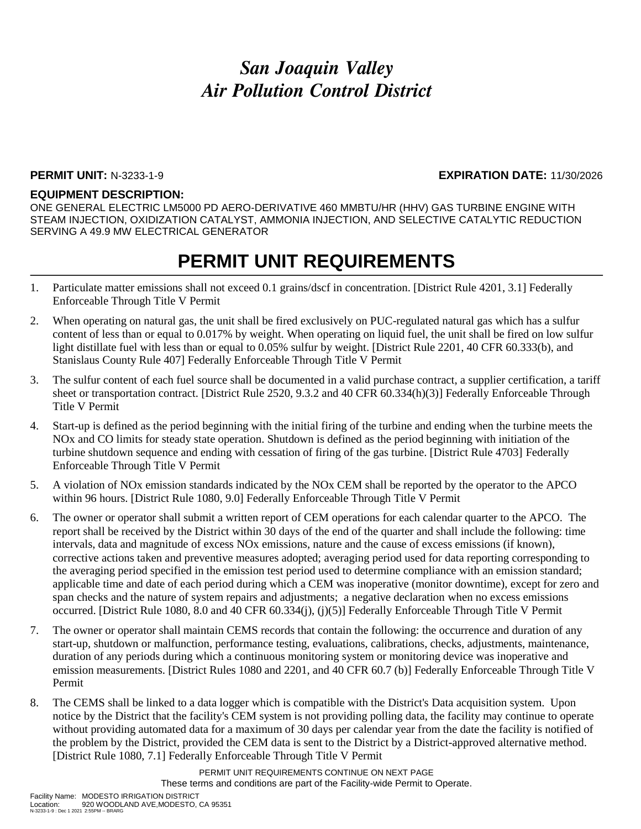### **PERMIT UNIT:** N-3233-1-9 **EXPIRATION DATE:** 11/30/2026

### **EQUIPMENT DESCRIPTION:**

ONE GENERAL ELECTRIC LM5000 PD AERO-DERIVATIVE 460 MMBTU/HR (HHV) GAS TURBINE ENGINE WITH STEAM INJECTION, OXIDIZATION CATALYST, AMMONIA INJECTION, AND SELECTIVE CATALYTIC REDUCTION SERVING A 49.9 MW ELECTRICAL GENERATOR

### **PERMIT UNIT REQUIREMENTS**

- 1. Particulate matter emissions shall not exceed 0.1 grains/dscf in concentration. [District Rule 4201, 3.1] Federally Enforceable Through Title V Permit
- 2. When operating on natural gas, the unit shall be fired exclusively on PUC-regulated natural gas which has a sulfur content of less than or equal to 0.017% by weight. When operating on liquid fuel, the unit shall be fired on low sulfur light distillate fuel with less than or equal to 0.05% sulfur by weight. [District Rule 2201, 40 CFR 60.333(b), and Stanislaus County Rule 407] Federally Enforceable Through Title V Permit
- 3. The sulfur content of each fuel source shall be documented in a valid purchase contract, a supplier certification, a tariff sheet or transportation contract. [District Rule 2520, 9.3.2 and 40 CFR 60.334(h)(3)] Federally Enforceable Through Title V Permit
- 4. Start-up is defined as the period beginning with the initial firing of the turbine and ending when the turbine meets the NOx and CO limits for steady state operation. Shutdown is defined as the period beginning with initiation of the turbine shutdown sequence and ending with cessation of firing of the gas turbine. [District Rule 4703] Federally Enforceable Through Title V Permit
- 5. A violation of NOx emission standards indicated by the NOx CEM shall be reported by the operator to the APCO within 96 hours. [District Rule 1080, 9.0] Federally Enforceable Through Title V Permit
- 6. The owner or operator shall submit a written report of CEM operations for each calendar quarter to the APCO. The report shall be received by the District within 30 days of the end of the quarter and shall include the following: time intervals, data and magnitude of excess NOx emissions, nature and the cause of excess emissions (if known), corrective actions taken and preventive measures adopted; averaging period used for data reporting corresponding to the averaging period specified in the emission test period used to determine compliance with an emission standard; applicable time and date of each period during which a CEM was inoperative (monitor downtime), except for zero and span checks and the nature of system repairs and adjustments; a negative declaration when no excess emissions occurred. [District Rule 1080, 8.0 and 40 CFR 60.334(j), (j)(5)] Federally Enforceable Through Title V Permit
- 7. The owner or operator shall maintain CEMS records that contain the following: the occurrence and duration of any start-up, shutdown or malfunction, performance testing, evaluations, calibrations, checks, adjustments, maintenance, duration of any periods during which a continuous monitoring system or monitoring device was inoperative and emission measurements. [District Rules 1080 and 2201, and 40 CFR 60.7 (b)] Federally Enforceable Through Title V Permit
- 8. The CEMS shall be linked to a data logger which is compatible with the District's Data acquisition system. Upon notice by the District that the facility's CEM system is not providing polling data, the facility may continue to operate without providing automated data for a maximum of 30 days per calendar year from the date the facility is notified of the problem by the District, provided the CEM data is sent to the District by a District-approved alternative method. [District Rule 1080, 7.1] Federally Enforceable Through Title V Permit

PERMIT UNIT REQUIREMENTS CONTINUE ON NEXT PAGE These terms and conditions are part of the Facility-wide Permit to Operate.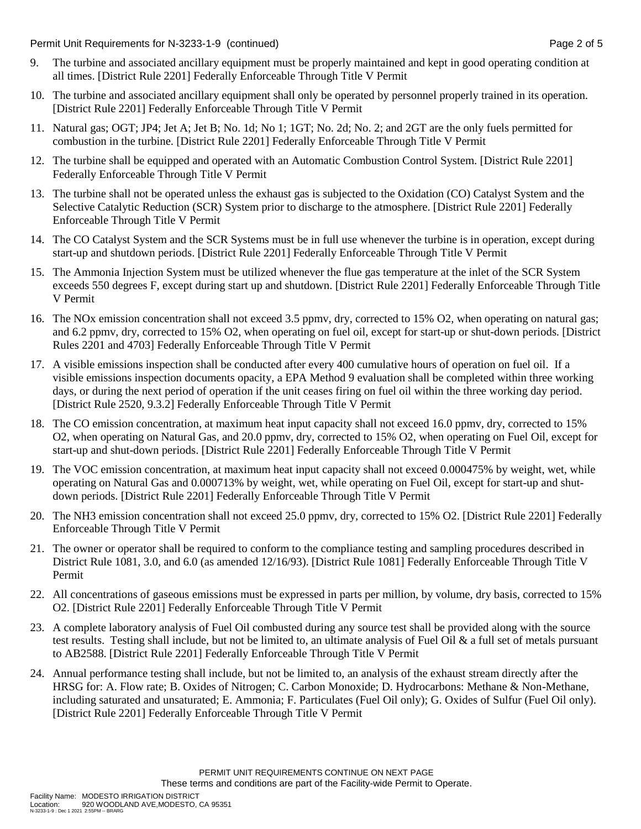Permit Unit Requirements for N-3233-1-9 (continued) Page 2 of 5

- 9. The turbine and associated ancillary equipment must be properly maintained and kept in good operating condition at all times. [District Rule 2201] Federally Enforceable Through Title V Permit
- 10. The turbine and associated ancillary equipment shall only be operated by personnel properly trained in its operation. [District Rule 2201] Federally Enforceable Through Title V Permit
- 11. Natural gas; OGT; JP4; Jet A; Jet B; No. 1d; No 1; 1GT; No. 2d; No. 2; and 2GT are the only fuels permitted for combustion in the turbine. [District Rule 2201] Federally Enforceable Through Title V Permit
- 12. The turbine shall be equipped and operated with an Automatic Combustion Control System. [District Rule 2201] Federally Enforceable Through Title V Permit
- 13. The turbine shall not be operated unless the exhaust gas is subjected to the Oxidation (CO) Catalyst System and the Selective Catalytic Reduction (SCR) System prior to discharge to the atmosphere. [District Rule 2201] Federally Enforceable Through Title V Permit
- 14. The CO Catalyst System and the SCR Systems must be in full use whenever the turbine is in operation, except during start-up and shutdown periods. [District Rule 2201] Federally Enforceable Through Title V Permit
- 15. The Ammonia Injection System must be utilized whenever the flue gas temperature at the inlet of the SCR System exceeds 550 degrees F, except during start up and shutdown. [District Rule 2201] Federally Enforceable Through Title V Permit
- 16. The NOx emission concentration shall not exceed 3.5 ppmv, dry, corrected to 15% O2, when operating on natural gas; and 6.2 ppmv, dry, corrected to 15% O2, when operating on fuel oil, except for start-up or shut-down periods. [District Rules 2201 and 4703] Federally Enforceable Through Title V Permit
- 17. A visible emissions inspection shall be conducted after every 400 cumulative hours of operation on fuel oil. If a visible emissions inspection documents opacity, a EPA Method 9 evaluation shall be completed within three working days, or during the next period of operation if the unit ceases firing on fuel oil within the three working day period. [District Rule 2520, 9.3.2] Federally Enforceable Through Title V Permit
- 18. The CO emission concentration, at maximum heat input capacity shall not exceed 16.0 ppmv, dry, corrected to 15% O2, when operating on Natural Gas, and 20.0 ppmv, dry, corrected to 15% O2, when operating on Fuel Oil, except for start-up and shut-down periods. [District Rule 2201] Federally Enforceable Through Title V Permit
- 19. The VOC emission concentration, at maximum heat input capacity shall not exceed 0.000475% by weight, wet, while operating on Natural Gas and 0.000713% by weight, wet, while operating on Fuel Oil, except for start-up and shutdown periods. [District Rule 2201] Federally Enforceable Through Title V Permit
- 20. The NH3 emission concentration shall not exceed 25.0 ppmv, dry, corrected to 15% O2. [District Rule 2201] Federally Enforceable Through Title V Permit
- 21. The owner or operator shall be required to conform to the compliance testing and sampling procedures described in District Rule 1081, 3.0, and 6.0 (as amended 12/16/93). [District Rule 1081] Federally Enforceable Through Title V Permit
- 22. All concentrations of gaseous emissions must be expressed in parts per million, by volume, dry basis, corrected to 15% O2. [District Rule 2201] Federally Enforceable Through Title V Permit
- 23. A complete laboratory analysis of Fuel Oil combusted during any source test shall be provided along with the source test results. Testing shall include, but not be limited to, an ultimate analysis of Fuel Oil  $\&$  a full set of metals pursuant to AB2588. [District Rule 2201] Federally Enforceable Through Title V Permit
- 24. Annual performance testing shall include, but not be limited to, an analysis of the exhaust stream directly after the HRSG for: A. Flow rate; B. Oxides of Nitrogen; C. Carbon Monoxide; D. Hydrocarbons: Methane & Non-Methane, including saturated and unsaturated; E. Ammonia; F. Particulates (Fuel Oil only); G. Oxides of Sulfur (Fuel Oil only). [District Rule 2201] Federally Enforceable Through Title V Permit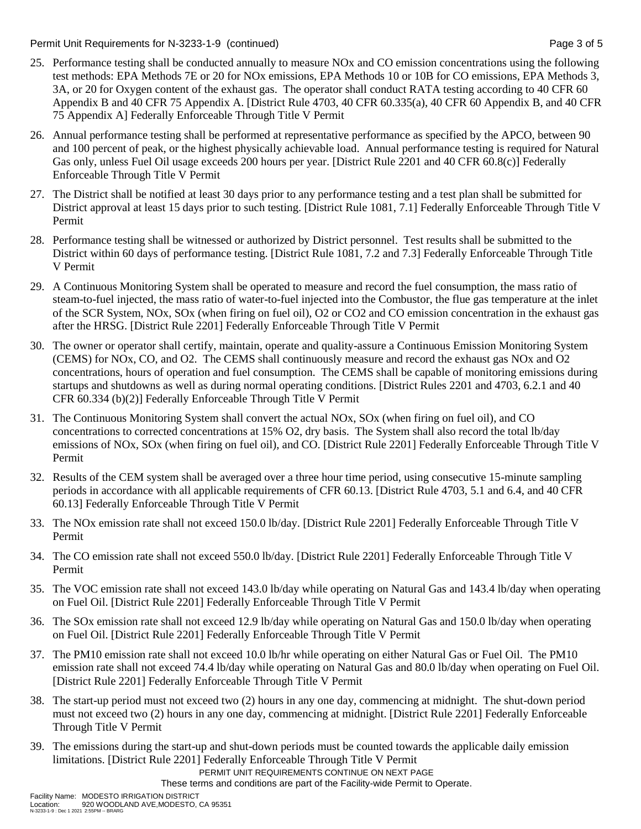Permit Unit Requirements for N-3233-1-9 (continued) **Page 3 of 5** and 2 of 5

- 25. Performance testing shall be conducted annually to measure NOx and CO emission concentrations using the following test methods: EPA Methods 7E or 20 for NOx emissions, EPA Methods 10 or 10B for CO emissions, EPA Methods 3, 3A, or 20 for Oxygen content of the exhaust gas. The operator shall conduct RATA testing according to 40 CFR 60 Appendix B and 40 CFR 75 Appendix A. [District Rule 4703, 40 CFR 60.335(a), 40 CFR 60 Appendix B, and 40 CFR 75 Appendix A] Federally Enforceable Through Title V Permit
- 26. Annual performance testing shall be performed at representative performance as specified by the APCO, between 90 and 100 percent of peak, or the highest physically achievable load. Annual performance testing is required for Natural Gas only, unless Fuel Oil usage exceeds 200 hours per year. [District Rule 2201 and 40 CFR 60.8(c)] Federally Enforceable Through Title V Permit
- 27. The District shall be notified at least 30 days prior to any performance testing and a test plan shall be submitted for District approval at least 15 days prior to such testing. [District Rule 1081, 7.1] Federally Enforceable Through Title V Permit
- 28. Performance testing shall be witnessed or authorized by District personnel. Test results shall be submitted to the District within 60 days of performance testing. [District Rule 1081, 7.2 and 7.3] Federally Enforceable Through Title V Permit
- 29. A Continuous Monitoring System shall be operated to measure and record the fuel consumption, the mass ratio of steam-to-fuel injected, the mass ratio of water-to-fuel injected into the Combustor, the flue gas temperature at the inlet of the SCR System, NOx, SOx (when firing on fuel oil), O2 or CO2 and CO emission concentration in the exhaust gas after the HRSG. [District Rule 2201] Federally Enforceable Through Title V Permit
- 30. The owner or operator shall certify, maintain, operate and quality-assure a Continuous Emission Monitoring System (CEMS) for NOx, CO, and O2. The CEMS shall continuously measure and record the exhaust gas NOx and O2 concentrations, hours of operation and fuel consumption. The CEMS shall be capable of monitoring emissions during startups and shutdowns as well as during normal operating conditions. [District Rules 2201 and 4703, 6.2.1 and 40 CFR 60.334 (b)(2)] Federally Enforceable Through Title V Permit
- 31. The Continuous Monitoring System shall convert the actual NOx, SOx (when firing on fuel oil), and CO concentrations to corrected concentrations at 15% O2, dry basis. The System shall also record the total lb/day emissions of NOx, SOx (when firing on fuel oil), and CO. [District Rule 2201] Federally Enforceable Through Title V Permit
- 32. Results of the CEM system shall be averaged over a three hour time period, using consecutive 15-minute sampling periods in accordance with all applicable requirements of CFR 60.13. [District Rule 4703, 5.1 and 6.4, and 40 CFR 60.13] Federally Enforceable Through Title V Permit
- 33. The NOx emission rate shall not exceed 150.0 lb/day. [District Rule 2201] Federally Enforceable Through Title V Permit
- 34. The CO emission rate shall not exceed 550.0 lb/day. [District Rule 2201] Federally Enforceable Through Title V Permit
- 35. The VOC emission rate shall not exceed 143.0 lb/day while operating on Natural Gas and 143.4 lb/day when operating on Fuel Oil. [District Rule 2201] Federally Enforceable Through Title V Permit
- 36. The SOx emission rate shall not exceed 12.9 lb/day while operating on Natural Gas and 150.0 lb/day when operating on Fuel Oil. [District Rule 2201] Federally Enforceable Through Title V Permit
- 37. The PM10 emission rate shall not exceed 10.0 lb/hr while operating on either Natural Gas or Fuel Oil. The PM10 emission rate shall not exceed 74.4 lb/day while operating on Natural Gas and 80.0 lb/day when operating on Fuel Oil. [District Rule 2201] Federally Enforceable Through Title V Permit
- 38. The start-up period must not exceed two (2) hours in any one day, commencing at midnight. The shut-down period must not exceed two (2) hours in any one day, commencing at midnight. [District Rule 2201] Federally Enforceable Through Title V Permit
- 39. The emissions during the start-up and shut-down periods must be counted towards the applicable daily emission limitations. [District Rule 2201] Federally Enforceable Through Title V Permit

PERMIT UNIT REQUIREMENTS CONTINUE ON NEXT PAGE

These terms and conditions are part of the Facility-wide Permit to Operate.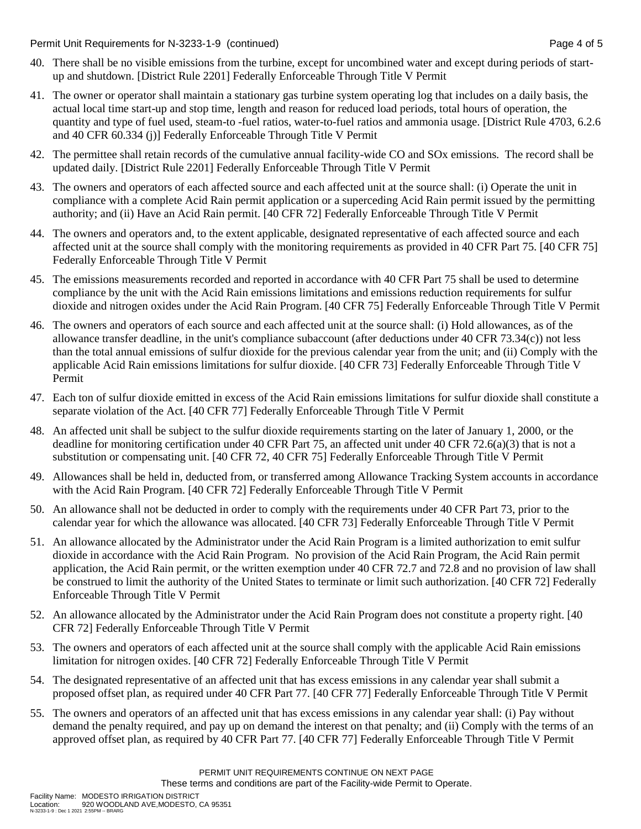Permit Unit Requirements for N-3233-1-9 (continued) Page 4 of 5

- 40. There shall be no visible emissions from the turbine, except for uncombined water and except during periods of startup and shutdown. [District Rule 2201] Federally Enforceable Through Title V Permit
- 41. The owner or operator shall maintain a stationary gas turbine system operating log that includes on a daily basis, the actual local time start-up and stop time, length and reason for reduced load periods, total hours of operation, the quantity and type of fuel used, steam-to -fuel ratios, water-to-fuel ratios and ammonia usage. [District Rule 4703, 6.2.6 and 40 CFR 60.334 (j)] Federally Enforceable Through Title V Permit
- 42. The permittee shall retain records of the cumulative annual facility-wide CO and SOx emissions. The record shall be updated daily. [District Rule 2201] Federally Enforceable Through Title V Permit
- 43. The owners and operators of each affected source and each affected unit at the source shall: (i) Operate the unit in compliance with a complete Acid Rain permit application or a superceding Acid Rain permit issued by the permitting authority; and (ii) Have an Acid Rain permit. [40 CFR 72] Federally Enforceable Through Title V Permit
- 44. The owners and operators and, to the extent applicable, designated representative of each affected source and each affected unit at the source shall comply with the monitoring requirements as provided in 40 CFR Part 75. [40 CFR 75] Federally Enforceable Through Title V Permit
- 45. The emissions measurements recorded and reported in accordance with 40 CFR Part 75 shall be used to determine compliance by the unit with the Acid Rain emissions limitations and emissions reduction requirements for sulfur dioxide and nitrogen oxides under the Acid Rain Program. [40 CFR 75] Federally Enforceable Through Title V Permit
- 46. The owners and operators of each source and each affected unit at the source shall: (i) Hold allowances, as of the allowance transfer deadline, in the unit's compliance subaccount (after deductions under 40 CFR 73.34(c)) not less than the total annual emissions of sulfur dioxide for the previous calendar year from the unit; and (ii) Comply with the applicable Acid Rain emissions limitations for sulfur dioxide. [40 CFR 73] Federally Enforceable Through Title V Permit
- 47. Each ton of sulfur dioxide emitted in excess of the Acid Rain emissions limitations for sulfur dioxide shall constitute a separate violation of the Act. [40 CFR 77] Federally Enforceable Through Title V Permit
- 48. An affected unit shall be subject to the sulfur dioxide requirements starting on the later of January 1, 2000, or the deadline for monitoring certification under 40 CFR Part 75, an affected unit under 40 CFR 72.6(a)(3) that is not a substitution or compensating unit. [40 CFR 72, 40 CFR 75] Federally Enforceable Through Title V Permit
- 49. Allowances shall be held in, deducted from, or transferred among Allowance Tracking System accounts in accordance with the Acid Rain Program. [40 CFR 72] Federally Enforceable Through Title V Permit
- 50. An allowance shall not be deducted in order to comply with the requirements under 40 CFR Part 73, prior to the calendar year for which the allowance was allocated. [40 CFR 73] Federally Enforceable Through Title V Permit
- 51. An allowance allocated by the Administrator under the Acid Rain Program is a limited authorization to emit sulfur dioxide in accordance with the Acid Rain Program. No provision of the Acid Rain Program, the Acid Rain permit application, the Acid Rain permit, or the written exemption under 40 CFR 72.7 and 72.8 and no provision of law shall be construed to limit the authority of the United States to terminate or limit such authorization. [40 CFR 72] Federally Enforceable Through Title V Permit
- 52. An allowance allocated by the Administrator under the Acid Rain Program does not constitute a property right. [40 CFR 72] Federally Enforceable Through Title V Permit
- 53. The owners and operators of each affected unit at the source shall comply with the applicable Acid Rain emissions limitation for nitrogen oxides. [40 CFR 72] Federally Enforceable Through Title V Permit
- 54. The designated representative of an affected unit that has excess emissions in any calendar year shall submit a proposed offset plan, as required under 40 CFR Part 77. [40 CFR 77] Federally Enforceable Through Title V Permit
- 55. The owners and operators of an affected unit that has excess emissions in any calendar year shall: (i) Pay without demand the penalty required, and pay up on demand the interest on that penalty; and (ii) Comply with the terms of an approved offset plan, as required by 40 CFR Part 77. [40 CFR 77] Federally Enforceable Through Title V Permit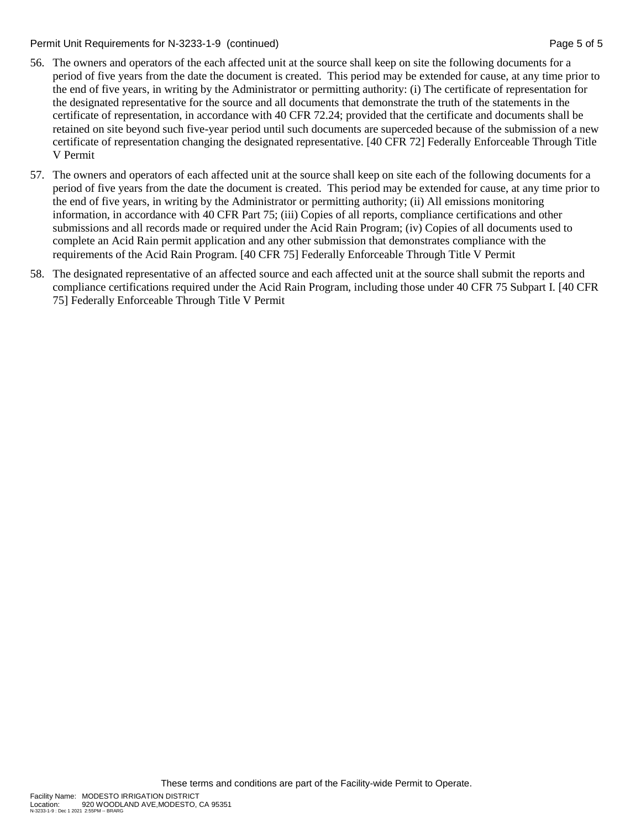Permit Unit Requirements for N-3233-1-9 (continued) **Page 5 of 5** and 2011 **Page 5 of 5** and 2011

- 56. The owners and operators of the each affected unit at the source shall keep on site the following documents for a period of five years from the date the document is created. This period may be extended for cause, at any time prior to the end of five years, in writing by the Administrator or permitting authority: (i) The certificate of representation for the designated representative for the source and all documents that demonstrate the truth of the statements in the certificate of representation, in accordance with 40 CFR 72.24; provided that the certificate and documents shall be retained on site beyond such five-year period until such documents are superceded because of the submission of a new certificate of representation changing the designated representative. [40 CFR 72] Federally Enforceable Through Title V Permit
- 57. The owners and operators of each affected unit at the source shall keep on site each of the following documents for a period of five years from the date the document is created. This period may be extended for cause, at any time prior to the end of five years, in writing by the Administrator or permitting authority; (ii) All emissions monitoring information, in accordance with 40 CFR Part 75; (iii) Copies of all reports, compliance certifications and other submissions and all records made or required under the Acid Rain Program; (iv) Copies of all documents used to complete an Acid Rain permit application and any other submission that demonstrates compliance with the requirements of the Acid Rain Program. [40 CFR 75] Federally Enforceable Through Title V Permit
- 58. The designated representative of an affected source and each affected unit at the source shall submit the reports and compliance certifications required under the Acid Rain Program, including those under 40 CFR 75 Subpart I. [40 CFR 75] Federally Enforceable Through Title V Permit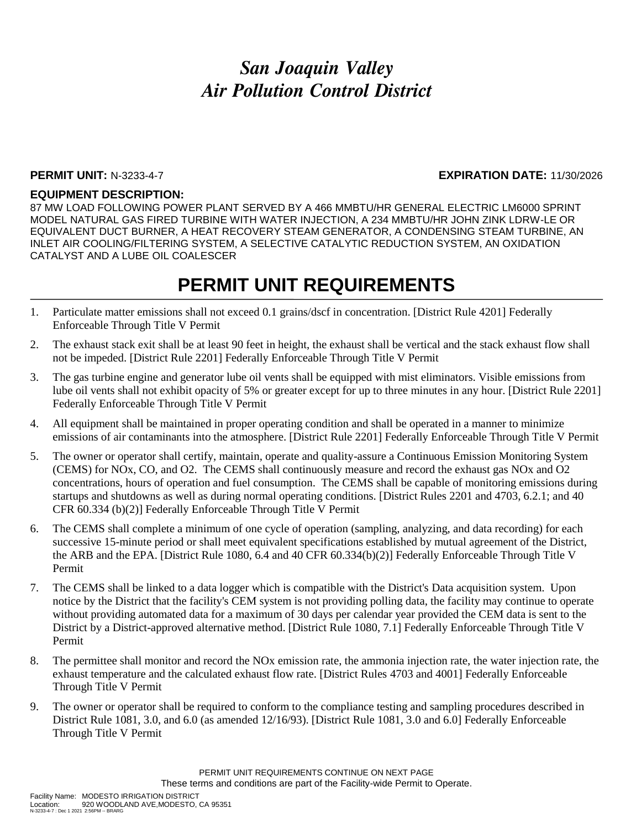#### **PERMIT UNIT:** N-3233-4-7 **EXPIRATION DATE:** 11/30/2026

#### **EQUIPMENT DESCRIPTION:**

87 MW LOAD FOLLOWING POWER PLANT SERVED BY A 466 MMBTU/HR GENERAL ELECTRIC LM6000 SPRINT MODEL NATURAL GAS FIRED TURBINE WITH WATER INJECTION, A 234 MMBTU/HR JOHN ZINK LDRW-LE OR EQUIVALENT DUCT BURNER, A HEAT RECOVERY STEAM GENERATOR, A CONDENSING STEAM TURBINE, AN INLET AIR COOLING/FILTERING SYSTEM, A SELECTIVE CATALYTIC REDUCTION SYSTEM, AN OXIDATION CATALYST AND A LUBE OIL COALESCER

- 1. Particulate matter emissions shall not exceed 0.1 grains/dscf in concentration. [District Rule 4201] Federally Enforceable Through Title V Permit
- 2. The exhaust stack exit shall be at least 90 feet in height, the exhaust shall be vertical and the stack exhaust flow shall not be impeded. [District Rule 2201] Federally Enforceable Through Title V Permit
- 3. The gas turbine engine and generator lube oil vents shall be equipped with mist eliminators. Visible emissions from lube oil vents shall not exhibit opacity of 5% or greater except for up to three minutes in any hour. [District Rule 2201] Federally Enforceable Through Title V Permit
- 4. All equipment shall be maintained in proper operating condition and shall be operated in a manner to minimize emissions of air contaminants into the atmosphere. [District Rule 2201] Federally Enforceable Through Title V Permit
- 5. The owner or operator shall certify, maintain, operate and quality-assure a Continuous Emission Monitoring System (CEMS) for NOx, CO, and O2. The CEMS shall continuously measure and record the exhaust gas NOx and O2 concentrations, hours of operation and fuel consumption. The CEMS shall be capable of monitoring emissions during startups and shutdowns as well as during normal operating conditions. [District Rules 2201 and 4703, 6.2.1; and 40 CFR 60.334 (b)(2)] Federally Enforceable Through Title V Permit
- 6. The CEMS shall complete a minimum of one cycle of operation (sampling, analyzing, and data recording) for each successive 15-minute period or shall meet equivalent specifications established by mutual agreement of the District, the ARB and the EPA. [District Rule 1080, 6.4 and 40 CFR 60.334(b)(2)] Federally Enforceable Through Title V Permit
- 7. The CEMS shall be linked to a data logger which is compatible with the District's Data acquisition system. Upon notice by the District that the facility's CEM system is not providing polling data, the facility may continue to operate without providing automated data for a maximum of 30 days per calendar year provided the CEM data is sent to the District by a District-approved alternative method. [District Rule 1080, 7.1] Federally Enforceable Through Title V Permit
- 8. The permittee shall monitor and record the NOx emission rate, the ammonia injection rate, the water injection rate, the exhaust temperature and the calculated exhaust flow rate. [District Rules 4703 and 4001] Federally Enforceable Through Title V Permit
- 9. The owner or operator shall be required to conform to the compliance testing and sampling procedures described in District Rule 1081, 3.0, and 6.0 (as amended 12/16/93). [District Rule 1081, 3.0 and 6.0] Federally Enforceable Through Title V Permit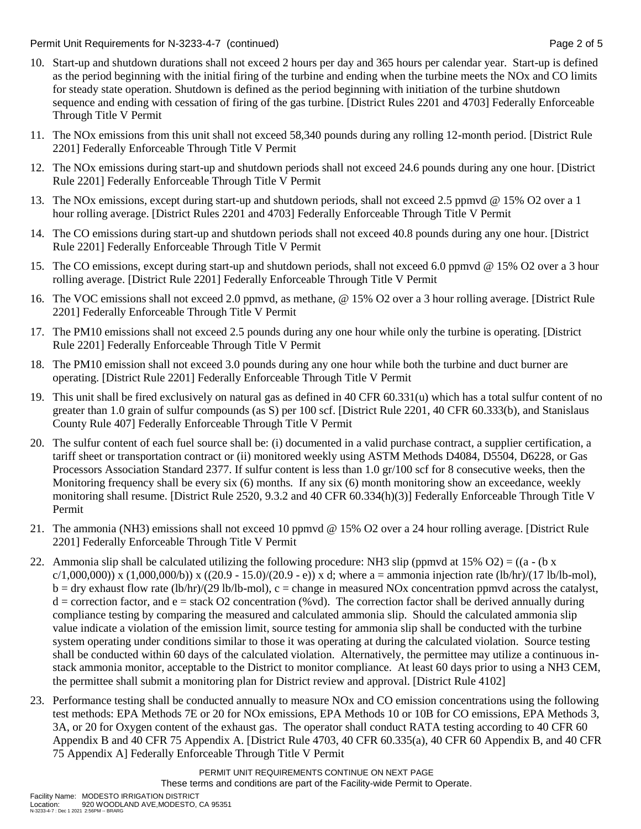Permit Unit Requirements for N-3233-4-7 (continued) **Page 2** of 5

- 10. Start-up and shutdown durations shall not exceed 2 hours per day and 365 hours per calendar year. Start-up is defined as the period beginning with the initial firing of the turbine and ending when the turbine meets the NOx and CO limits for steady state operation. Shutdown is defined as the period beginning with initiation of the turbine shutdown sequence and ending with cessation of firing of the gas turbine. [District Rules 2201 and 4703] Federally Enforceable Through Title V Permit
- 11. The NOx emissions from this unit shall not exceed 58,340 pounds during any rolling 12-month period. [District Rule 2201] Federally Enforceable Through Title V Permit
- 12. The NOx emissions during start-up and shutdown periods shall not exceed 24.6 pounds during any one hour. [District Rule 2201] Federally Enforceable Through Title V Permit
- 13. The NOx emissions, except during start-up and shutdown periods, shall not exceed 2.5 ppmvd @ 15% O2 over a 1 hour rolling average. [District Rules 2201 and 4703] Federally Enforceable Through Title V Permit
- 14. The CO emissions during start-up and shutdown periods shall not exceed 40.8 pounds during any one hour. [District Rule 2201] Federally Enforceable Through Title V Permit
- 15. The CO emissions, except during start-up and shutdown periods, shall not exceed 6.0 ppmvd @ 15% O2 over a 3 hour rolling average. [District Rule 2201] Federally Enforceable Through Title V Permit
- 16. The VOC emissions shall not exceed 2.0 ppmvd, as methane, @ 15% O2 over a 3 hour rolling average. [District Rule 2201] Federally Enforceable Through Title V Permit
- 17. The PM10 emissions shall not exceed 2.5 pounds during any one hour while only the turbine is operating. [District Rule 2201] Federally Enforceable Through Title V Permit
- 18. The PM10 emission shall not exceed 3.0 pounds during any one hour while both the turbine and duct burner are operating. [District Rule 2201] Federally Enforceable Through Title V Permit
- 19. This unit shall be fired exclusively on natural gas as defined in 40 CFR 60.331(u) which has a total sulfur content of no greater than 1.0 grain of sulfur compounds (as S) per 100 scf. [District Rule 2201, 40 CFR 60.333(b), and Stanislaus County Rule 407] Federally Enforceable Through Title V Permit
- 20. The sulfur content of each fuel source shall be: (i) documented in a valid purchase contract, a supplier certification, a tariff sheet or transportation contract or (ii) monitored weekly using ASTM Methods D4084, D5504, D6228, or Gas Processors Association Standard 2377. If sulfur content is less than 1.0 gr/100 scf for 8 consecutive weeks, then the Monitoring frequency shall be every six (6) months. If any six (6) month monitoring show an exceedance, weekly monitoring shall resume. [District Rule 2520, 9.3.2 and 40 CFR 60.334(h)(3)] Federally Enforceable Through Title V Permit
- 21. The ammonia (NH3) emissions shall not exceed 10 ppmvd @ 15% O2 over a 24 hour rolling average. [District Rule 2201] Federally Enforceable Through Title V Permit
- 22. Ammonia slip shall be calculated utilizing the following procedure: NH3 slip (ppmvd at 15% O2) = ((a (b x  $c/1,000,000)$ ) x (1,000,000/b)) x ((20.9 - 15.0)/(20.9 - e)) x d; where a = ammonia injection rate (lb/hr)/(17 lb/lb-mol),  $b = dry$  exhaust flow rate (lb/hr)/(29 lb/lb-mol), c = change in measured NOx concentration ppmvd across the catalyst,  $d =$  correction factor, and  $e =$  stack O2 concentration (%vd). The correction factor shall be derived annually during compliance testing by comparing the measured and calculated ammonia slip. Should the calculated ammonia slip value indicate a violation of the emission limit, source testing for ammonia slip shall be conducted with the turbine system operating under conditions similar to those it was operating at during the calculated violation. Source testing shall be conducted within 60 days of the calculated violation. Alternatively, the permittee may utilize a continuous instack ammonia monitor, acceptable to the District to monitor compliance. At least 60 days prior to using a NH3 CEM, the permittee shall submit a monitoring plan for District review and approval. [District Rule 4102]
- 23. Performance testing shall be conducted annually to measure NOx and CO emission concentrations using the following test methods: EPA Methods 7E or 20 for NOx emissions, EPA Methods 10 or 10B for CO emissions, EPA Methods 3, 3A, or 20 for Oxygen content of the exhaust gas. The operator shall conduct RATA testing according to 40 CFR 60 Appendix B and 40 CFR 75 Appendix A. [District Rule 4703, 40 CFR 60.335(a), 40 CFR 60 Appendix B, and 40 CFR 75 Appendix A] Federally Enforceable Through Title V Permit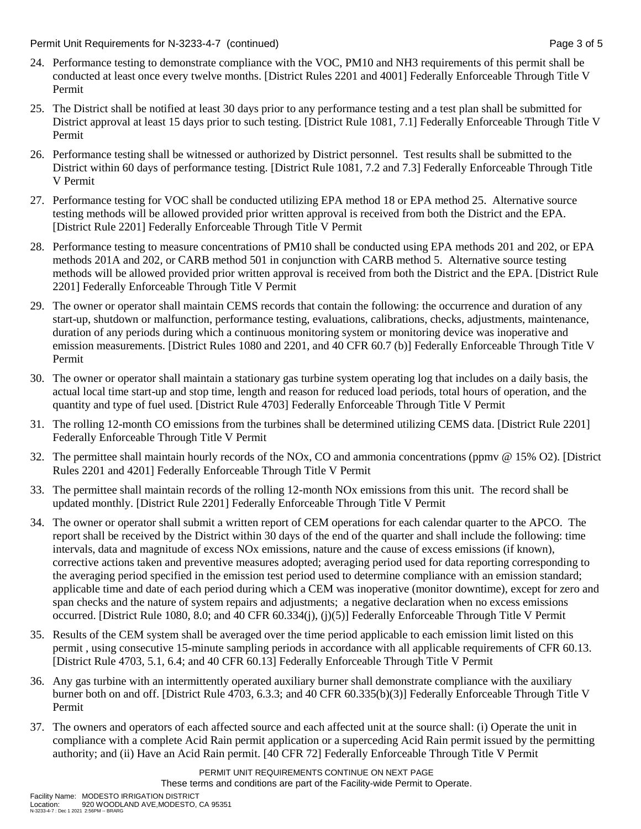Permit Unit Requirements for N-3233-4-7 (continued) **Page 3 of 5** and 2 of 5

- 24. Performance testing to demonstrate compliance with the VOC, PM10 and NH3 requirements of this permit shall be conducted at least once every twelve months. [District Rules 2201 and 4001] Federally Enforceable Through Title V Permit
- 25. The District shall be notified at least 30 days prior to any performance testing and a test plan shall be submitted for District approval at least 15 days prior to such testing. [District Rule 1081, 7.1] Federally Enforceable Through Title V Permit
- 26. Performance testing shall be witnessed or authorized by District personnel. Test results shall be submitted to the District within 60 days of performance testing. [District Rule 1081, 7.2 and 7.3] Federally Enforceable Through Title V Permit
- 27. Performance testing for VOC shall be conducted utilizing EPA method 18 or EPA method 25. Alternative source testing methods will be allowed provided prior written approval is received from both the District and the EPA. [District Rule 2201] Federally Enforceable Through Title V Permit
- 28. Performance testing to measure concentrations of PM10 shall be conducted using EPA methods 201 and 202, or EPA methods 201A and 202, or CARB method 501 in conjunction with CARB method 5. Alternative source testing methods will be allowed provided prior written approval is received from both the District and the EPA. [District Rule 2201] Federally Enforceable Through Title V Permit
- 29. The owner or operator shall maintain CEMS records that contain the following: the occurrence and duration of any start-up, shutdown or malfunction, performance testing, evaluations, calibrations, checks, adjustments, maintenance, duration of any periods during which a continuous monitoring system or monitoring device was inoperative and emission measurements. [District Rules 1080 and 2201, and 40 CFR 60.7 (b)] Federally Enforceable Through Title V Permit
- 30. The owner or operator shall maintain a stationary gas turbine system operating log that includes on a daily basis, the actual local time start-up and stop time, length and reason for reduced load periods, total hours of operation, and the quantity and type of fuel used. [District Rule 4703] Federally Enforceable Through Title V Permit
- 31. The rolling 12-month CO emissions from the turbines shall be determined utilizing CEMS data. [District Rule 2201] Federally Enforceable Through Title V Permit
- 32. The permittee shall maintain hourly records of the NOx, CO and ammonia concentrations (ppmv @ 15% O2). [District Rules 2201 and 4201] Federally Enforceable Through Title V Permit
- 33. The permittee shall maintain records of the rolling 12-month NOx emissions from this unit. The record shall be updated monthly. [District Rule 2201] Federally Enforceable Through Title V Permit
- 34. The owner or operator shall submit a written report of CEM operations for each calendar quarter to the APCO. The report shall be received by the District within 30 days of the end of the quarter and shall include the following: time intervals, data and magnitude of excess NOx emissions, nature and the cause of excess emissions (if known), corrective actions taken and preventive measures adopted; averaging period used for data reporting corresponding to the averaging period specified in the emission test period used to determine compliance with an emission standard; applicable time and date of each period during which a CEM was inoperative (monitor downtime), except for zero and span checks and the nature of system repairs and adjustments; a negative declaration when no excess emissions occurred. [District Rule 1080, 8.0; and 40 CFR 60.334(j), (j)(5)] Federally Enforceable Through Title V Permit
- 35. Results of the CEM system shall be averaged over the time period applicable to each emission limit listed on this permit , using consecutive 15-minute sampling periods in accordance with all applicable requirements of CFR 60.13. [District Rule 4703, 5.1, 6.4; and 40 CFR 60.13] Federally Enforceable Through Title V Permit
- 36. Any gas turbine with an intermittently operated auxiliary burner shall demonstrate compliance with the auxiliary burner both on and off. [District Rule 4703, 6.3.3; and 40 CFR 60.335(b)(3)] Federally Enforceable Through Title V Permit
- 37. The owners and operators of each affected source and each affected unit at the source shall: (i) Operate the unit in compliance with a complete Acid Rain permit application or a superceding Acid Rain permit issued by the permitting authority; and (ii) Have an Acid Rain permit. [40 CFR 72] Federally Enforceable Through Title V Permit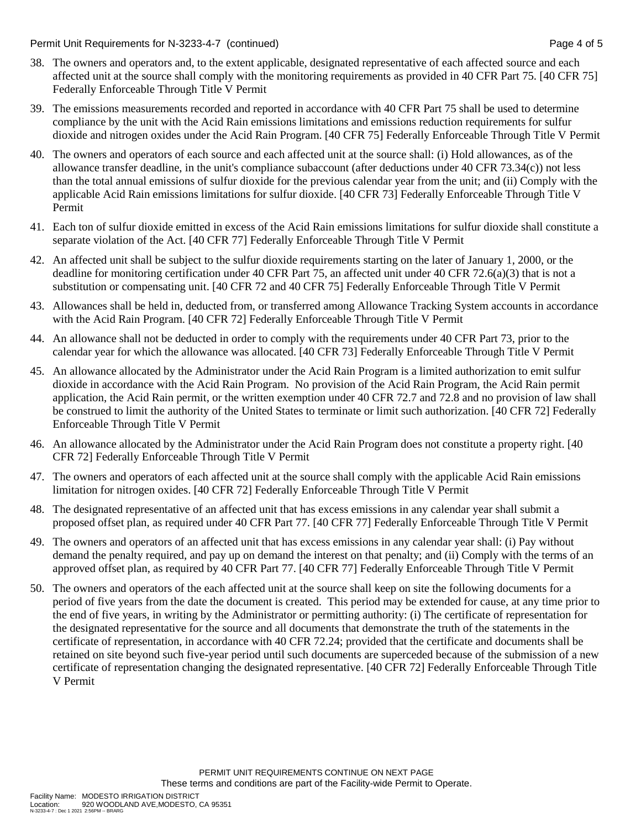Permit Unit Requirements for N-3233-4-7 (continued) **Page 4 of 5** and 2011 12:30 Page 4 of 5

- 38. The owners and operators and, to the extent applicable, designated representative of each affected source and each affected unit at the source shall comply with the monitoring requirements as provided in 40 CFR Part 75. [40 CFR 75] Federally Enforceable Through Title V Permit
- 39. The emissions measurements recorded and reported in accordance with 40 CFR Part 75 shall be used to determine compliance by the unit with the Acid Rain emissions limitations and emissions reduction requirements for sulfur dioxide and nitrogen oxides under the Acid Rain Program. [40 CFR 75] Federally Enforceable Through Title V Permit
- 40. The owners and operators of each source and each affected unit at the source shall: (i) Hold allowances, as of the allowance transfer deadline, in the unit's compliance subaccount (after deductions under 40 CFR 73.34(c)) not less than the total annual emissions of sulfur dioxide for the previous calendar year from the unit; and (ii) Comply with the applicable Acid Rain emissions limitations for sulfur dioxide. [40 CFR 73] Federally Enforceable Through Title V Permit
- 41. Each ton of sulfur dioxide emitted in excess of the Acid Rain emissions limitations for sulfur dioxide shall constitute a separate violation of the Act. [40 CFR 77] Federally Enforceable Through Title V Permit
- 42. An affected unit shall be subject to the sulfur dioxide requirements starting on the later of January 1, 2000, or the deadline for monitoring certification under 40 CFR Part 75, an affected unit under 40 CFR 72.6(a)(3) that is not a substitution or compensating unit. [40 CFR 72 and 40 CFR 75] Federally Enforceable Through Title V Permit
- 43. Allowances shall be held in, deducted from, or transferred among Allowance Tracking System accounts in accordance with the Acid Rain Program. [40 CFR 72] Federally Enforceable Through Title V Permit
- 44. An allowance shall not be deducted in order to comply with the requirements under 40 CFR Part 73, prior to the calendar year for which the allowance was allocated. [40 CFR 73] Federally Enforceable Through Title V Permit
- 45. An allowance allocated by the Administrator under the Acid Rain Program is a limited authorization to emit sulfur dioxide in accordance with the Acid Rain Program. No provision of the Acid Rain Program, the Acid Rain permit application, the Acid Rain permit, or the written exemption under 40 CFR 72.7 and 72.8 and no provision of law shall be construed to limit the authority of the United States to terminate or limit such authorization. [40 CFR 72] Federally Enforceable Through Title V Permit
- 46. An allowance allocated by the Administrator under the Acid Rain Program does not constitute a property right. [40 CFR 72] Federally Enforceable Through Title V Permit
- 47. The owners and operators of each affected unit at the source shall comply with the applicable Acid Rain emissions limitation for nitrogen oxides. [40 CFR 72] Federally Enforceable Through Title V Permit
- 48. The designated representative of an affected unit that has excess emissions in any calendar year shall submit a proposed offset plan, as required under 40 CFR Part 77. [40 CFR 77] Federally Enforceable Through Title V Permit
- 49. The owners and operators of an affected unit that has excess emissions in any calendar year shall: (i) Pay without demand the penalty required, and pay up on demand the interest on that penalty; and (ii) Comply with the terms of an approved offset plan, as required by 40 CFR Part 77. [40 CFR 77] Federally Enforceable Through Title V Permit
- 50. The owners and operators of the each affected unit at the source shall keep on site the following documents for a period of five years from the date the document is created. This period may be extended for cause, at any time prior to the end of five years, in writing by the Administrator or permitting authority: (i) The certificate of representation for the designated representative for the source and all documents that demonstrate the truth of the statements in the certificate of representation, in accordance with 40 CFR 72.24; provided that the certificate and documents shall be retained on site beyond such five-year period until such documents are superceded because of the submission of a new certificate of representation changing the designated representative. [40 CFR 72] Federally Enforceable Through Title V Permit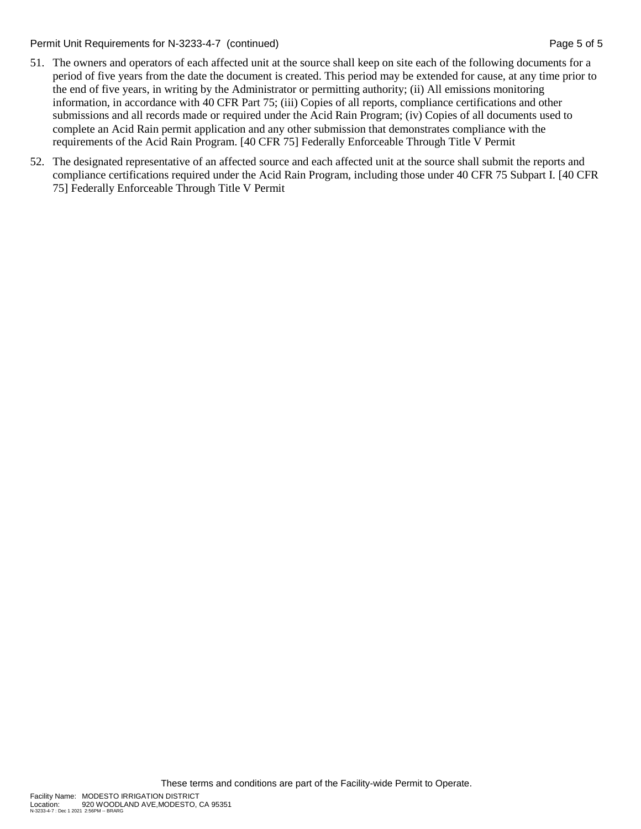Permit Unit Requirements for N-3233-4-7 (continued) **Page 5 of 5** and 2011 12:30 Page 5 of 5

- 51. The owners and operators of each affected unit at the source shall keep on site each of the following documents for a period of five years from the date the document is created. This period may be extended for cause, at any time prior to the end of five years, in writing by the Administrator or permitting authority; (ii) All emissions monitoring information, in accordance with 40 CFR Part 75; (iii) Copies of all reports, compliance certifications and other submissions and all records made or required under the Acid Rain Program; (iv) Copies of all documents used to complete an Acid Rain permit application and any other submission that demonstrates compliance with the requirements of the Acid Rain Program. [40 CFR 75] Federally Enforceable Through Title V Permit
- 52. The designated representative of an affected source and each affected unit at the source shall submit the reports and compliance certifications required under the Acid Rain Program, including those under 40 CFR 75 Subpart I. [40 CFR 75] Federally Enforceable Through Title V Permit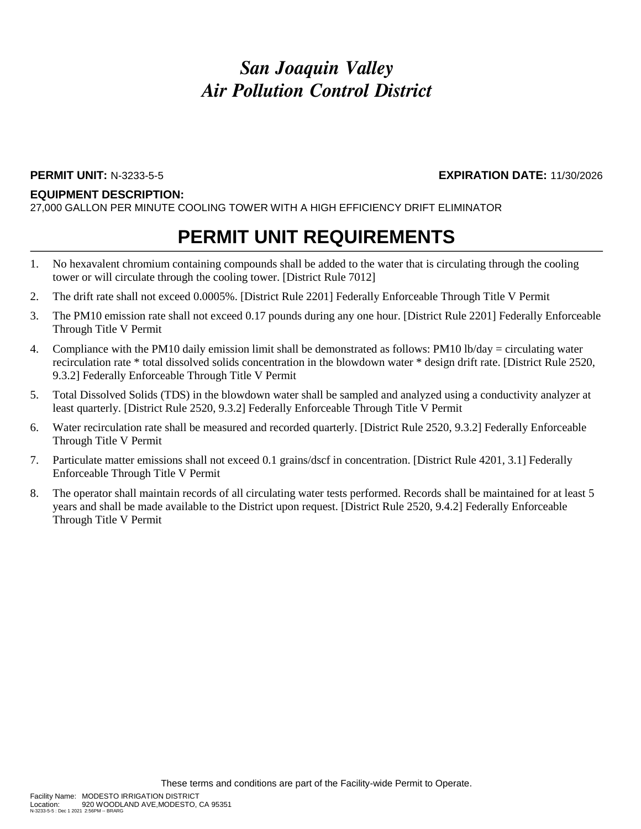#### **EQUIPMENT DESCRIPTION:**

27,000 GALLON PER MINUTE COOLING TOWER WITH A HIGH EFFICIENCY DRIFT ELIMINATOR

## **PERMIT UNIT REQUIREMENTS**

- 1. No hexavalent chromium containing compounds shall be added to the water that is circulating through the cooling tower or will circulate through the cooling tower. [District Rule 7012]
- 2. The drift rate shall not exceed 0.0005%. [District Rule 2201] Federally Enforceable Through Title V Permit
- 3. The PM10 emission rate shall not exceed 0.17 pounds during any one hour. [District Rule 2201] Federally Enforceable Through Title V Permit
- 4. Compliance with the PM10 daily emission limit shall be demonstrated as follows: PM10 lb/day = circulating water recirculation rate \* total dissolved solids concentration in the blowdown water \* design drift rate. [District Rule 2520, 9.3.2] Federally Enforceable Through Title V Permit
- 5. Total Dissolved Solids (TDS) in the blowdown water shall be sampled and analyzed using a conductivity analyzer at least quarterly. [District Rule 2520, 9.3.2] Federally Enforceable Through Title V Permit
- 6. Water recirculation rate shall be measured and recorded quarterly. [District Rule 2520, 9.3.2] Federally Enforceable Through Title V Permit
- 7. Particulate matter emissions shall not exceed 0.1 grains/dscf in concentration. [District Rule 4201, 3.1] Federally Enforceable Through Title V Permit
- 8. The operator shall maintain records of all circulating water tests performed. Records shall be maintained for at least 5 years and shall be made available to the District upon request. [District Rule 2520, 9.4.2] Federally Enforceable Through Title V Permit

**PERMIT UNIT:** N-3233-5-5 **EXPIRATION DATE:** 11/30/2026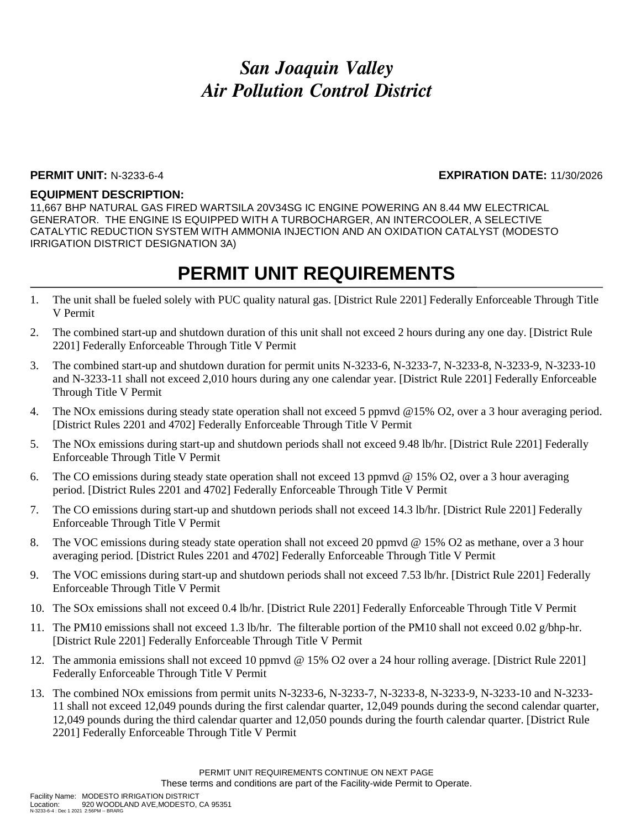### **PERMIT UNIT:** N-3233-6-4 **EXPIRATION DATE:** 11/30/2026

#### **EQUIPMENT DESCRIPTION:**

11,667 BHP NATURAL GAS FIRED WARTSILA 20V34SG IC ENGINE POWERING AN 8.44 MW ELECTRICAL GENERATOR. THE ENGINE IS EQUIPPED WITH A TURBOCHARGER, AN INTERCOOLER, A SELECTIVE CATALYTIC REDUCTION SYSTEM WITH AMMONIA INJECTION AND AN OXIDATION CATALYST (MODESTO IRRIGATION DISTRICT DESIGNATION 3A)

- 1. The unit shall be fueled solely with PUC quality natural gas. [District Rule 2201] Federally Enforceable Through Title V Permit
- 2. The combined start-up and shutdown duration of this unit shall not exceed 2 hours during any one day. [District Rule 2201] Federally Enforceable Through Title V Permit
- 3. The combined start-up and shutdown duration for permit units N-3233-6, N-3233-7, N-3233-8, N-3233-9, N-3233-10 and N-3233-11 shall not exceed 2,010 hours during any one calendar year. [District Rule 2201] Federally Enforceable Through Title V Permit
- 4. The NOx emissions during steady state operation shall not exceed 5 ppmvd @15% O2, over a 3 hour averaging period. [District Rules 2201 and 4702] Federally Enforceable Through Title V Permit
- 5. The NOx emissions during start-up and shutdown periods shall not exceed 9.48 lb/hr. [District Rule 2201] Federally Enforceable Through Title V Permit
- 6. The CO emissions during steady state operation shall not exceed 13 ppmvd @ 15% O2, over a 3 hour averaging period. [District Rules 2201 and 4702] Federally Enforceable Through Title V Permit
- 7. The CO emissions during start-up and shutdown periods shall not exceed 14.3 lb/hr. [District Rule 2201] Federally Enforceable Through Title V Permit
- 8. The VOC emissions during steady state operation shall not exceed 20 ppmvd @ 15% O2 as methane, over a 3 hour averaging period. [District Rules 2201 and 4702] Federally Enforceable Through Title V Permit
- 9. The VOC emissions during start-up and shutdown periods shall not exceed 7.53 lb/hr. [District Rule 2201] Federally Enforceable Through Title V Permit
- 10. The SOx emissions shall not exceed 0.4 lb/hr. [District Rule 2201] Federally Enforceable Through Title V Permit
- 11. The PM10 emissions shall not exceed 1.3 lb/hr. The filterable portion of the PM10 shall not exceed 0.02 g/bhp-hr. [District Rule 2201] Federally Enforceable Through Title V Permit
- 12. The ammonia emissions shall not exceed 10 ppmvd @ 15% O2 over a 24 hour rolling average. [District Rule 2201] Federally Enforceable Through Title V Permit
- 13. The combined NOx emissions from permit units N-3233-6, N-3233-7, N-3233-8, N-3233-9, N-3233-10 and N-3233- 11 shall not exceed 12,049 pounds during the first calendar quarter, 12,049 pounds during the second calendar quarter, 12,049 pounds during the third calendar quarter and 12,050 pounds during the fourth calendar quarter. [District Rule 2201] Federally Enforceable Through Title V Permit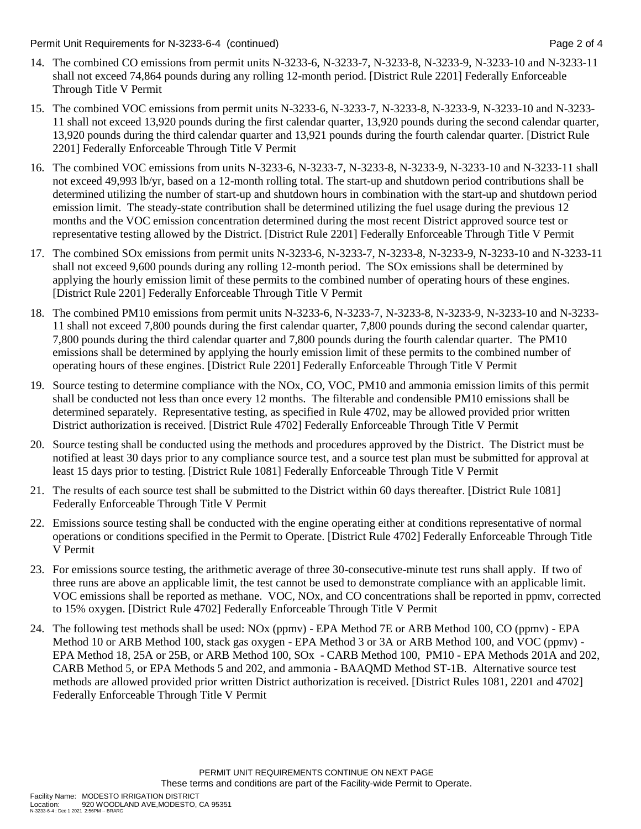Permit Unit Requirements for N-3233-6-4 (continued) Page 2 of 4

- 14. The combined CO emissions from permit units N-3233-6, N-3233-7, N-3233-8, N-3233-9, N-3233-10 and N-3233-11 shall not exceed 74,864 pounds during any rolling 12-month period. [District Rule 2201] Federally Enforceable Through Title V Permit
- 15. The combined VOC emissions from permit units N-3233-6, N-3233-7, N-3233-8, N-3233-9, N-3233-10 and N-3233- 11 shall not exceed 13,920 pounds during the first calendar quarter, 13,920 pounds during the second calendar quarter, 13,920 pounds during the third calendar quarter and 13,921 pounds during the fourth calendar quarter. [District Rule 2201] Federally Enforceable Through Title V Permit
- 16. The combined VOC emissions from units N-3233-6, N-3233-7, N-3233-8, N-3233-9, N-3233-10 and N-3233-11 shall not exceed 49,993 lb/yr, based on a 12-month rolling total. The start-up and shutdown period contributions shall be determined utilizing the number of start-up and shutdown hours in combination with the start-up and shutdown period emission limit. The steady-state contribution shall be determined utilizing the fuel usage during the previous 12 months and the VOC emission concentration determined during the most recent District approved source test or representative testing allowed by the District. [District Rule 2201] Federally Enforceable Through Title V Permit
- 17. The combined SOx emissions from permit units N-3233-6, N-3233-7, N-3233-8, N-3233-9, N-3233-10 and N-3233-11 shall not exceed 9,600 pounds during any rolling 12-month period. The SOx emissions shall be determined by applying the hourly emission limit of these permits to the combined number of operating hours of these engines. [District Rule 2201] Federally Enforceable Through Title V Permit
- 18. The combined PM10 emissions from permit units N-3233-6, N-3233-7, N-3233-8, N-3233-9, N-3233-10 and N-3233- 11 shall not exceed 7,800 pounds during the first calendar quarter, 7,800 pounds during the second calendar quarter, 7,800 pounds during the third calendar quarter and 7,800 pounds during the fourth calendar quarter. The PM10 emissions shall be determined by applying the hourly emission limit of these permits to the combined number of operating hours of these engines. [District Rule 2201] Federally Enforceable Through Title V Permit
- 19. Source testing to determine compliance with the NOx, CO, VOC, PM10 and ammonia emission limits of this permit shall be conducted not less than once every 12 months. The filterable and condensible PM10 emissions shall be determined separately. Representative testing, as specified in Rule 4702, may be allowed provided prior written District authorization is received. [District Rule 4702] Federally Enforceable Through Title V Permit
- 20. Source testing shall be conducted using the methods and procedures approved by the District. The District must be notified at least 30 days prior to any compliance source test, and a source test plan must be submitted for approval at least 15 days prior to testing. [District Rule 1081] Federally Enforceable Through Title V Permit
- 21. The results of each source test shall be submitted to the District within 60 days thereafter. [District Rule 1081] Federally Enforceable Through Title V Permit
- 22. Emissions source testing shall be conducted with the engine operating either at conditions representative of normal operations or conditions specified in the Permit to Operate. [District Rule 4702] Federally Enforceable Through Title V Permit
- 23. For emissions source testing, the arithmetic average of three 30-consecutive-minute test runs shall apply. If two of three runs are above an applicable limit, the test cannot be used to demonstrate compliance with an applicable limit. VOC emissions shall be reported as methane. VOC, NOx, and CO concentrations shall be reported in ppmv, corrected to 15% oxygen. [District Rule 4702] Federally Enforceable Through Title V Permit
- 24. The following test methods shall be used: NOx (ppmv) EPA Method 7E or ARB Method 100, CO (ppmv) EPA Method 10 or ARB Method 100, stack gas oxygen - EPA Method 3 or 3A or ARB Method 100, and VOC (ppmv) - EPA Method 18, 25A or 25B, or ARB Method 100, SOx - CARB Method 100, PM10 - EPA Methods 201A and 202, CARB Method 5, or EPA Methods 5 and 202, and ammonia - BAAQMD Method ST-1B. Alternative source test methods are allowed provided prior written District authorization is received. [District Rules 1081, 2201 and 4702] Federally Enforceable Through Title V Permit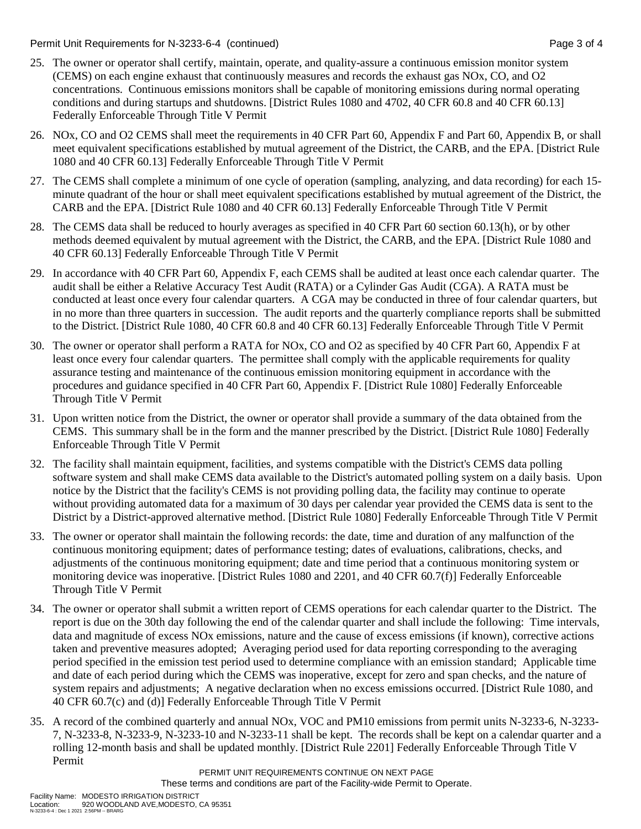Permit Unit Requirements for N-3233-6-4 (continued) Page 3 of 4

- 25. The owner or operator shall certify, maintain, operate, and quality-assure a continuous emission monitor system (CEMS) on each engine exhaust that continuously measures and records the exhaust gas NOx, CO, and O2 concentrations. Continuous emissions monitors shall be capable of monitoring emissions during normal operating conditions and during startups and shutdowns. [District Rules 1080 and 4702, 40 CFR 60.8 and 40 CFR 60.13] Federally Enforceable Through Title V Permit
- 26. NOx, CO and O2 CEMS shall meet the requirements in 40 CFR Part 60, Appendix F and Part 60, Appendix B, or shall meet equivalent specifications established by mutual agreement of the District, the CARB, and the EPA. [District Rule 1080 and 40 CFR 60.13] Federally Enforceable Through Title V Permit
- 27. The CEMS shall complete a minimum of one cycle of operation (sampling, analyzing, and data recording) for each 15 minute quadrant of the hour or shall meet equivalent specifications established by mutual agreement of the District, the CARB and the EPA. [District Rule 1080 and 40 CFR 60.13] Federally Enforceable Through Title V Permit
- 28. The CEMS data shall be reduced to hourly averages as specified in 40 CFR Part 60 section 60.13(h), or by other methods deemed equivalent by mutual agreement with the District, the CARB, and the EPA. [District Rule 1080 and 40 CFR 60.13] Federally Enforceable Through Title V Permit
- 29. In accordance with 40 CFR Part 60, Appendix F, each CEMS shall be audited at least once each calendar quarter. The audit shall be either a Relative Accuracy Test Audit (RATA) or a Cylinder Gas Audit (CGA). A RATA must be conducted at least once every four calendar quarters. A CGA may be conducted in three of four calendar quarters, but in no more than three quarters in succession. The audit reports and the quarterly compliance reports shall be submitted to the District. [District Rule 1080, 40 CFR 60.8 and 40 CFR 60.13] Federally Enforceable Through Title V Permit
- 30. The owner or operator shall perform a RATA for NOx, CO and O2 as specified by 40 CFR Part 60, Appendix F at least once every four calendar quarters. The permittee shall comply with the applicable requirements for quality assurance testing and maintenance of the continuous emission monitoring equipment in accordance with the procedures and guidance specified in 40 CFR Part 60, Appendix F. [District Rule 1080] Federally Enforceable Through Title V Permit
- 31. Upon written notice from the District, the owner or operator shall provide a summary of the data obtained from the CEMS. This summary shall be in the form and the manner prescribed by the District. [District Rule 1080] Federally Enforceable Through Title V Permit
- 32. The facility shall maintain equipment, facilities, and systems compatible with the District's CEMS data polling software system and shall make CEMS data available to the District's automated polling system on a daily basis. Upon notice by the District that the facility's CEMS is not providing polling data, the facility may continue to operate without providing automated data for a maximum of 30 days per calendar year provided the CEMS data is sent to the District by a District-approved alternative method. [District Rule 1080] Federally Enforceable Through Title V Permit
- 33. The owner or operator shall maintain the following records: the date, time and duration of any malfunction of the continuous monitoring equipment; dates of performance testing; dates of evaluations, calibrations, checks, and adjustments of the continuous monitoring equipment; date and time period that a continuous monitoring system or monitoring device was inoperative. [District Rules 1080 and 2201, and 40 CFR 60.7(f)] Federally Enforceable Through Title V Permit
- 34. The owner or operator shall submit a written report of CEMS operations for each calendar quarter to the District. The report is due on the 30th day following the end of the calendar quarter and shall include the following: Time intervals, data and magnitude of excess NOx emissions, nature and the cause of excess emissions (if known), corrective actions taken and preventive measures adopted; Averaging period used for data reporting corresponding to the averaging period specified in the emission test period used to determine compliance with an emission standard; Applicable time and date of each period during which the CEMS was inoperative, except for zero and span checks, and the nature of system repairs and adjustments; A negative declaration when no excess emissions occurred. [District Rule 1080, and 40 CFR 60.7(c) and (d)] Federally Enforceable Through Title V Permit
- 35. A record of the combined quarterly and annual NOx, VOC and PM10 emissions from permit units N-3233-6, N-3233- 7, N-3233-8, N-3233-9, N-3233-10 and N-3233-11 shall be kept. The records shall be kept on a calendar quarter and a rolling 12-month basis and shall be updated monthly. [District Rule 2201] Federally Enforceable Through Title V Permit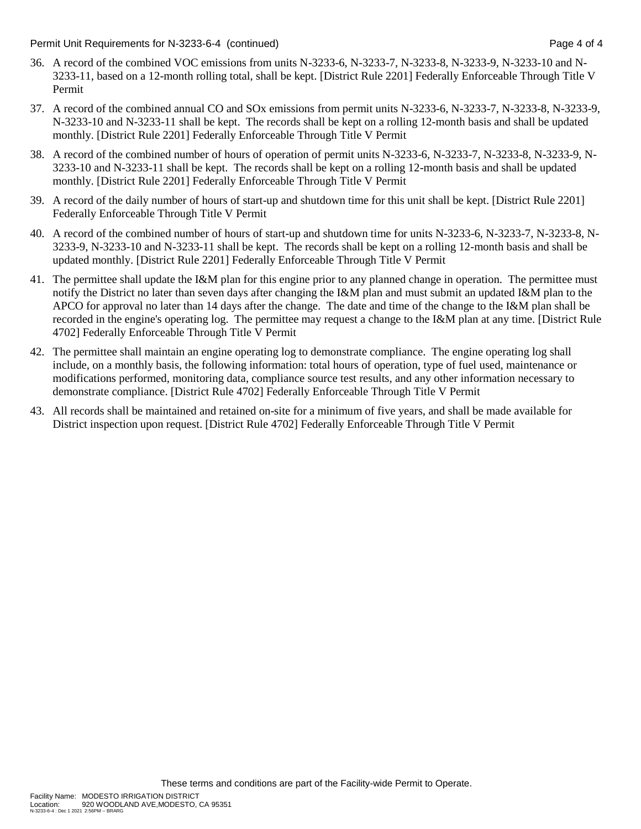Permit Unit Requirements for N-3233-6-4 (continued) Page 4 of 4

- 36. A record of the combined VOC emissions from units N-3233-6, N-3233-7, N-3233-8, N-3233-9, N-3233-10 and N-3233-11, based on a 12-month rolling total, shall be kept. [District Rule 2201] Federally Enforceable Through Title V Permit
- 37. A record of the combined annual CO and SOx emissions from permit units N-3233-6, N-3233-7, N-3233-8, N-3233-9, N-3233-10 and N-3233-11 shall be kept. The records shall be kept on a rolling 12-month basis and shall be updated monthly. [District Rule 2201] Federally Enforceable Through Title V Permit
- 38. A record of the combined number of hours of operation of permit units N-3233-6, N-3233-7, N-3233-8, N-3233-9, N-3233-10 and N-3233-11 shall be kept. The records shall be kept on a rolling 12-month basis and shall be updated monthly. [District Rule 2201] Federally Enforceable Through Title V Permit
- 39. A record of the daily number of hours of start-up and shutdown time for this unit shall be kept. [District Rule 2201] Federally Enforceable Through Title V Permit
- 40. A record of the combined number of hours of start-up and shutdown time for units N-3233-6, N-3233-7, N-3233-8, N-3233-9, N-3233-10 and N-3233-11 shall be kept. The records shall be kept on a rolling 12-month basis and shall be updated monthly. [District Rule 2201] Federally Enforceable Through Title V Permit
- 41. The permittee shall update the I&M plan for this engine prior to any planned change in operation. The permittee must notify the District no later than seven days after changing the I&M plan and must submit an updated I&M plan to the APCO for approval no later than 14 days after the change. The date and time of the change to the I&M plan shall be recorded in the engine's operating log. The permittee may request a change to the I&M plan at any time. [District Rule 4702] Federally Enforceable Through Title V Permit
- 42. The permittee shall maintain an engine operating log to demonstrate compliance. The engine operating log shall include, on a monthly basis, the following information: total hours of operation, type of fuel used, maintenance or modifications performed, monitoring data, compliance source test results, and any other information necessary to demonstrate compliance. [District Rule 4702] Federally Enforceable Through Title V Permit
- 43. All records shall be maintained and retained on-site for a minimum of five years, and shall be made available for District inspection upon request. [District Rule 4702] Federally Enforceable Through Title V Permit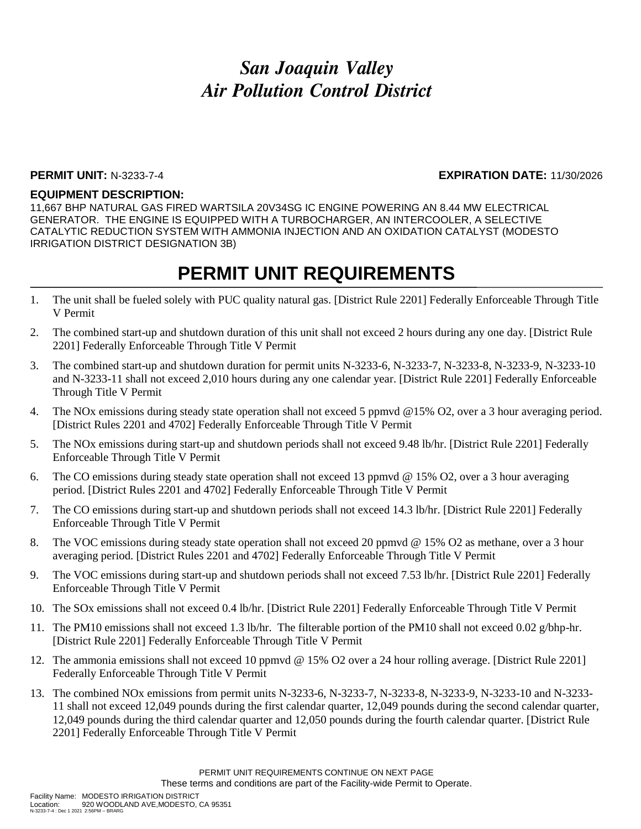#### **PERMIT UNIT:** N-3233-7-4 **EXPIRATION DATE:** 11/30/2026

#### **EQUIPMENT DESCRIPTION:**

11,667 BHP NATURAL GAS FIRED WARTSILA 20V34SG IC ENGINE POWERING AN 8.44 MW ELECTRICAL GENERATOR. THE ENGINE IS EQUIPPED WITH A TURBOCHARGER, AN INTERCOOLER, A SELECTIVE CATALYTIC REDUCTION SYSTEM WITH AMMONIA INJECTION AND AN OXIDATION CATALYST (MODESTO IRRIGATION DISTRICT DESIGNATION 3B)

- 1. The unit shall be fueled solely with PUC quality natural gas. [District Rule 2201] Federally Enforceable Through Title V Permit
- 2. The combined start-up and shutdown duration of this unit shall not exceed 2 hours during any one day. [District Rule 2201] Federally Enforceable Through Title V Permit
- 3. The combined start-up and shutdown duration for permit units N-3233-6, N-3233-7, N-3233-8, N-3233-9, N-3233-10 and N-3233-11 shall not exceed 2,010 hours during any one calendar year. [District Rule 2201] Federally Enforceable Through Title V Permit
- 4. The NOx emissions during steady state operation shall not exceed 5 ppmvd @15% O2, over a 3 hour averaging period. [District Rules 2201 and 4702] Federally Enforceable Through Title V Permit
- 5. The NOx emissions during start-up and shutdown periods shall not exceed 9.48 lb/hr. [District Rule 2201] Federally Enforceable Through Title V Permit
- 6. The CO emissions during steady state operation shall not exceed 13 ppmvd @ 15% O2, over a 3 hour averaging period. [District Rules 2201 and 4702] Federally Enforceable Through Title V Permit
- 7. The CO emissions during start-up and shutdown periods shall not exceed 14.3 lb/hr. [District Rule 2201] Federally Enforceable Through Title V Permit
- 8. The VOC emissions during steady state operation shall not exceed 20 ppmvd @ 15% O2 as methane, over a 3 hour averaging period. [District Rules 2201 and 4702] Federally Enforceable Through Title V Permit
- 9. The VOC emissions during start-up and shutdown periods shall not exceed 7.53 lb/hr. [District Rule 2201] Federally Enforceable Through Title V Permit
- 10. The SOx emissions shall not exceed 0.4 lb/hr. [District Rule 2201] Federally Enforceable Through Title V Permit
- 11. The PM10 emissions shall not exceed 1.3 lb/hr. The filterable portion of the PM10 shall not exceed 0.02 g/bhp-hr. [District Rule 2201] Federally Enforceable Through Title V Permit
- 12. The ammonia emissions shall not exceed 10 ppmvd @ 15% O2 over a 24 hour rolling average. [District Rule 2201] Federally Enforceable Through Title V Permit
- 13. The combined NOx emissions from permit units N-3233-6, N-3233-7, N-3233-8, N-3233-9, N-3233-10 and N-3233- 11 shall not exceed 12,049 pounds during the first calendar quarter, 12,049 pounds during the second calendar quarter, 12,049 pounds during the third calendar quarter and 12,050 pounds during the fourth calendar quarter. [District Rule 2201] Federally Enforceable Through Title V Permit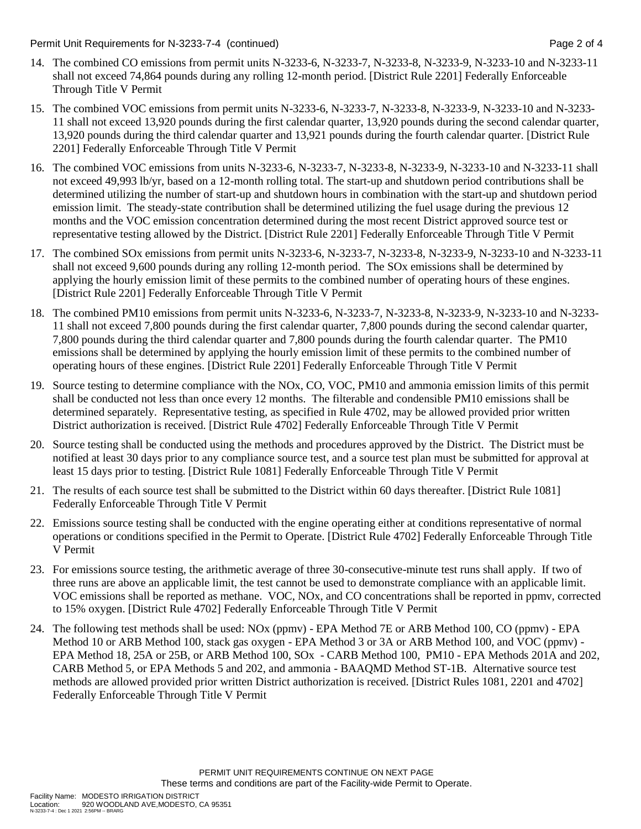Permit Unit Requirements for N-3233-7-4 (continued) Page 2 of 4

- 14. The combined CO emissions from permit units N-3233-6, N-3233-7, N-3233-8, N-3233-9, N-3233-10 and N-3233-11 shall not exceed 74,864 pounds during any rolling 12-month period. [District Rule 2201] Federally Enforceable Through Title V Permit
- 15. The combined VOC emissions from permit units N-3233-6, N-3233-7, N-3233-8, N-3233-9, N-3233-10 and N-3233- 11 shall not exceed 13,920 pounds during the first calendar quarter, 13,920 pounds during the second calendar quarter, 13,920 pounds during the third calendar quarter and 13,921 pounds during the fourth calendar quarter. [District Rule 2201] Federally Enforceable Through Title V Permit
- 16. The combined VOC emissions from units N-3233-6, N-3233-7, N-3233-8, N-3233-9, N-3233-10 and N-3233-11 shall not exceed 49,993 lb/yr, based on a 12-month rolling total. The start-up and shutdown period contributions shall be determined utilizing the number of start-up and shutdown hours in combination with the start-up and shutdown period emission limit. The steady-state contribution shall be determined utilizing the fuel usage during the previous 12 months and the VOC emission concentration determined during the most recent District approved source test or representative testing allowed by the District. [District Rule 2201] Federally Enforceable Through Title V Permit
- 17. The combined SOx emissions from permit units N-3233-6, N-3233-7, N-3233-8, N-3233-9, N-3233-10 and N-3233-11 shall not exceed 9,600 pounds during any rolling 12-month period. The SOx emissions shall be determined by applying the hourly emission limit of these permits to the combined number of operating hours of these engines. [District Rule 2201] Federally Enforceable Through Title V Permit
- 18. The combined PM10 emissions from permit units N-3233-6, N-3233-7, N-3233-8, N-3233-9, N-3233-10 and N-3233- 11 shall not exceed 7,800 pounds during the first calendar quarter, 7,800 pounds during the second calendar quarter, 7,800 pounds during the third calendar quarter and 7,800 pounds during the fourth calendar quarter. The PM10 emissions shall be determined by applying the hourly emission limit of these permits to the combined number of operating hours of these engines. [District Rule 2201] Federally Enforceable Through Title V Permit
- 19. Source testing to determine compliance with the NOx, CO, VOC, PM10 and ammonia emission limits of this permit shall be conducted not less than once every 12 months. The filterable and condensible PM10 emissions shall be determined separately. Representative testing, as specified in Rule 4702, may be allowed provided prior written District authorization is received. [District Rule 4702] Federally Enforceable Through Title V Permit
- 20. Source testing shall be conducted using the methods and procedures approved by the District. The District must be notified at least 30 days prior to any compliance source test, and a source test plan must be submitted for approval at least 15 days prior to testing. [District Rule 1081] Federally Enforceable Through Title V Permit
- 21. The results of each source test shall be submitted to the District within 60 days thereafter. [District Rule 1081] Federally Enforceable Through Title V Permit
- 22. Emissions source testing shall be conducted with the engine operating either at conditions representative of normal operations or conditions specified in the Permit to Operate. [District Rule 4702] Federally Enforceable Through Title V Permit
- 23. For emissions source testing, the arithmetic average of three 30-consecutive-minute test runs shall apply. If two of three runs are above an applicable limit, the test cannot be used to demonstrate compliance with an applicable limit. VOC emissions shall be reported as methane. VOC, NOx, and CO concentrations shall be reported in ppmv, corrected to 15% oxygen. [District Rule 4702] Federally Enforceable Through Title V Permit
- 24. The following test methods shall be used: NOx (ppmv) EPA Method 7E or ARB Method 100, CO (ppmv) EPA Method 10 or ARB Method 100, stack gas oxygen - EPA Method 3 or 3A or ARB Method 100, and VOC (ppmv) - EPA Method 18, 25A or 25B, or ARB Method 100, SOx - CARB Method 100, PM10 - EPA Methods 201A and 202, CARB Method 5, or EPA Methods 5 and 202, and ammonia - BAAQMD Method ST-1B. Alternative source test methods are allowed provided prior written District authorization is received. [District Rules 1081, 2201 and 4702] Federally Enforceable Through Title V Permit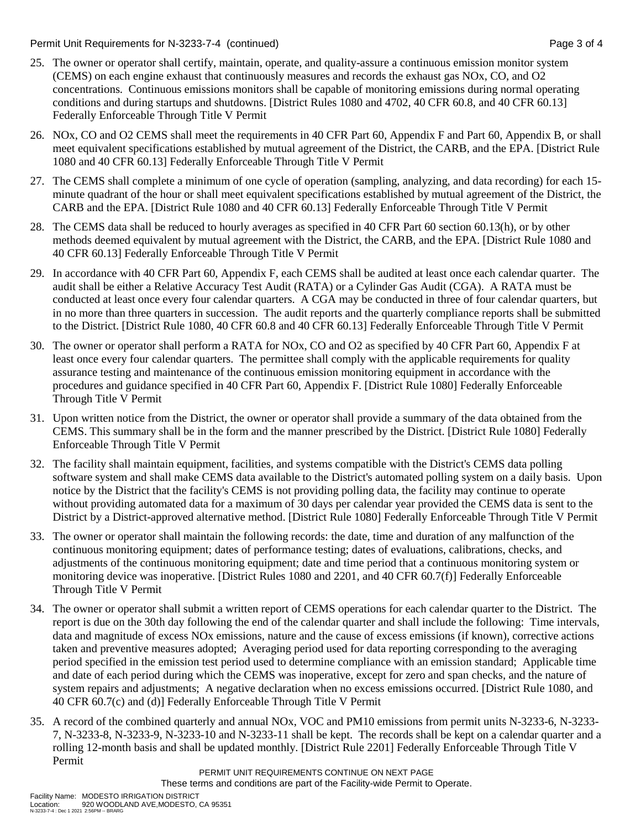Permit Unit Requirements for N-3233-7-4 (continued) Page 3 of 4

- 25. The owner or operator shall certify, maintain, operate, and quality-assure a continuous emission monitor system (CEMS) on each engine exhaust that continuously measures and records the exhaust gas NOx, CO, and O2 concentrations. Continuous emissions monitors shall be capable of monitoring emissions during normal operating conditions and during startups and shutdowns. [District Rules 1080 and 4702, 40 CFR 60.8, and 40 CFR 60.13] Federally Enforceable Through Title V Permit
- 26. NOx, CO and O2 CEMS shall meet the requirements in 40 CFR Part 60, Appendix F and Part 60, Appendix B, or shall meet equivalent specifications established by mutual agreement of the District, the CARB, and the EPA. [District Rule 1080 and 40 CFR 60.13] Federally Enforceable Through Title V Permit
- 27. The CEMS shall complete a minimum of one cycle of operation (sampling, analyzing, and data recording) for each 15 minute quadrant of the hour or shall meet equivalent specifications established by mutual agreement of the District, the CARB and the EPA. [District Rule 1080 and 40 CFR 60.13] Federally Enforceable Through Title V Permit
- 28. The CEMS data shall be reduced to hourly averages as specified in 40 CFR Part 60 section 60.13(h), or by other methods deemed equivalent by mutual agreement with the District, the CARB, and the EPA. [District Rule 1080 and 40 CFR 60.13] Federally Enforceable Through Title V Permit
- 29. In accordance with 40 CFR Part 60, Appendix F, each CEMS shall be audited at least once each calendar quarter. The audit shall be either a Relative Accuracy Test Audit (RATA) or a Cylinder Gas Audit (CGA). A RATA must be conducted at least once every four calendar quarters. A CGA may be conducted in three of four calendar quarters, but in no more than three quarters in succession. The audit reports and the quarterly compliance reports shall be submitted to the District. [District Rule 1080, 40 CFR 60.8 and 40 CFR 60.13] Federally Enforceable Through Title V Permit
- 30. The owner or operator shall perform a RATA for NOx, CO and O2 as specified by 40 CFR Part 60, Appendix F at least once every four calendar quarters. The permittee shall comply with the applicable requirements for quality assurance testing and maintenance of the continuous emission monitoring equipment in accordance with the procedures and guidance specified in 40 CFR Part 60, Appendix F. [District Rule 1080] Federally Enforceable Through Title V Permit
- 31. Upon written notice from the District, the owner or operator shall provide a summary of the data obtained from the CEMS. This summary shall be in the form and the manner prescribed by the District. [District Rule 1080] Federally Enforceable Through Title V Permit
- 32. The facility shall maintain equipment, facilities, and systems compatible with the District's CEMS data polling software system and shall make CEMS data available to the District's automated polling system on a daily basis. Upon notice by the District that the facility's CEMS is not providing polling data, the facility may continue to operate without providing automated data for a maximum of 30 days per calendar year provided the CEMS data is sent to the District by a District-approved alternative method. [District Rule 1080] Federally Enforceable Through Title V Permit
- 33. The owner or operator shall maintain the following records: the date, time and duration of any malfunction of the continuous monitoring equipment; dates of performance testing; dates of evaluations, calibrations, checks, and adjustments of the continuous monitoring equipment; date and time period that a continuous monitoring system or monitoring device was inoperative. [District Rules 1080 and 2201, and 40 CFR 60.7(f)] Federally Enforceable Through Title V Permit
- 34. The owner or operator shall submit a written report of CEMS operations for each calendar quarter to the District. The report is due on the 30th day following the end of the calendar quarter and shall include the following: Time intervals, data and magnitude of excess NOx emissions, nature and the cause of excess emissions (if known), corrective actions taken and preventive measures adopted; Averaging period used for data reporting corresponding to the averaging period specified in the emission test period used to determine compliance with an emission standard; Applicable time and date of each period during which the CEMS was inoperative, except for zero and span checks, and the nature of system repairs and adjustments; A negative declaration when no excess emissions occurred. [District Rule 1080, and 40 CFR 60.7(c) and (d)] Federally Enforceable Through Title V Permit
- 35. A record of the combined quarterly and annual NOx, VOC and PM10 emissions from permit units N-3233-6, N-3233- 7, N-3233-8, N-3233-9, N-3233-10 and N-3233-11 shall be kept. The records shall be kept on a calendar quarter and a rolling 12-month basis and shall be updated monthly. [District Rule 2201] Federally Enforceable Through Title V Permit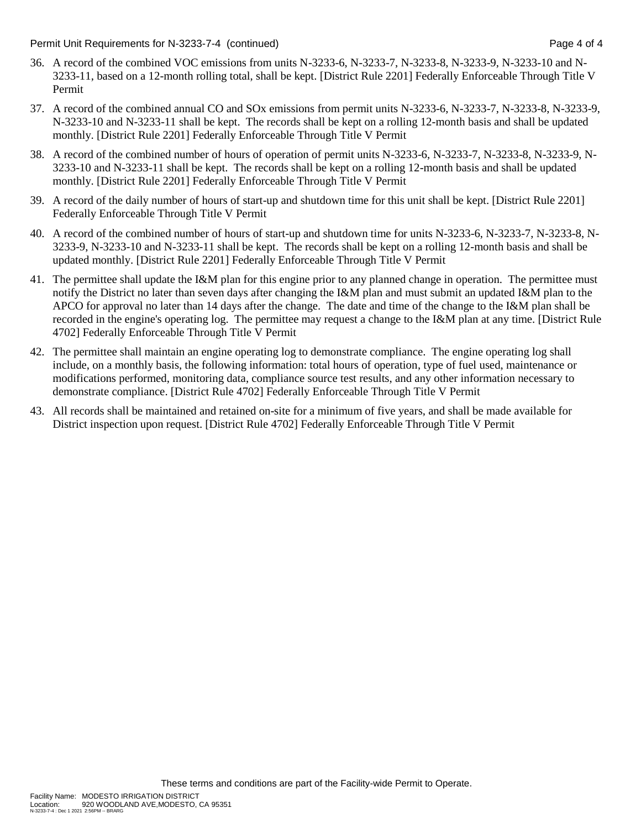Permit Unit Requirements for N-3233-7-4 (continued) Page 4 of 4

- 36. A record of the combined VOC emissions from units N-3233-6, N-3233-7, N-3233-8, N-3233-9, N-3233-10 and N-3233-11, based on a 12-month rolling total, shall be kept. [District Rule 2201] Federally Enforceable Through Title V Permit
- 37. A record of the combined annual CO and SOx emissions from permit units N-3233-6, N-3233-7, N-3233-8, N-3233-9, N-3233-10 and N-3233-11 shall be kept. The records shall be kept on a rolling 12-month basis and shall be updated monthly. [District Rule 2201] Federally Enforceable Through Title V Permit
- 38. A record of the combined number of hours of operation of permit units N-3233-6, N-3233-7, N-3233-8, N-3233-9, N-3233-10 and N-3233-11 shall be kept. The records shall be kept on a rolling 12-month basis and shall be updated monthly. [District Rule 2201] Federally Enforceable Through Title V Permit
- 39. A record of the daily number of hours of start-up and shutdown time for this unit shall be kept. [District Rule 2201] Federally Enforceable Through Title V Permit
- 40. A record of the combined number of hours of start-up and shutdown time for units N-3233-6, N-3233-7, N-3233-8, N-3233-9, N-3233-10 and N-3233-11 shall be kept. The records shall be kept on a rolling 12-month basis and shall be updated monthly. [District Rule 2201] Federally Enforceable Through Title V Permit
- 41. The permittee shall update the I&M plan for this engine prior to any planned change in operation. The permittee must notify the District no later than seven days after changing the I&M plan and must submit an updated I&M plan to the APCO for approval no later than 14 days after the change. The date and time of the change to the I&M plan shall be recorded in the engine's operating log. The permittee may request a change to the I&M plan at any time. [District Rule 4702] Federally Enforceable Through Title V Permit
- 42. The permittee shall maintain an engine operating log to demonstrate compliance. The engine operating log shall include, on a monthly basis, the following information: total hours of operation, type of fuel used, maintenance or modifications performed, monitoring data, compliance source test results, and any other information necessary to demonstrate compliance. [District Rule 4702] Federally Enforceable Through Title V Permit
- 43. All records shall be maintained and retained on-site for a minimum of five years, and shall be made available for District inspection upon request. [District Rule 4702] Federally Enforceable Through Title V Permit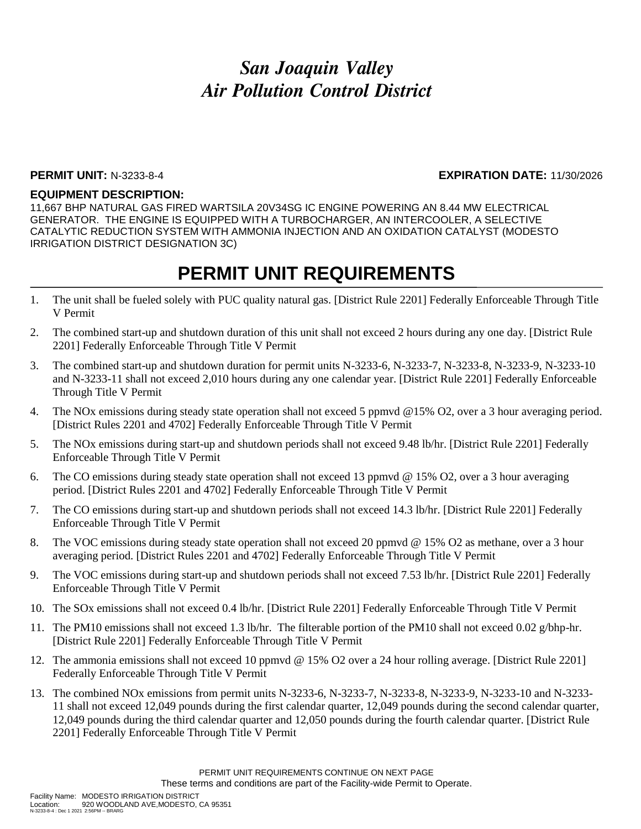### **PERMIT UNIT:** N-3233-8-4 **EXPIRATION DATE:** 11/30/2026

#### **EQUIPMENT DESCRIPTION:**

11,667 BHP NATURAL GAS FIRED WARTSILA 20V34SG IC ENGINE POWERING AN 8.44 MW ELECTRICAL GENERATOR. THE ENGINE IS EQUIPPED WITH A TURBOCHARGER, AN INTERCOOLER, A SELECTIVE CATALYTIC REDUCTION SYSTEM WITH AMMONIA INJECTION AND AN OXIDATION CATALYST (MODESTO IRRIGATION DISTRICT DESIGNATION 3C)

- 1. The unit shall be fueled solely with PUC quality natural gas. [District Rule 2201] Federally Enforceable Through Title V Permit
- 2. The combined start-up and shutdown duration of this unit shall not exceed 2 hours during any one day. [District Rule 2201] Federally Enforceable Through Title V Permit
- 3. The combined start-up and shutdown duration for permit units N-3233-6, N-3233-7, N-3233-8, N-3233-9, N-3233-10 and N-3233-11 shall not exceed 2,010 hours during any one calendar year. [District Rule 2201] Federally Enforceable Through Title V Permit
- 4. The NOx emissions during steady state operation shall not exceed 5 ppmvd @15% O2, over a 3 hour averaging period. [District Rules 2201 and 4702] Federally Enforceable Through Title V Permit
- 5. The NOx emissions during start-up and shutdown periods shall not exceed 9.48 lb/hr. [District Rule 2201] Federally Enforceable Through Title V Permit
- 6. The CO emissions during steady state operation shall not exceed 13 ppmvd @ 15% O2, over a 3 hour averaging period. [District Rules 2201 and 4702] Federally Enforceable Through Title V Permit
- 7. The CO emissions during start-up and shutdown periods shall not exceed 14.3 lb/hr. [District Rule 2201] Federally Enforceable Through Title V Permit
- 8. The VOC emissions during steady state operation shall not exceed 20 ppmvd @ 15% O2 as methane, over a 3 hour averaging period. [District Rules 2201 and 4702] Federally Enforceable Through Title V Permit
- 9. The VOC emissions during start-up and shutdown periods shall not exceed 7.53 lb/hr. [District Rule 2201] Federally Enforceable Through Title V Permit
- 10. The SOx emissions shall not exceed 0.4 lb/hr. [District Rule 2201] Federally Enforceable Through Title V Permit
- 11. The PM10 emissions shall not exceed 1.3 lb/hr. The filterable portion of the PM10 shall not exceed 0.02 g/bhp-hr. [District Rule 2201] Federally Enforceable Through Title V Permit
- 12. The ammonia emissions shall not exceed 10 ppmvd @ 15% O2 over a 24 hour rolling average. [District Rule 2201] Federally Enforceable Through Title V Permit
- 13. The combined NOx emissions from permit units N-3233-6, N-3233-7, N-3233-8, N-3233-9, N-3233-10 and N-3233- 11 shall not exceed 12,049 pounds during the first calendar quarter, 12,049 pounds during the second calendar quarter, 12,049 pounds during the third calendar quarter and 12,050 pounds during the fourth calendar quarter. [District Rule 2201] Federally Enforceable Through Title V Permit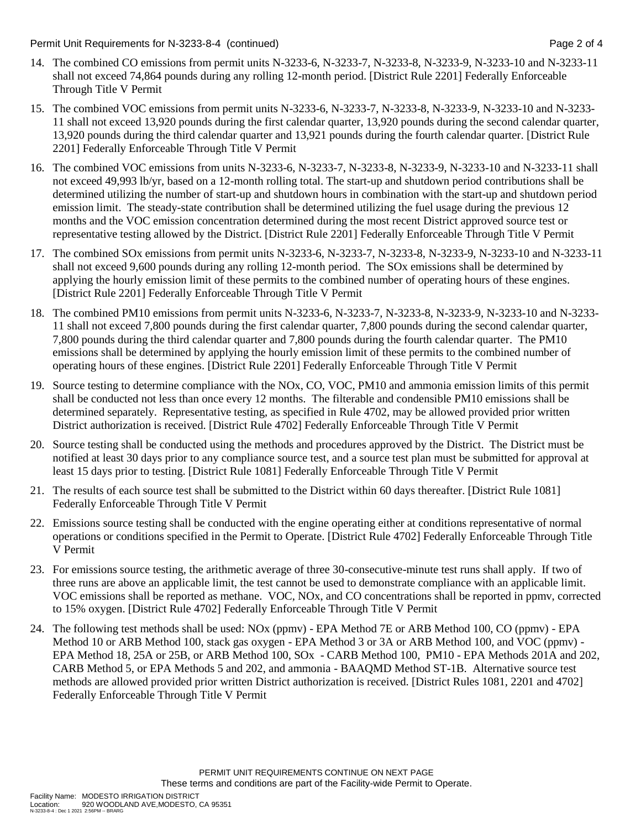Permit Unit Requirements for N-3233-8-4 (continued) Page 2 of 4

- 14. The combined CO emissions from permit units N-3233-6, N-3233-7, N-3233-8, N-3233-9, N-3233-10 and N-3233-11 shall not exceed 74,864 pounds during any rolling 12-month period. [District Rule 2201] Federally Enforceable Through Title V Permit
- 15. The combined VOC emissions from permit units N-3233-6, N-3233-7, N-3233-8, N-3233-9, N-3233-10 and N-3233- 11 shall not exceed 13,920 pounds during the first calendar quarter, 13,920 pounds during the second calendar quarter, 13,920 pounds during the third calendar quarter and 13,921 pounds during the fourth calendar quarter. [District Rule 2201] Federally Enforceable Through Title V Permit
- 16. The combined VOC emissions from units N-3233-6, N-3233-7, N-3233-8, N-3233-9, N-3233-10 and N-3233-11 shall not exceed 49,993 lb/yr, based on a 12-month rolling total. The start-up and shutdown period contributions shall be determined utilizing the number of start-up and shutdown hours in combination with the start-up and shutdown period emission limit. The steady-state contribution shall be determined utilizing the fuel usage during the previous 12 months and the VOC emission concentration determined during the most recent District approved source test or representative testing allowed by the District. [District Rule 2201] Federally Enforceable Through Title V Permit
- 17. The combined SOx emissions from permit units N-3233-6, N-3233-7, N-3233-8, N-3233-9, N-3233-10 and N-3233-11 shall not exceed 9,600 pounds during any rolling 12-month period. The SOx emissions shall be determined by applying the hourly emission limit of these permits to the combined number of operating hours of these engines. [District Rule 2201] Federally Enforceable Through Title V Permit
- 18. The combined PM10 emissions from permit units N-3233-6, N-3233-7, N-3233-8, N-3233-9, N-3233-10 and N-3233- 11 shall not exceed 7,800 pounds during the first calendar quarter, 7,800 pounds during the second calendar quarter, 7,800 pounds during the third calendar quarter and 7,800 pounds during the fourth calendar quarter. The PM10 emissions shall be determined by applying the hourly emission limit of these permits to the combined number of operating hours of these engines. [District Rule 2201] Federally Enforceable Through Title V Permit
- 19. Source testing to determine compliance with the NOx, CO, VOC, PM10 and ammonia emission limits of this permit shall be conducted not less than once every 12 months. The filterable and condensible PM10 emissions shall be determined separately. Representative testing, as specified in Rule 4702, may be allowed provided prior written District authorization is received. [District Rule 4702] Federally Enforceable Through Title V Permit
- 20. Source testing shall be conducted using the methods and procedures approved by the District. The District must be notified at least 30 days prior to any compliance source test, and a source test plan must be submitted for approval at least 15 days prior to testing. [District Rule 1081] Federally Enforceable Through Title V Permit
- 21. The results of each source test shall be submitted to the District within 60 days thereafter. [District Rule 1081] Federally Enforceable Through Title V Permit
- 22. Emissions source testing shall be conducted with the engine operating either at conditions representative of normal operations or conditions specified in the Permit to Operate. [District Rule 4702] Federally Enforceable Through Title V Permit
- 23. For emissions source testing, the arithmetic average of three 30-consecutive-minute test runs shall apply. If two of three runs are above an applicable limit, the test cannot be used to demonstrate compliance with an applicable limit. VOC emissions shall be reported as methane. VOC, NOx, and CO concentrations shall be reported in ppmv, corrected to 15% oxygen. [District Rule 4702] Federally Enforceable Through Title V Permit
- 24. The following test methods shall be used: NOx (ppmv) EPA Method 7E or ARB Method 100, CO (ppmv) EPA Method 10 or ARB Method 100, stack gas oxygen - EPA Method 3 or 3A or ARB Method 100, and VOC (ppmv) - EPA Method 18, 25A or 25B, or ARB Method 100, SOx - CARB Method 100, PM10 - EPA Methods 201A and 202, CARB Method 5, or EPA Methods 5 and 202, and ammonia - BAAQMD Method ST-1B. Alternative source test methods are allowed provided prior written District authorization is received. [District Rules 1081, 2201 and 4702] Federally Enforceable Through Title V Permit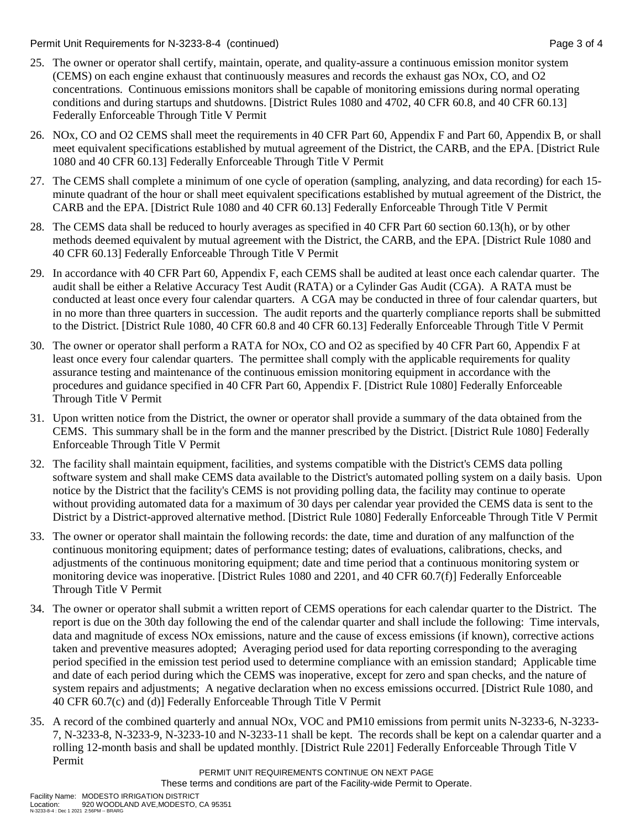Permit Unit Requirements for N-3233-8-4 (continued) Page 3 of 4

- 25. The owner or operator shall certify, maintain, operate, and quality-assure a continuous emission monitor system (CEMS) on each engine exhaust that continuously measures and records the exhaust gas NOx, CO, and O2 concentrations. Continuous emissions monitors shall be capable of monitoring emissions during normal operating conditions and during startups and shutdowns. [District Rules 1080 and 4702, 40 CFR 60.8, and 40 CFR 60.13] Federally Enforceable Through Title V Permit
- 26. NOx, CO and O2 CEMS shall meet the requirements in 40 CFR Part 60, Appendix F and Part 60, Appendix B, or shall meet equivalent specifications established by mutual agreement of the District, the CARB, and the EPA. [District Rule 1080 and 40 CFR 60.13] Federally Enforceable Through Title V Permit
- 27. The CEMS shall complete a minimum of one cycle of operation (sampling, analyzing, and data recording) for each 15 minute quadrant of the hour or shall meet equivalent specifications established by mutual agreement of the District, the CARB and the EPA. [District Rule 1080 and 40 CFR 60.13] Federally Enforceable Through Title V Permit
- 28. The CEMS data shall be reduced to hourly averages as specified in 40 CFR Part 60 section 60.13(h), or by other methods deemed equivalent by mutual agreement with the District, the CARB, and the EPA. [District Rule 1080 and 40 CFR 60.13] Federally Enforceable Through Title V Permit
- 29. In accordance with 40 CFR Part 60, Appendix F, each CEMS shall be audited at least once each calendar quarter. The audit shall be either a Relative Accuracy Test Audit (RATA) or a Cylinder Gas Audit (CGA). A RATA must be conducted at least once every four calendar quarters. A CGA may be conducted in three of four calendar quarters, but in no more than three quarters in succession. The audit reports and the quarterly compliance reports shall be submitted to the District. [District Rule 1080, 40 CFR 60.8 and 40 CFR 60.13] Federally Enforceable Through Title V Permit
- 30. The owner or operator shall perform a RATA for NOx, CO and O2 as specified by 40 CFR Part 60, Appendix F at least once every four calendar quarters. The permittee shall comply with the applicable requirements for quality assurance testing and maintenance of the continuous emission monitoring equipment in accordance with the procedures and guidance specified in 40 CFR Part 60, Appendix F. [District Rule 1080] Federally Enforceable Through Title V Permit
- 31. Upon written notice from the District, the owner or operator shall provide a summary of the data obtained from the CEMS. This summary shall be in the form and the manner prescribed by the District. [District Rule 1080] Federally Enforceable Through Title V Permit
- 32. The facility shall maintain equipment, facilities, and systems compatible with the District's CEMS data polling software system and shall make CEMS data available to the District's automated polling system on a daily basis. Upon notice by the District that the facility's CEMS is not providing polling data, the facility may continue to operate without providing automated data for a maximum of 30 days per calendar year provided the CEMS data is sent to the District by a District-approved alternative method. [District Rule 1080] Federally Enforceable Through Title V Permit
- 33. The owner or operator shall maintain the following records: the date, time and duration of any malfunction of the continuous monitoring equipment; dates of performance testing; dates of evaluations, calibrations, checks, and adjustments of the continuous monitoring equipment; date and time period that a continuous monitoring system or monitoring device was inoperative. [District Rules 1080 and 2201, and 40 CFR 60.7(f)] Federally Enforceable Through Title V Permit
- 34. The owner or operator shall submit a written report of CEMS operations for each calendar quarter to the District. The report is due on the 30th day following the end of the calendar quarter and shall include the following: Time intervals, data and magnitude of excess NOx emissions, nature and the cause of excess emissions (if known), corrective actions taken and preventive measures adopted; Averaging period used for data reporting corresponding to the averaging period specified in the emission test period used to determine compliance with an emission standard; Applicable time and date of each period during which the CEMS was inoperative, except for zero and span checks, and the nature of system repairs and adjustments; A negative declaration when no excess emissions occurred. [District Rule 1080, and 40 CFR 60.7(c) and (d)] Federally Enforceable Through Title V Permit
- 35. A record of the combined quarterly and annual NOx, VOC and PM10 emissions from permit units N-3233-6, N-3233- 7, N-3233-8, N-3233-9, N-3233-10 and N-3233-11 shall be kept. The records shall be kept on a calendar quarter and a rolling 12-month basis and shall be updated monthly. [District Rule 2201] Federally Enforceable Through Title V Permit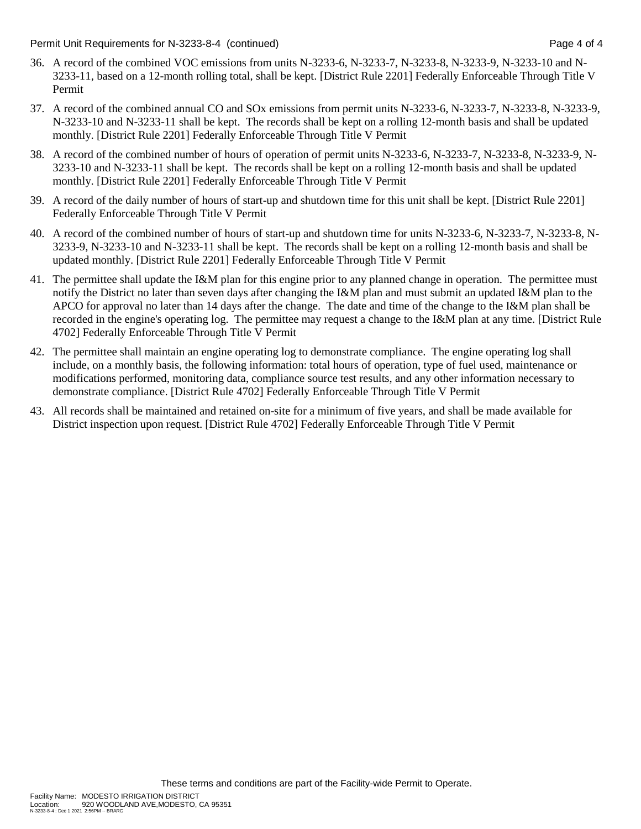Permit Unit Requirements for N-3233-8-4 (continued) Page 4 of 4

- 36. A record of the combined VOC emissions from units N-3233-6, N-3233-7, N-3233-8, N-3233-9, N-3233-10 and N-3233-11, based on a 12-month rolling total, shall be kept. [District Rule 2201] Federally Enforceable Through Title V Permit
- 37. A record of the combined annual CO and SOx emissions from permit units N-3233-6, N-3233-7, N-3233-8, N-3233-9, N-3233-10 and N-3233-11 shall be kept. The records shall be kept on a rolling 12-month basis and shall be updated monthly. [District Rule 2201] Federally Enforceable Through Title V Permit
- 38. A record of the combined number of hours of operation of permit units N-3233-6, N-3233-7, N-3233-8, N-3233-9, N-3233-10 and N-3233-11 shall be kept. The records shall be kept on a rolling 12-month basis and shall be updated monthly. [District Rule 2201] Federally Enforceable Through Title V Permit
- 39. A record of the daily number of hours of start-up and shutdown time for this unit shall be kept. [District Rule 2201] Federally Enforceable Through Title V Permit
- 40. A record of the combined number of hours of start-up and shutdown time for units N-3233-6, N-3233-7, N-3233-8, N-3233-9, N-3233-10 and N-3233-11 shall be kept. The records shall be kept on a rolling 12-month basis and shall be updated monthly. [District Rule 2201] Federally Enforceable Through Title V Permit
- 41. The permittee shall update the I&M plan for this engine prior to any planned change in operation. The permittee must notify the District no later than seven days after changing the I&M plan and must submit an updated I&M plan to the APCO for approval no later than 14 days after the change. The date and time of the change to the I&M plan shall be recorded in the engine's operating log. The permittee may request a change to the I&M plan at any time. [District Rule 4702] Federally Enforceable Through Title V Permit
- 42. The permittee shall maintain an engine operating log to demonstrate compliance. The engine operating log shall include, on a monthly basis, the following information: total hours of operation, type of fuel used, maintenance or modifications performed, monitoring data, compliance source test results, and any other information necessary to demonstrate compliance. [District Rule 4702] Federally Enforceable Through Title V Permit
- 43. All records shall be maintained and retained on-site for a minimum of five years, and shall be made available for District inspection upon request. [District Rule 4702] Federally Enforceable Through Title V Permit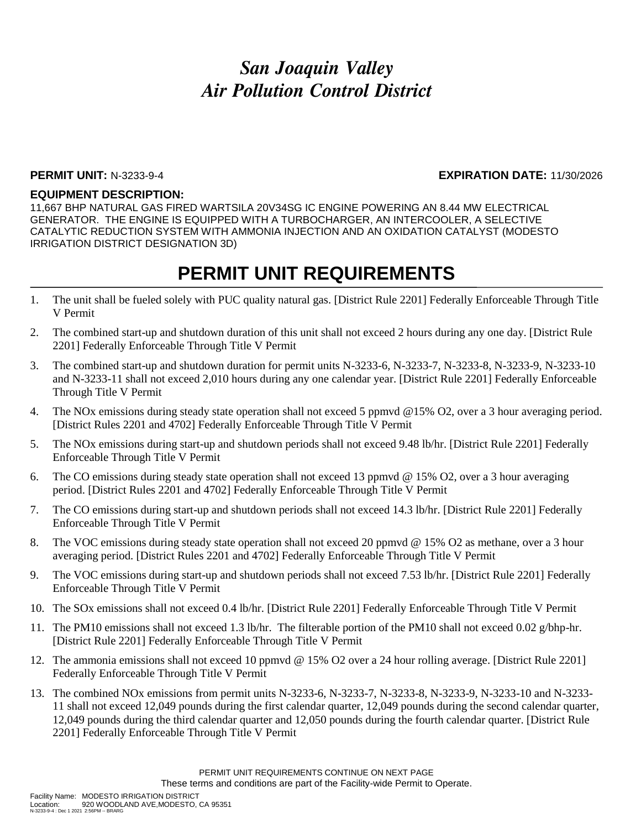### **PERMIT UNIT:** N-3233-9-4 **EXPIRATION DATE:** 11/30/2026

#### **EQUIPMENT DESCRIPTION:**

11,667 BHP NATURAL GAS FIRED WARTSILA 20V34SG IC ENGINE POWERING AN 8.44 MW ELECTRICAL GENERATOR. THE ENGINE IS EQUIPPED WITH A TURBOCHARGER, AN INTERCOOLER, A SELECTIVE CATALYTIC REDUCTION SYSTEM WITH AMMONIA INJECTION AND AN OXIDATION CATALYST (MODESTO IRRIGATION DISTRICT DESIGNATION 3D)

- 1. The unit shall be fueled solely with PUC quality natural gas. [District Rule 2201] Federally Enforceable Through Title V Permit
- 2. The combined start-up and shutdown duration of this unit shall not exceed 2 hours during any one day. [District Rule 2201] Federally Enforceable Through Title V Permit
- 3. The combined start-up and shutdown duration for permit units N-3233-6, N-3233-7, N-3233-8, N-3233-9, N-3233-10 and N-3233-11 shall not exceed 2,010 hours during any one calendar year. [District Rule 2201] Federally Enforceable Through Title V Permit
- 4. The NOx emissions during steady state operation shall not exceed 5 ppmvd @15% O2, over a 3 hour averaging period. [District Rules 2201 and 4702] Federally Enforceable Through Title V Permit
- 5. The NOx emissions during start-up and shutdown periods shall not exceed 9.48 lb/hr. [District Rule 2201] Federally Enforceable Through Title V Permit
- 6. The CO emissions during steady state operation shall not exceed 13 ppmvd @ 15% O2, over a 3 hour averaging period. [District Rules 2201 and 4702] Federally Enforceable Through Title V Permit
- 7. The CO emissions during start-up and shutdown periods shall not exceed 14.3 lb/hr. [District Rule 2201] Federally Enforceable Through Title V Permit
- 8. The VOC emissions during steady state operation shall not exceed 20 ppmvd @ 15% O2 as methane, over a 3 hour averaging period. [District Rules 2201 and 4702] Federally Enforceable Through Title V Permit
- 9. The VOC emissions during start-up and shutdown periods shall not exceed 7.53 lb/hr. [District Rule 2201] Federally Enforceable Through Title V Permit
- 10. The SOx emissions shall not exceed 0.4 lb/hr. [District Rule 2201] Federally Enforceable Through Title V Permit
- 11. The PM10 emissions shall not exceed 1.3 lb/hr. The filterable portion of the PM10 shall not exceed 0.02 g/bhp-hr. [District Rule 2201] Federally Enforceable Through Title V Permit
- 12. The ammonia emissions shall not exceed 10 ppmvd @ 15% O2 over a 24 hour rolling average. [District Rule 2201] Federally Enforceable Through Title V Permit
- 13. The combined NOx emissions from permit units N-3233-6, N-3233-7, N-3233-8, N-3233-9, N-3233-10 and N-3233- 11 shall not exceed 12,049 pounds during the first calendar quarter, 12,049 pounds during the second calendar quarter, 12,049 pounds during the third calendar quarter and 12,050 pounds during the fourth calendar quarter. [District Rule 2201] Federally Enforceable Through Title V Permit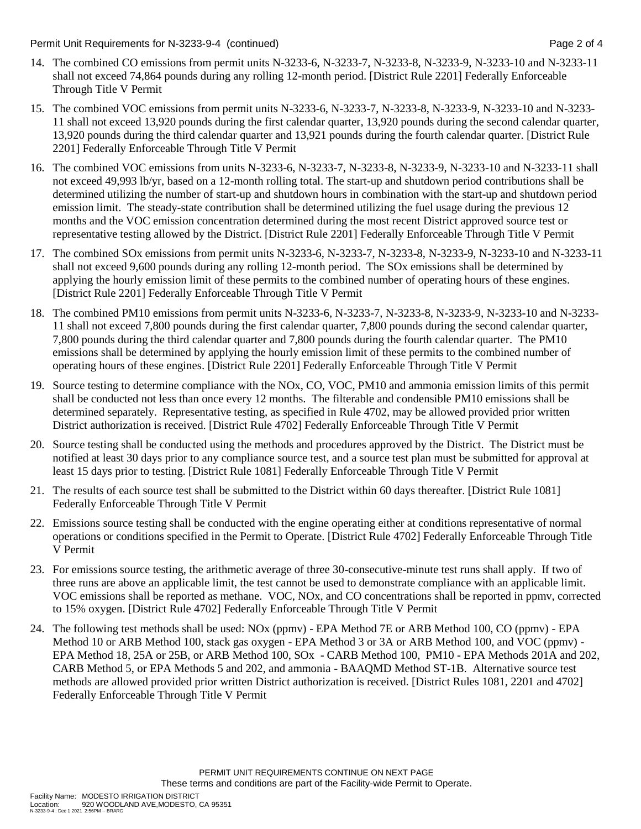Permit Unit Requirements for N-3233-9-4 (continued) Page 2 of 4

- 14. The combined CO emissions from permit units N-3233-6, N-3233-7, N-3233-8, N-3233-9, N-3233-10 and N-3233-11 shall not exceed 74,864 pounds during any rolling 12-month period. [District Rule 2201] Federally Enforceable Through Title V Permit
- 15. The combined VOC emissions from permit units N-3233-6, N-3233-7, N-3233-8, N-3233-9, N-3233-10 and N-3233- 11 shall not exceed 13,920 pounds during the first calendar quarter, 13,920 pounds during the second calendar quarter, 13,920 pounds during the third calendar quarter and 13,921 pounds during the fourth calendar quarter. [District Rule 2201] Federally Enforceable Through Title V Permit
- 16. The combined VOC emissions from units N-3233-6, N-3233-7, N-3233-8, N-3233-9, N-3233-10 and N-3233-11 shall not exceed 49,993 lb/yr, based on a 12-month rolling total. The start-up and shutdown period contributions shall be determined utilizing the number of start-up and shutdown hours in combination with the start-up and shutdown period emission limit. The steady-state contribution shall be determined utilizing the fuel usage during the previous 12 months and the VOC emission concentration determined during the most recent District approved source test or representative testing allowed by the District. [District Rule 2201] Federally Enforceable Through Title V Permit
- 17. The combined SOx emissions from permit units N-3233-6, N-3233-7, N-3233-8, N-3233-9, N-3233-10 and N-3233-11 shall not exceed 9,600 pounds during any rolling 12-month period. The SOx emissions shall be determined by applying the hourly emission limit of these permits to the combined number of operating hours of these engines. [District Rule 2201] Federally Enforceable Through Title V Permit
- 18. The combined PM10 emissions from permit units N-3233-6, N-3233-7, N-3233-8, N-3233-9, N-3233-10 and N-3233- 11 shall not exceed 7,800 pounds during the first calendar quarter, 7,800 pounds during the second calendar quarter, 7,800 pounds during the third calendar quarter and 7,800 pounds during the fourth calendar quarter. The PM10 emissions shall be determined by applying the hourly emission limit of these permits to the combined number of operating hours of these engines. [District Rule 2201] Federally Enforceable Through Title V Permit
- 19. Source testing to determine compliance with the NOx, CO, VOC, PM10 and ammonia emission limits of this permit shall be conducted not less than once every 12 months. The filterable and condensible PM10 emissions shall be determined separately. Representative testing, as specified in Rule 4702, may be allowed provided prior written District authorization is received. [District Rule 4702] Federally Enforceable Through Title V Permit
- 20. Source testing shall be conducted using the methods and procedures approved by the District. The District must be notified at least 30 days prior to any compliance source test, and a source test plan must be submitted for approval at least 15 days prior to testing. [District Rule 1081] Federally Enforceable Through Title V Permit
- 21. The results of each source test shall be submitted to the District within 60 days thereafter. [District Rule 1081] Federally Enforceable Through Title V Permit
- 22. Emissions source testing shall be conducted with the engine operating either at conditions representative of normal operations or conditions specified in the Permit to Operate. [District Rule 4702] Federally Enforceable Through Title V Permit
- 23. For emissions source testing, the arithmetic average of three 30-consecutive-minute test runs shall apply. If two of three runs are above an applicable limit, the test cannot be used to demonstrate compliance with an applicable limit. VOC emissions shall be reported as methane. VOC, NOx, and CO concentrations shall be reported in ppmv, corrected to 15% oxygen. [District Rule 4702] Federally Enforceable Through Title V Permit
- 24. The following test methods shall be used: NOx (ppmv) EPA Method 7E or ARB Method 100, CO (ppmv) EPA Method 10 or ARB Method 100, stack gas oxygen - EPA Method 3 or 3A or ARB Method 100, and VOC (ppmv) - EPA Method 18, 25A or 25B, or ARB Method 100, SOx - CARB Method 100, PM10 - EPA Methods 201A and 202, CARB Method 5, or EPA Methods 5 and 202, and ammonia - BAAQMD Method ST-1B. Alternative source test methods are allowed provided prior written District authorization is received. [District Rules 1081, 2201 and 4702] Federally Enforceable Through Title V Permit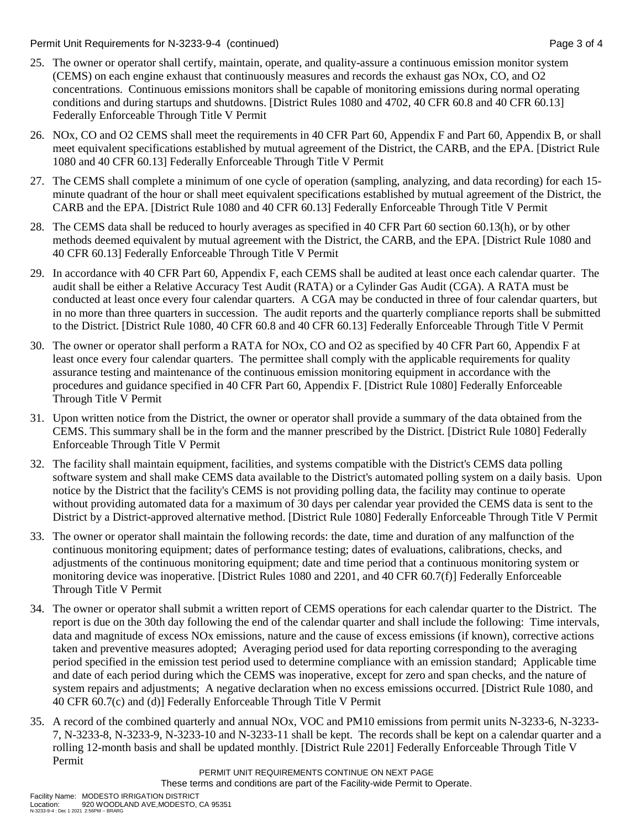Permit Unit Requirements for N-3233-9-4 (continued) Page 3 of 4

- 25. The owner or operator shall certify, maintain, operate, and quality-assure a continuous emission monitor system (CEMS) on each engine exhaust that continuously measures and records the exhaust gas NOx, CO, and O2 concentrations. Continuous emissions monitors shall be capable of monitoring emissions during normal operating conditions and during startups and shutdowns. [District Rules 1080 and 4702, 40 CFR 60.8 and 40 CFR 60.13] Federally Enforceable Through Title V Permit
- 26. NOx, CO and O2 CEMS shall meet the requirements in 40 CFR Part 60, Appendix F and Part 60, Appendix B, or shall meet equivalent specifications established by mutual agreement of the District, the CARB, and the EPA. [District Rule 1080 and 40 CFR 60.13] Federally Enforceable Through Title V Permit
- 27. The CEMS shall complete a minimum of one cycle of operation (sampling, analyzing, and data recording) for each 15 minute quadrant of the hour or shall meet equivalent specifications established by mutual agreement of the District, the CARB and the EPA. [District Rule 1080 and 40 CFR 60.13] Federally Enforceable Through Title V Permit
- 28. The CEMS data shall be reduced to hourly averages as specified in 40 CFR Part 60 section 60.13(h), or by other methods deemed equivalent by mutual agreement with the District, the CARB, and the EPA. [District Rule 1080 and 40 CFR 60.13] Federally Enforceable Through Title V Permit
- 29. In accordance with 40 CFR Part 60, Appendix F, each CEMS shall be audited at least once each calendar quarter. The audit shall be either a Relative Accuracy Test Audit (RATA) or a Cylinder Gas Audit (CGA). A RATA must be conducted at least once every four calendar quarters. A CGA may be conducted in three of four calendar quarters, but in no more than three quarters in succession. The audit reports and the quarterly compliance reports shall be submitted to the District. [District Rule 1080, 40 CFR 60.8 and 40 CFR 60.13] Federally Enforceable Through Title V Permit
- 30. The owner or operator shall perform a RATA for NOx, CO and O2 as specified by 40 CFR Part 60, Appendix F at least once every four calendar quarters. The permittee shall comply with the applicable requirements for quality assurance testing and maintenance of the continuous emission monitoring equipment in accordance with the procedures and guidance specified in 40 CFR Part 60, Appendix F. [District Rule 1080] Federally Enforceable Through Title V Permit
- 31. Upon written notice from the District, the owner or operator shall provide a summary of the data obtained from the CEMS. This summary shall be in the form and the manner prescribed by the District. [District Rule 1080] Federally Enforceable Through Title V Permit
- 32. The facility shall maintain equipment, facilities, and systems compatible with the District's CEMS data polling software system and shall make CEMS data available to the District's automated polling system on a daily basis. Upon notice by the District that the facility's CEMS is not providing polling data, the facility may continue to operate without providing automated data for a maximum of 30 days per calendar year provided the CEMS data is sent to the District by a District-approved alternative method. [District Rule 1080] Federally Enforceable Through Title V Permit
- 33. The owner or operator shall maintain the following records: the date, time and duration of any malfunction of the continuous monitoring equipment; dates of performance testing; dates of evaluations, calibrations, checks, and adjustments of the continuous monitoring equipment; date and time period that a continuous monitoring system or monitoring device was inoperative. [District Rules 1080 and 2201, and 40 CFR 60.7(f)] Federally Enforceable Through Title V Permit
- 34. The owner or operator shall submit a written report of CEMS operations for each calendar quarter to the District. The report is due on the 30th day following the end of the calendar quarter and shall include the following: Time intervals, data and magnitude of excess NOx emissions, nature and the cause of excess emissions (if known), corrective actions taken and preventive measures adopted; Averaging period used for data reporting corresponding to the averaging period specified in the emission test period used to determine compliance with an emission standard; Applicable time and date of each period during which the CEMS was inoperative, except for zero and span checks, and the nature of system repairs and adjustments; A negative declaration when no excess emissions occurred. [District Rule 1080, and 40 CFR 60.7(c) and (d)] Federally Enforceable Through Title V Permit
- 35. A record of the combined quarterly and annual NOx, VOC and PM10 emissions from permit units N-3233-6, N-3233- 7, N-3233-8, N-3233-9, N-3233-10 and N-3233-11 shall be kept. The records shall be kept on a calendar quarter and a rolling 12-month basis and shall be updated monthly. [District Rule 2201] Federally Enforceable Through Title V Permit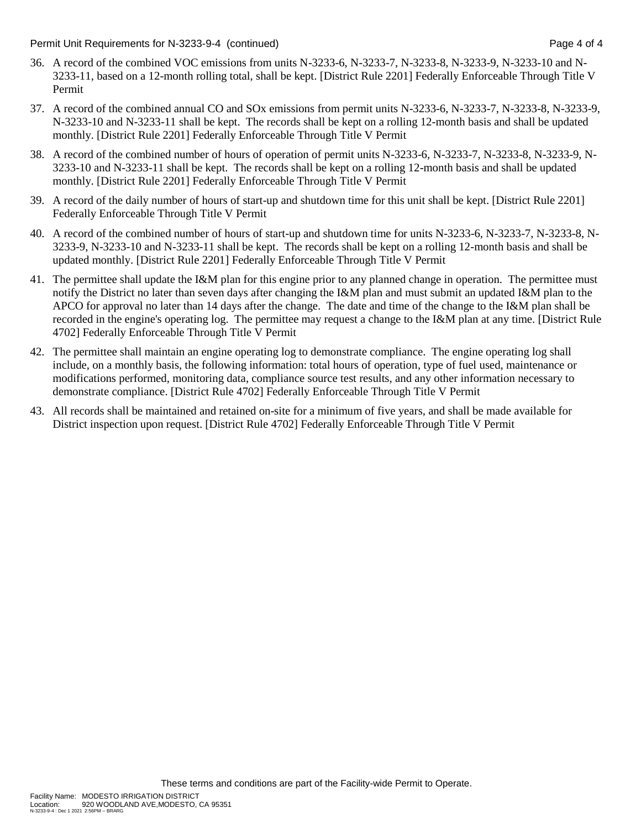Permit Unit Requirements for N-3233-9-4 (continued) Page 4 of 4

- 36. A record of the combined VOC emissions from units N-3233-6, N-3233-7, N-3233-8, N-3233-9, N-3233-10 and N-3233-11, based on a 12-month rolling total, shall be kept. [District Rule 2201] Federally Enforceable Through Title V Permit
- 37. A record of the combined annual CO and SOx emissions from permit units N-3233-6, N-3233-7, N-3233-8, N-3233-9, N-3233-10 and N-3233-11 shall be kept. The records shall be kept on a rolling 12-month basis and shall be updated monthly. [District Rule 2201] Federally Enforceable Through Title V Permit
- 38. A record of the combined number of hours of operation of permit units N-3233-6, N-3233-7, N-3233-8, N-3233-9, N-3233-10 and N-3233-11 shall be kept. The records shall be kept on a rolling 12-month basis and shall be updated monthly. [District Rule 2201] Federally Enforceable Through Title V Permit
- 39. A record of the daily number of hours of start-up and shutdown time for this unit shall be kept. [District Rule 2201] Federally Enforceable Through Title V Permit
- 40. A record of the combined number of hours of start-up and shutdown time for units N-3233-6, N-3233-7, N-3233-8, N-3233-9, N-3233-10 and N-3233-11 shall be kept. The records shall be kept on a rolling 12-month basis and shall be updated monthly. [District Rule 2201] Federally Enforceable Through Title V Permit
- 41. The permittee shall update the I&M plan for this engine prior to any planned change in operation. The permittee must notify the District no later than seven days after changing the I&M plan and must submit an updated I&M plan to the APCO for approval no later than 14 days after the change. The date and time of the change to the I&M plan shall be recorded in the engine's operating log. The permittee may request a change to the I&M plan at any time. [District Rule 4702] Federally Enforceable Through Title V Permit
- 42. The permittee shall maintain an engine operating log to demonstrate compliance. The engine operating log shall include, on a monthly basis, the following information: total hours of operation, type of fuel used, maintenance or modifications performed, monitoring data, compliance source test results, and any other information necessary to demonstrate compliance. [District Rule 4702] Federally Enforceable Through Title V Permit
- 43. All records shall be maintained and retained on-site for a minimum of five years, and shall be made available for District inspection upon request. [District Rule 4702] Federally Enforceable Through Title V Permit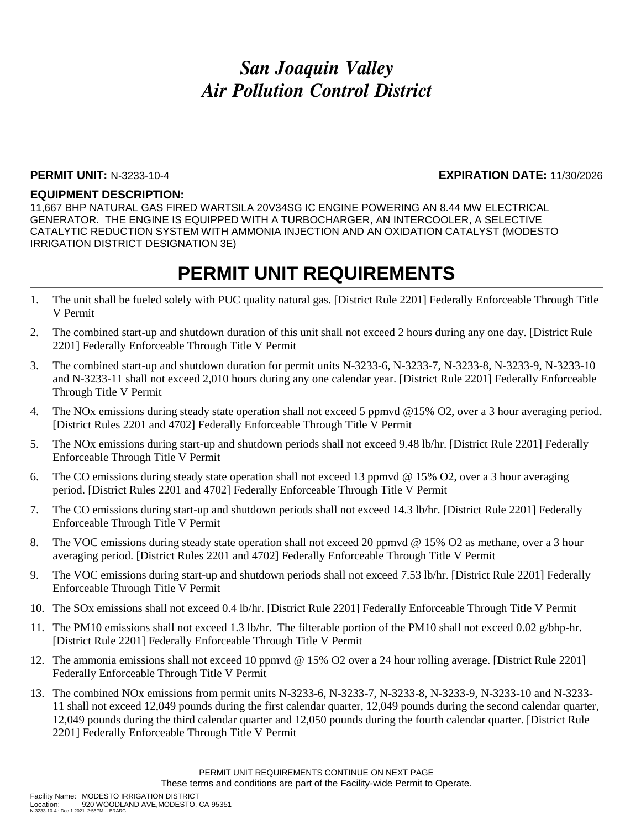### **PERMIT UNIT:** N-3233-10-4 **EXPIRATION DATE:** 11/30/2026

#### **EQUIPMENT DESCRIPTION:**

11,667 BHP NATURAL GAS FIRED WARTSILA 20V34SG IC ENGINE POWERING AN 8.44 MW ELECTRICAL GENERATOR. THE ENGINE IS EQUIPPED WITH A TURBOCHARGER, AN INTERCOOLER, A SELECTIVE CATALYTIC REDUCTION SYSTEM WITH AMMONIA INJECTION AND AN OXIDATION CATALYST (MODESTO IRRIGATION DISTRICT DESIGNATION 3E)

- 1. The unit shall be fueled solely with PUC quality natural gas. [District Rule 2201] Federally Enforceable Through Title V Permit
- 2. The combined start-up and shutdown duration of this unit shall not exceed 2 hours during any one day. [District Rule 2201] Federally Enforceable Through Title V Permit
- 3. The combined start-up and shutdown duration for permit units N-3233-6, N-3233-7, N-3233-8, N-3233-9, N-3233-10 and N-3233-11 shall not exceed 2,010 hours during any one calendar year. [District Rule 2201] Federally Enforceable Through Title V Permit
- 4. The NOx emissions during steady state operation shall not exceed 5 ppmvd @15% O2, over a 3 hour averaging period. [District Rules 2201 and 4702] Federally Enforceable Through Title V Permit
- 5. The NOx emissions during start-up and shutdown periods shall not exceed 9.48 lb/hr. [District Rule 2201] Federally Enforceable Through Title V Permit
- 6. The CO emissions during steady state operation shall not exceed 13 ppmvd @ 15% O2, over a 3 hour averaging period. [District Rules 2201 and 4702] Federally Enforceable Through Title V Permit
- 7. The CO emissions during start-up and shutdown periods shall not exceed 14.3 lb/hr. [District Rule 2201] Federally Enforceable Through Title V Permit
- 8. The VOC emissions during steady state operation shall not exceed 20 ppmvd @ 15% O2 as methane, over a 3 hour averaging period. [District Rules 2201 and 4702] Federally Enforceable Through Title V Permit
- 9. The VOC emissions during start-up and shutdown periods shall not exceed 7.53 lb/hr. [District Rule 2201] Federally Enforceable Through Title V Permit
- 10. The SOx emissions shall not exceed 0.4 lb/hr. [District Rule 2201] Federally Enforceable Through Title V Permit
- 11. The PM10 emissions shall not exceed 1.3 lb/hr. The filterable portion of the PM10 shall not exceed 0.02 g/bhp-hr. [District Rule 2201] Federally Enforceable Through Title V Permit
- 12. The ammonia emissions shall not exceed 10 ppmvd @ 15% O2 over a 24 hour rolling average. [District Rule 2201] Federally Enforceable Through Title V Permit
- 13. The combined NOx emissions from permit units N-3233-6, N-3233-7, N-3233-8, N-3233-9, N-3233-10 and N-3233- 11 shall not exceed 12,049 pounds during the first calendar quarter, 12,049 pounds during the second calendar quarter, 12,049 pounds during the third calendar quarter and 12,050 pounds during the fourth calendar quarter. [District Rule 2201] Federally Enforceable Through Title V Permit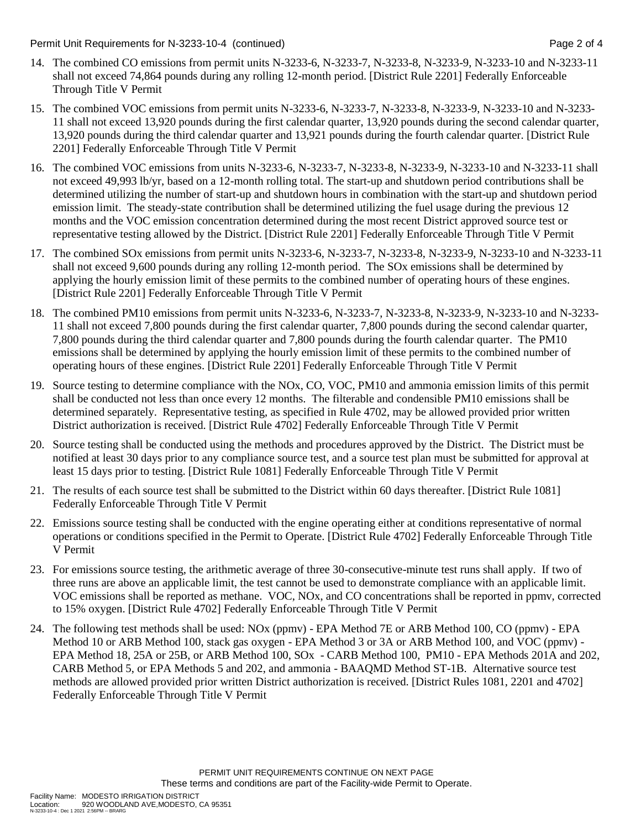Permit Unit Requirements for N-3233-10-4 (continued) Page 2 of 4

- 14. The combined CO emissions from permit units N-3233-6, N-3233-7, N-3233-8, N-3233-9, N-3233-10 and N-3233-11 shall not exceed 74,864 pounds during any rolling 12-month period. [District Rule 2201] Federally Enforceable Through Title V Permit
- 15. The combined VOC emissions from permit units N-3233-6, N-3233-7, N-3233-8, N-3233-9, N-3233-10 and N-3233- 11 shall not exceed 13,920 pounds during the first calendar quarter, 13,920 pounds during the second calendar quarter, 13,920 pounds during the third calendar quarter and 13,921 pounds during the fourth calendar quarter. [District Rule 2201] Federally Enforceable Through Title V Permit
- 16. The combined VOC emissions from units N-3233-6, N-3233-7, N-3233-8, N-3233-9, N-3233-10 and N-3233-11 shall not exceed 49,993 lb/yr, based on a 12-month rolling total. The start-up and shutdown period contributions shall be determined utilizing the number of start-up and shutdown hours in combination with the start-up and shutdown period emission limit. The steady-state contribution shall be determined utilizing the fuel usage during the previous 12 months and the VOC emission concentration determined during the most recent District approved source test or representative testing allowed by the District. [District Rule 2201] Federally Enforceable Through Title V Permit
- 17. The combined SOx emissions from permit units N-3233-6, N-3233-7, N-3233-8, N-3233-9, N-3233-10 and N-3233-11 shall not exceed 9,600 pounds during any rolling 12-month period. The SOx emissions shall be determined by applying the hourly emission limit of these permits to the combined number of operating hours of these engines. [District Rule 2201] Federally Enforceable Through Title V Permit
- 18. The combined PM10 emissions from permit units N-3233-6, N-3233-7, N-3233-8, N-3233-9, N-3233-10 and N-3233- 11 shall not exceed 7,800 pounds during the first calendar quarter, 7,800 pounds during the second calendar quarter, 7,800 pounds during the third calendar quarter and 7,800 pounds during the fourth calendar quarter. The PM10 emissions shall be determined by applying the hourly emission limit of these permits to the combined number of operating hours of these engines. [District Rule 2201] Federally Enforceable Through Title V Permit
- 19. Source testing to determine compliance with the NOx, CO, VOC, PM10 and ammonia emission limits of this permit shall be conducted not less than once every 12 months. The filterable and condensible PM10 emissions shall be determined separately. Representative testing, as specified in Rule 4702, may be allowed provided prior written District authorization is received. [District Rule 4702] Federally Enforceable Through Title V Permit
- 20. Source testing shall be conducted using the methods and procedures approved by the District. The District must be notified at least 30 days prior to any compliance source test, and a source test plan must be submitted for approval at least 15 days prior to testing. [District Rule 1081] Federally Enforceable Through Title V Permit
- 21. The results of each source test shall be submitted to the District within 60 days thereafter. [District Rule 1081] Federally Enforceable Through Title V Permit
- 22. Emissions source testing shall be conducted with the engine operating either at conditions representative of normal operations or conditions specified in the Permit to Operate. [District Rule 4702] Federally Enforceable Through Title V Permit
- 23. For emissions source testing, the arithmetic average of three 30-consecutive-minute test runs shall apply. If two of three runs are above an applicable limit, the test cannot be used to demonstrate compliance with an applicable limit. VOC emissions shall be reported as methane. VOC, NOx, and CO concentrations shall be reported in ppmv, corrected to 15% oxygen. [District Rule 4702] Federally Enforceable Through Title V Permit
- 24. The following test methods shall be used: NOx (ppmv) EPA Method 7E or ARB Method 100, CO (ppmv) EPA Method 10 or ARB Method 100, stack gas oxygen - EPA Method 3 or 3A or ARB Method 100, and VOC (ppmv) - EPA Method 18, 25A or 25B, or ARB Method 100, SOx - CARB Method 100, PM10 - EPA Methods 201A and 202, CARB Method 5, or EPA Methods 5 and 202, and ammonia - BAAQMD Method ST-1B. Alternative source test methods are allowed provided prior written District authorization is received. [District Rules 1081, 2201 and 4702] Federally Enforceable Through Title V Permit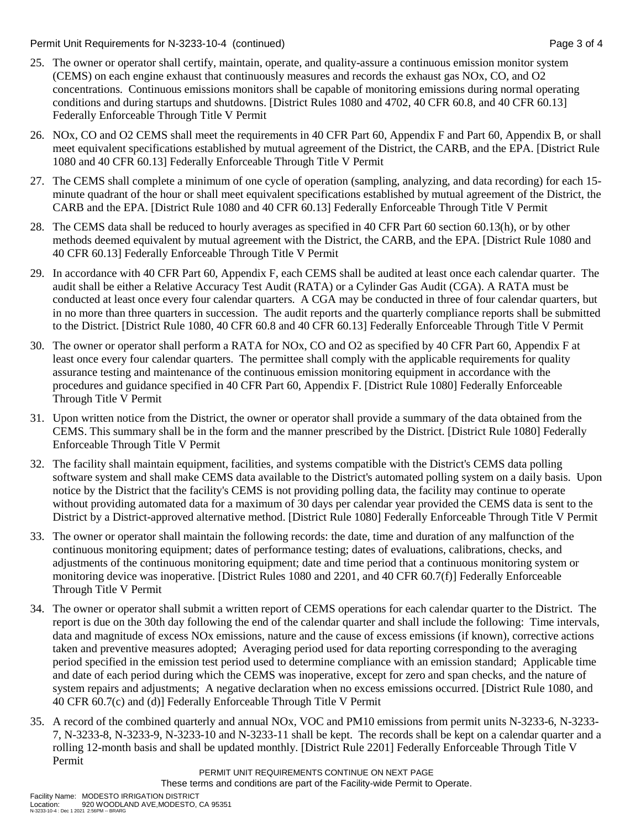Permit Unit Requirements for N-3233-10-4 (continued) Page 3 of 4

- 25. The owner or operator shall certify, maintain, operate, and quality-assure a continuous emission monitor system (CEMS) on each engine exhaust that continuously measures and records the exhaust gas NOx, CO, and O2 concentrations. Continuous emissions monitors shall be capable of monitoring emissions during normal operating conditions and during startups and shutdowns. [District Rules 1080 and 4702, 40 CFR 60.8, and 40 CFR 60.13] Federally Enforceable Through Title V Permit
- 26. NOx, CO and O2 CEMS shall meet the requirements in 40 CFR Part 60, Appendix F and Part 60, Appendix B, or shall meet equivalent specifications established by mutual agreement of the District, the CARB, and the EPA. [District Rule 1080 and 40 CFR 60.13] Federally Enforceable Through Title V Permit
- 27. The CEMS shall complete a minimum of one cycle of operation (sampling, analyzing, and data recording) for each 15 minute quadrant of the hour or shall meet equivalent specifications established by mutual agreement of the District, the CARB and the EPA. [District Rule 1080 and 40 CFR 60.13] Federally Enforceable Through Title V Permit
- 28. The CEMS data shall be reduced to hourly averages as specified in 40 CFR Part 60 section 60.13(h), or by other methods deemed equivalent by mutual agreement with the District, the CARB, and the EPA. [District Rule 1080 and 40 CFR 60.13] Federally Enforceable Through Title V Permit
- 29. In accordance with 40 CFR Part 60, Appendix F, each CEMS shall be audited at least once each calendar quarter. The audit shall be either a Relative Accuracy Test Audit (RATA) or a Cylinder Gas Audit (CGA). A RATA must be conducted at least once every four calendar quarters. A CGA may be conducted in three of four calendar quarters, but in no more than three quarters in succession. The audit reports and the quarterly compliance reports shall be submitted to the District. [District Rule 1080, 40 CFR 60.8 and 40 CFR 60.13] Federally Enforceable Through Title V Permit
- 30. The owner or operator shall perform a RATA for NOx, CO and O2 as specified by 40 CFR Part 60, Appendix F at least once every four calendar quarters. The permittee shall comply with the applicable requirements for quality assurance testing and maintenance of the continuous emission monitoring equipment in accordance with the procedures and guidance specified in 40 CFR Part 60, Appendix F. [District Rule 1080] Federally Enforceable Through Title V Permit
- 31. Upon written notice from the District, the owner or operator shall provide a summary of the data obtained from the CEMS. This summary shall be in the form and the manner prescribed by the District. [District Rule 1080] Federally Enforceable Through Title V Permit
- 32. The facility shall maintain equipment, facilities, and systems compatible with the District's CEMS data polling software system and shall make CEMS data available to the District's automated polling system on a daily basis. Upon notice by the District that the facility's CEMS is not providing polling data, the facility may continue to operate without providing automated data for a maximum of 30 days per calendar year provided the CEMS data is sent to the District by a District-approved alternative method. [District Rule 1080] Federally Enforceable Through Title V Permit
- 33. The owner or operator shall maintain the following records: the date, time and duration of any malfunction of the continuous monitoring equipment; dates of performance testing; dates of evaluations, calibrations, checks, and adjustments of the continuous monitoring equipment; date and time period that a continuous monitoring system or monitoring device was inoperative. [District Rules 1080 and 2201, and 40 CFR 60.7(f)] Federally Enforceable Through Title V Permit
- 34. The owner or operator shall submit a written report of CEMS operations for each calendar quarter to the District. The report is due on the 30th day following the end of the calendar quarter and shall include the following: Time intervals, data and magnitude of excess NOx emissions, nature and the cause of excess emissions (if known), corrective actions taken and preventive measures adopted; Averaging period used for data reporting corresponding to the averaging period specified in the emission test period used to determine compliance with an emission standard; Applicable time and date of each period during which the CEMS was inoperative, except for zero and span checks, and the nature of system repairs and adjustments; A negative declaration when no excess emissions occurred. [District Rule 1080, and 40 CFR 60.7(c) and (d)] Federally Enforceable Through Title V Permit
- 35. A record of the combined quarterly and annual NOx, VOC and PM10 emissions from permit units N-3233-6, N-3233- 7, N-3233-8, N-3233-9, N-3233-10 and N-3233-11 shall be kept. The records shall be kept on a calendar quarter and a rolling 12-month basis and shall be updated monthly. [District Rule 2201] Federally Enforceable Through Title V Permit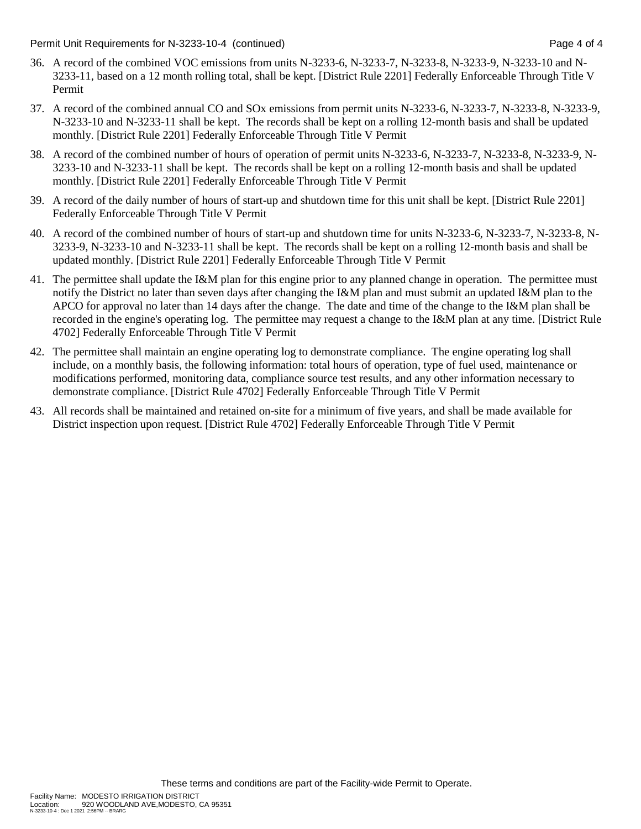Permit Unit Requirements for N-3233-10-4 (continued) Page 4 of 4

- 36. A record of the combined VOC emissions from units N-3233-6, N-3233-7, N-3233-8, N-3233-9, N-3233-10 and N-3233-11, based on a 12 month rolling total, shall be kept. [District Rule 2201] Federally Enforceable Through Title V Permit
- 37. A record of the combined annual CO and SOx emissions from permit units N-3233-6, N-3233-7, N-3233-8, N-3233-9, N-3233-10 and N-3233-11 shall be kept. The records shall be kept on a rolling 12-month basis and shall be updated monthly. [District Rule 2201] Federally Enforceable Through Title V Permit
- 38. A record of the combined number of hours of operation of permit units N-3233-6, N-3233-7, N-3233-8, N-3233-9, N-3233-10 and N-3233-11 shall be kept. The records shall be kept on a rolling 12-month basis and shall be updated monthly. [District Rule 2201] Federally Enforceable Through Title V Permit
- 39. A record of the daily number of hours of start-up and shutdown time for this unit shall be kept. [District Rule 2201] Federally Enforceable Through Title V Permit
- 40. A record of the combined number of hours of start-up and shutdown time for units N-3233-6, N-3233-7, N-3233-8, N-3233-9, N-3233-10 and N-3233-11 shall be kept. The records shall be kept on a rolling 12-month basis and shall be updated monthly. [District Rule 2201] Federally Enforceable Through Title V Permit
- 41. The permittee shall update the I&M plan for this engine prior to any planned change in operation. The permittee must notify the District no later than seven days after changing the I&M plan and must submit an updated I&M plan to the APCO for approval no later than 14 days after the change. The date and time of the change to the I&M plan shall be recorded in the engine's operating log. The permittee may request a change to the I&M plan at any time. [District Rule 4702] Federally Enforceable Through Title V Permit
- 42. The permittee shall maintain an engine operating log to demonstrate compliance. The engine operating log shall include, on a monthly basis, the following information: total hours of operation, type of fuel used, maintenance or modifications performed, monitoring data, compliance source test results, and any other information necessary to demonstrate compliance. [District Rule 4702] Federally Enforceable Through Title V Permit
- 43. All records shall be maintained and retained on-site for a minimum of five years, and shall be made available for District inspection upon request. [District Rule 4702] Federally Enforceable Through Title V Permit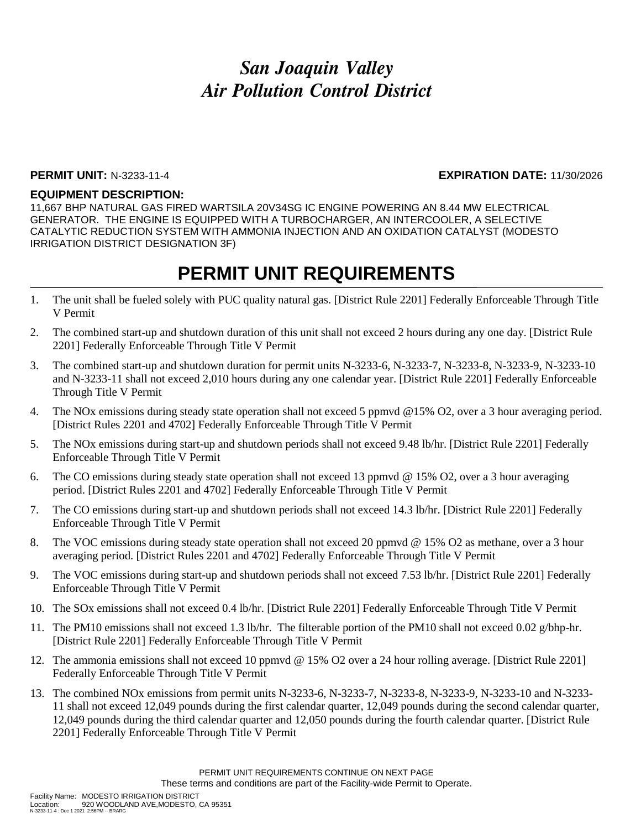### **PERMIT UNIT:** N-3233-11-4 **EXPIRATION DATE:** 11/30/2026

#### **EQUIPMENT DESCRIPTION:**

11,667 BHP NATURAL GAS FIRED WARTSILA 20V34SG IC ENGINE POWERING AN 8.44 MW ELECTRICAL GENERATOR. THE ENGINE IS EQUIPPED WITH A TURBOCHARGER, AN INTERCOOLER, A SELECTIVE CATALYTIC REDUCTION SYSTEM WITH AMMONIA INJECTION AND AN OXIDATION CATALYST (MODESTO IRRIGATION DISTRICT DESIGNATION 3F)

- 1. The unit shall be fueled solely with PUC quality natural gas. [District Rule 2201] Federally Enforceable Through Title V Permit
- 2. The combined start-up and shutdown duration of this unit shall not exceed 2 hours during any one day. [District Rule 2201] Federally Enforceable Through Title V Permit
- 3. The combined start-up and shutdown duration for permit units N-3233-6, N-3233-7, N-3233-8, N-3233-9, N-3233-10 and N-3233-11 shall not exceed 2,010 hours during any one calendar year. [District Rule 2201] Federally Enforceable Through Title V Permit
- 4. The NOx emissions during steady state operation shall not exceed 5 ppmvd @15% O2, over a 3 hour averaging period. [District Rules 2201 and 4702] Federally Enforceable Through Title V Permit
- 5. The NOx emissions during start-up and shutdown periods shall not exceed 9.48 lb/hr. [District Rule 2201] Federally Enforceable Through Title V Permit
- 6. The CO emissions during steady state operation shall not exceed 13 ppmvd @ 15% O2, over a 3 hour averaging period. [District Rules 2201 and 4702] Federally Enforceable Through Title V Permit
- 7. The CO emissions during start-up and shutdown periods shall not exceed 14.3 lb/hr. [District Rule 2201] Federally Enforceable Through Title V Permit
- 8. The VOC emissions during steady state operation shall not exceed 20 ppmvd @ 15% O2 as methane, over a 3 hour averaging period. [District Rules 2201 and 4702] Federally Enforceable Through Title V Permit
- 9. The VOC emissions during start-up and shutdown periods shall not exceed 7.53 lb/hr. [District Rule 2201] Federally Enforceable Through Title V Permit
- 10. The SOx emissions shall not exceed 0.4 lb/hr. [District Rule 2201] Federally Enforceable Through Title V Permit
- 11. The PM10 emissions shall not exceed 1.3 lb/hr. The filterable portion of the PM10 shall not exceed 0.02 g/bhp-hr. [District Rule 2201] Federally Enforceable Through Title V Permit
- 12. The ammonia emissions shall not exceed 10 ppmvd @ 15% O2 over a 24 hour rolling average. [District Rule 2201] Federally Enforceable Through Title V Permit
- 13. The combined NOx emissions from permit units N-3233-6, N-3233-7, N-3233-8, N-3233-9, N-3233-10 and N-3233- 11 shall not exceed 12,049 pounds during the first calendar quarter, 12,049 pounds during the second calendar quarter, 12,049 pounds during the third calendar quarter and 12,050 pounds during the fourth calendar quarter. [District Rule 2201] Federally Enforceable Through Title V Permit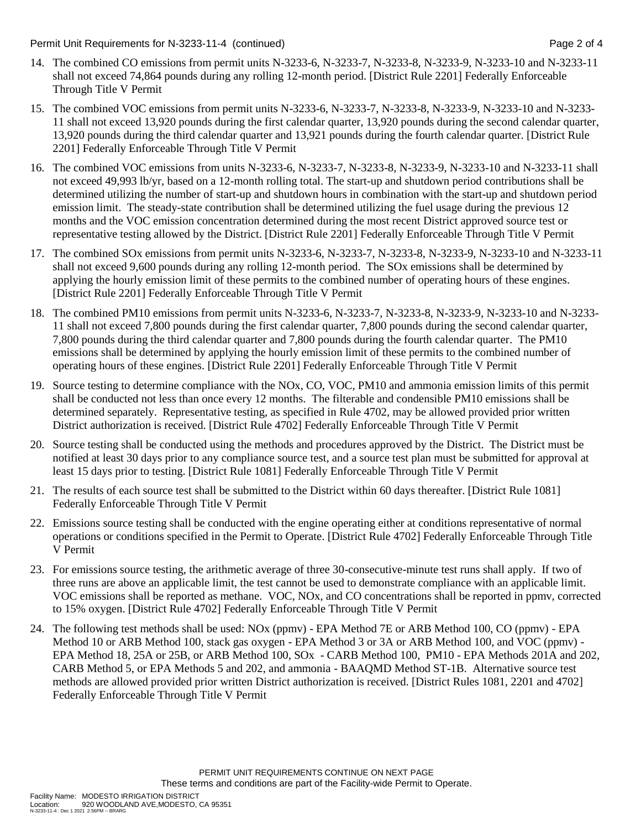Permit Unit Requirements for N-3233-11-4 (continued) Page 2 of 4

- 14. The combined CO emissions from permit units N-3233-6, N-3233-7, N-3233-8, N-3233-9, N-3233-10 and N-3233-11 shall not exceed 74,864 pounds during any rolling 12-month period. [District Rule 2201] Federally Enforceable Through Title V Permit
- 15. The combined VOC emissions from permit units N-3233-6, N-3233-7, N-3233-8, N-3233-9, N-3233-10 and N-3233- 11 shall not exceed 13,920 pounds during the first calendar quarter, 13,920 pounds during the second calendar quarter, 13,920 pounds during the third calendar quarter and 13,921 pounds during the fourth calendar quarter. [District Rule 2201] Federally Enforceable Through Title V Permit
- 16. The combined VOC emissions from units N-3233-6, N-3233-7, N-3233-8, N-3233-9, N-3233-10 and N-3233-11 shall not exceed 49,993 lb/yr, based on a 12-month rolling total. The start-up and shutdown period contributions shall be determined utilizing the number of start-up and shutdown hours in combination with the start-up and shutdown period emission limit. The steady-state contribution shall be determined utilizing the fuel usage during the previous 12 months and the VOC emission concentration determined during the most recent District approved source test or representative testing allowed by the District. [District Rule 2201] Federally Enforceable Through Title V Permit
- 17. The combined SOx emissions from permit units N-3233-6, N-3233-7, N-3233-8, N-3233-9, N-3233-10 and N-3233-11 shall not exceed 9,600 pounds during any rolling 12-month period. The SOx emissions shall be determined by applying the hourly emission limit of these permits to the combined number of operating hours of these engines. [District Rule 2201] Federally Enforceable Through Title V Permit
- 18. The combined PM10 emissions from permit units N-3233-6, N-3233-7, N-3233-8, N-3233-9, N-3233-10 and N-3233- 11 shall not exceed 7,800 pounds during the first calendar quarter, 7,800 pounds during the second calendar quarter, 7,800 pounds during the third calendar quarter and 7,800 pounds during the fourth calendar quarter. The PM10 emissions shall be determined by applying the hourly emission limit of these permits to the combined number of operating hours of these engines. [District Rule 2201] Federally Enforceable Through Title V Permit
- 19. Source testing to determine compliance with the NOx, CO, VOC, PM10 and ammonia emission limits of this permit shall be conducted not less than once every 12 months. The filterable and condensible PM10 emissions shall be determined separately. Representative testing, as specified in Rule 4702, may be allowed provided prior written District authorization is received. [District Rule 4702] Federally Enforceable Through Title V Permit
- 20. Source testing shall be conducted using the methods and procedures approved by the District. The District must be notified at least 30 days prior to any compliance source test, and a source test plan must be submitted for approval at least 15 days prior to testing. [District Rule 1081] Federally Enforceable Through Title V Permit
- 21. The results of each source test shall be submitted to the District within 60 days thereafter. [District Rule 1081] Federally Enforceable Through Title V Permit
- 22. Emissions source testing shall be conducted with the engine operating either at conditions representative of normal operations or conditions specified in the Permit to Operate. [District Rule 4702] Federally Enforceable Through Title V Permit
- 23. For emissions source testing, the arithmetic average of three 30-consecutive-minute test runs shall apply. If two of three runs are above an applicable limit, the test cannot be used to demonstrate compliance with an applicable limit. VOC emissions shall be reported as methane. VOC, NOx, and CO concentrations shall be reported in ppmv, corrected to 15% oxygen. [District Rule 4702] Federally Enforceable Through Title V Permit
- 24. The following test methods shall be used: NOx (ppmv) EPA Method 7E or ARB Method 100, CO (ppmv) EPA Method 10 or ARB Method 100, stack gas oxygen - EPA Method 3 or 3A or ARB Method 100, and VOC (ppmv) - EPA Method 18, 25A or 25B, or ARB Method 100, SOx - CARB Method 100, PM10 - EPA Methods 201A and 202, CARB Method 5, or EPA Methods 5 and 202, and ammonia - BAAQMD Method ST-1B. Alternative source test methods are allowed provided prior written District authorization is received. [District Rules 1081, 2201 and 4702] Federally Enforceable Through Title V Permit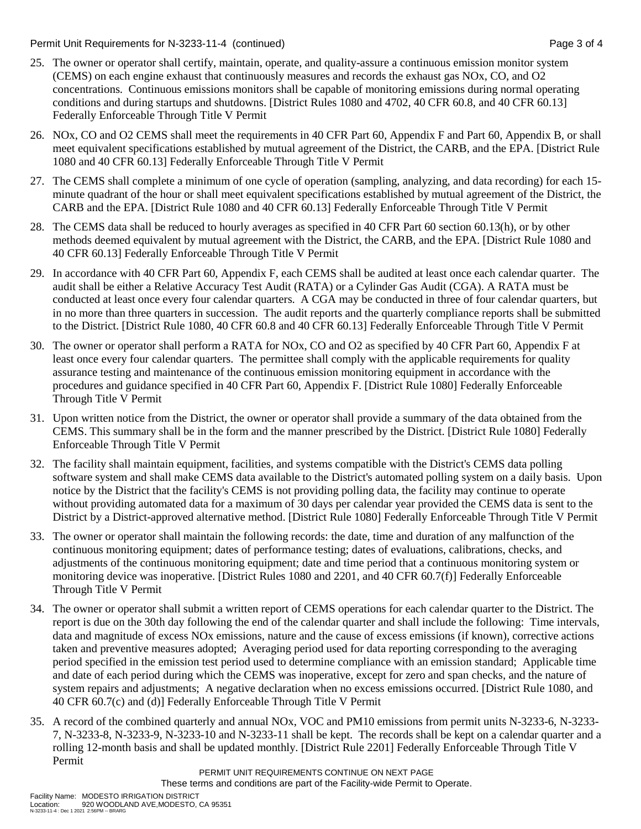Permit Unit Requirements for N-3233-11-4 (continued) Page 3 of 4

- 25. The owner or operator shall certify, maintain, operate, and quality-assure a continuous emission monitor system (CEMS) on each engine exhaust that continuously measures and records the exhaust gas NOx, CO, and O2 concentrations. Continuous emissions monitors shall be capable of monitoring emissions during normal operating conditions and during startups and shutdowns. [District Rules 1080 and 4702, 40 CFR 60.8, and 40 CFR 60.13] Federally Enforceable Through Title V Permit
- 26. NOx, CO and O2 CEMS shall meet the requirements in 40 CFR Part 60, Appendix F and Part 60, Appendix B, or shall meet equivalent specifications established by mutual agreement of the District, the CARB, and the EPA. [District Rule 1080 and 40 CFR 60.13] Federally Enforceable Through Title V Permit
- 27. The CEMS shall complete a minimum of one cycle of operation (sampling, analyzing, and data recording) for each 15 minute quadrant of the hour or shall meet equivalent specifications established by mutual agreement of the District, the CARB and the EPA. [District Rule 1080 and 40 CFR 60.13] Federally Enforceable Through Title V Permit
- 28. The CEMS data shall be reduced to hourly averages as specified in 40 CFR Part 60 section 60.13(h), or by other methods deemed equivalent by mutual agreement with the District, the CARB, and the EPA. [District Rule 1080 and 40 CFR 60.13] Federally Enforceable Through Title V Permit
- 29. In accordance with 40 CFR Part 60, Appendix F, each CEMS shall be audited at least once each calendar quarter. The audit shall be either a Relative Accuracy Test Audit (RATA) or a Cylinder Gas Audit (CGA). A RATA must be conducted at least once every four calendar quarters. A CGA may be conducted in three of four calendar quarters, but in no more than three quarters in succession. The audit reports and the quarterly compliance reports shall be submitted to the District. [District Rule 1080, 40 CFR 60.8 and 40 CFR 60.13] Federally Enforceable Through Title V Permit
- 30. The owner or operator shall perform a RATA for NOx, CO and O2 as specified by 40 CFR Part 60, Appendix F at least once every four calendar quarters. The permittee shall comply with the applicable requirements for quality assurance testing and maintenance of the continuous emission monitoring equipment in accordance with the procedures and guidance specified in 40 CFR Part 60, Appendix F. [District Rule 1080] Federally Enforceable Through Title V Permit
- 31. Upon written notice from the District, the owner or operator shall provide a summary of the data obtained from the CEMS. This summary shall be in the form and the manner prescribed by the District. [District Rule 1080] Federally Enforceable Through Title V Permit
- 32. The facility shall maintain equipment, facilities, and systems compatible with the District's CEMS data polling software system and shall make CEMS data available to the District's automated polling system on a daily basis. Upon notice by the District that the facility's CEMS is not providing polling data, the facility may continue to operate without providing automated data for a maximum of 30 days per calendar year provided the CEMS data is sent to the District by a District-approved alternative method. [District Rule 1080] Federally Enforceable Through Title V Permit
- 33. The owner or operator shall maintain the following records: the date, time and duration of any malfunction of the continuous monitoring equipment; dates of performance testing; dates of evaluations, calibrations, checks, and adjustments of the continuous monitoring equipment; date and time period that a continuous monitoring system or monitoring device was inoperative. [District Rules 1080 and 2201, and 40 CFR 60.7(f)] Federally Enforceable Through Title V Permit
- 34. The owner or operator shall submit a written report of CEMS operations for each calendar quarter to the District. The report is due on the 30th day following the end of the calendar quarter and shall include the following: Time intervals, data and magnitude of excess NOx emissions, nature and the cause of excess emissions (if known), corrective actions taken and preventive measures adopted; Averaging period used for data reporting corresponding to the averaging period specified in the emission test period used to determine compliance with an emission standard; Applicable time and date of each period during which the CEMS was inoperative, except for zero and span checks, and the nature of system repairs and adjustments; A negative declaration when no excess emissions occurred. [District Rule 1080, and 40 CFR 60.7(c) and (d)] Federally Enforceable Through Title V Permit
- 35. A record of the combined quarterly and annual NOx, VOC and PM10 emissions from permit units N-3233-6, N-3233- 7, N-3233-8, N-3233-9, N-3233-10 and N-3233-11 shall be kept. The records shall be kept on a calendar quarter and a rolling 12-month basis and shall be updated monthly. [District Rule 2201] Federally Enforceable Through Title V Permit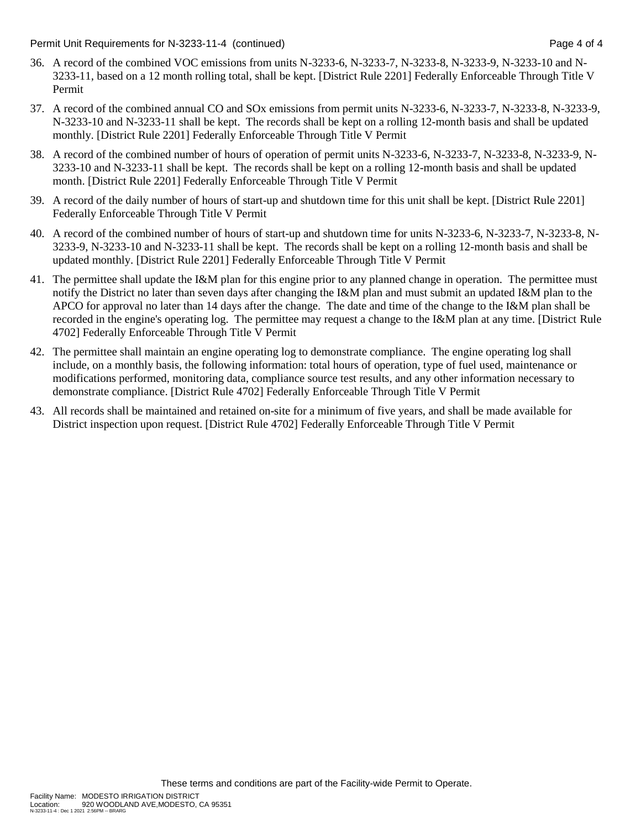Permit Unit Requirements for N-3233-11-4 (continued) Page 4 of 4

- 36. A record of the combined VOC emissions from units N-3233-6, N-3233-7, N-3233-8, N-3233-9, N-3233-10 and N-3233-11, based on a 12 month rolling total, shall be kept. [District Rule 2201] Federally Enforceable Through Title V Permit
- 37. A record of the combined annual CO and SOx emissions from permit units N-3233-6, N-3233-7, N-3233-8, N-3233-9, N-3233-10 and N-3233-11 shall be kept. The records shall be kept on a rolling 12-month basis and shall be updated monthly. [District Rule 2201] Federally Enforceable Through Title V Permit
- 38. A record of the combined number of hours of operation of permit units N-3233-6, N-3233-7, N-3233-8, N-3233-9, N-3233-10 and N-3233-11 shall be kept. The records shall be kept on a rolling 12-month basis and shall be updated month. [District Rule 2201] Federally Enforceable Through Title V Permit
- 39. A record of the daily number of hours of start-up and shutdown time for this unit shall be kept. [District Rule 2201] Federally Enforceable Through Title V Permit
- 40. A record of the combined number of hours of start-up and shutdown time for units N-3233-6, N-3233-7, N-3233-8, N-3233-9, N-3233-10 and N-3233-11 shall be kept. The records shall be kept on a rolling 12-month basis and shall be updated monthly. [District Rule 2201] Federally Enforceable Through Title V Permit
- 41. The permittee shall update the I&M plan for this engine prior to any planned change in operation. The permittee must notify the District no later than seven days after changing the I&M plan and must submit an updated I&M plan to the APCO for approval no later than 14 days after the change. The date and time of the change to the I&M plan shall be recorded in the engine's operating log. The permittee may request a change to the I&M plan at any time. [District Rule 4702] Federally Enforceable Through Title V Permit
- 42. The permittee shall maintain an engine operating log to demonstrate compliance. The engine operating log shall include, on a monthly basis, the following information: total hours of operation, type of fuel used, maintenance or modifications performed, monitoring data, compliance source test results, and any other information necessary to demonstrate compliance. [District Rule 4702] Federally Enforceable Through Title V Permit
- 43. All records shall be maintained and retained on-site for a minimum of five years, and shall be made available for District inspection upon request. [District Rule 4702] Federally Enforceable Through Title V Permit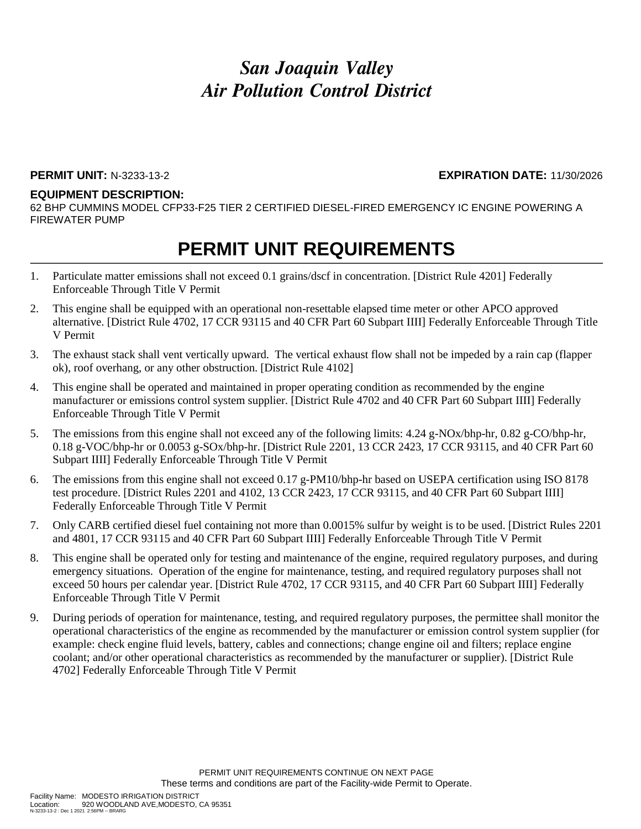#### **PERMIT UNIT:** N-3233-13-2 **EXPIRATION DATE:** 11/30/2026

#### **EQUIPMENT DESCRIPTION:**

62 BHP CUMMINS MODEL CFP33-F25 TIER 2 CERTIFIED DIESEL-FIRED EMERGENCY IC ENGINE POWERING A FIREWATER PUMP

- 1. Particulate matter emissions shall not exceed 0.1 grains/dscf in concentration. [District Rule 4201] Federally Enforceable Through Title V Permit
- 2. This engine shall be equipped with an operational non-resettable elapsed time meter or other APCO approved alternative. [District Rule 4702, 17 CCR 93115 and 40 CFR Part 60 Subpart IIII] Federally Enforceable Through Title V Permit
- 3. The exhaust stack shall vent vertically upward. The vertical exhaust flow shall not be impeded by a rain cap (flapper ok), roof overhang, or any other obstruction. [District Rule 4102]
- 4. This engine shall be operated and maintained in proper operating condition as recommended by the engine manufacturer or emissions control system supplier. [District Rule 4702 and 40 CFR Part 60 Subpart IIII] Federally Enforceable Through Title V Permit
- 5. The emissions from this engine shall not exceed any of the following limits: 4.24 g-NOx/bhp-hr, 0.82 g-CO/bhp-hr, 0.18 g-VOC/bhp-hr or 0.0053 g-SOx/bhp-hr. [District Rule 2201, 13 CCR 2423, 17 CCR 93115, and 40 CFR Part 60 Subpart IIII] Federally Enforceable Through Title V Permit
- 6. The emissions from this engine shall not exceed 0.17 g-PM10/bhp-hr based on USEPA certification using ISO 8178 test procedure. [District Rules 2201 and 4102, 13 CCR 2423, 17 CCR 93115, and 40 CFR Part 60 Subpart IIII] Federally Enforceable Through Title V Permit
- 7. Only CARB certified diesel fuel containing not more than 0.0015% sulfur by weight is to be used. [District Rules 2201 and 4801, 17 CCR 93115 and 40 CFR Part 60 Subpart IIII] Federally Enforceable Through Title V Permit
- 8. This engine shall be operated only for testing and maintenance of the engine, required regulatory purposes, and during emergency situations. Operation of the engine for maintenance, testing, and required regulatory purposes shall not exceed 50 hours per calendar year. [District Rule 4702, 17 CCR 93115, and 40 CFR Part 60 Subpart IIII] Federally Enforceable Through Title V Permit
- 9. During periods of operation for maintenance, testing, and required regulatory purposes, the permittee shall monitor the operational characteristics of the engine as recommended by the manufacturer or emission control system supplier (for example: check engine fluid levels, battery, cables and connections; change engine oil and filters; replace engine coolant; and/or other operational characteristics as recommended by the manufacturer or supplier). [District Rule 4702] Federally Enforceable Through Title V Permit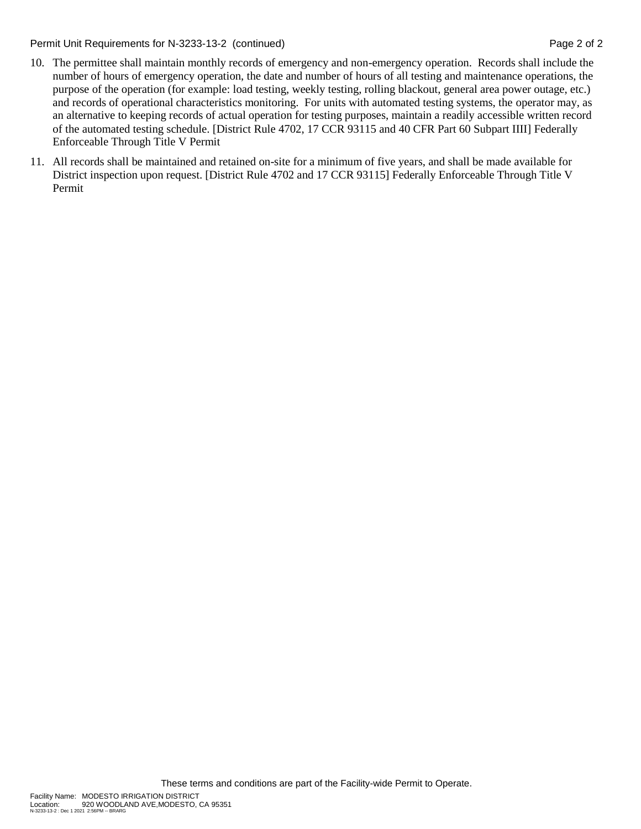Permit Unit Requirements for N-3233-13-2 (continued) **Page 2** of 2

- 10. The permittee shall maintain monthly records of emergency and non-emergency operation. Records shall include the number of hours of emergency operation, the date and number of hours of all testing and maintenance operations, the purpose of the operation (for example: load testing, weekly testing, rolling blackout, general area power outage, etc.) and records of operational characteristics monitoring. For units with automated testing systems, the operator may, as an alternative to keeping records of actual operation for testing purposes, maintain a readily accessible written record of the automated testing schedule. [District Rule 4702, 17 CCR 93115 and 40 CFR Part 60 Subpart IIII] Federally Enforceable Through Title V Permit
- 11. All records shall be maintained and retained on-site for a minimum of five years, and shall be made available for District inspection upon request. [District Rule 4702 and 17 CCR 93115] Federally Enforceable Through Title V Permit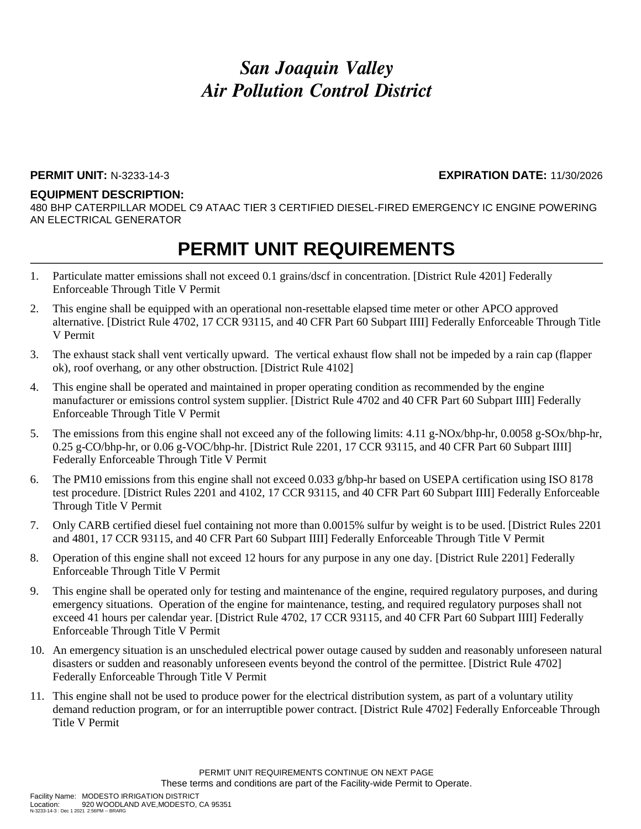### **PERMIT UNIT:** N-3233-14-3 **EXPIRATION DATE:** 11/30/2026

#### **EQUIPMENT DESCRIPTION:**

480 BHP CATERPILLAR MODEL C9 ATAAC TIER 3 CERTIFIED DIESEL-FIRED EMERGENCY IC ENGINE POWERING AN ELECTRICAL GENERATOR

- 1. Particulate matter emissions shall not exceed 0.1 grains/dscf in concentration. [District Rule 4201] Federally Enforceable Through Title V Permit
- 2. This engine shall be equipped with an operational non-resettable elapsed time meter or other APCO approved alternative. [District Rule 4702, 17 CCR 93115, and 40 CFR Part 60 Subpart IIII] Federally Enforceable Through Title V Permit
- 3. The exhaust stack shall vent vertically upward. The vertical exhaust flow shall not be impeded by a rain cap (flapper ok), roof overhang, or any other obstruction. [District Rule 4102]
- 4. This engine shall be operated and maintained in proper operating condition as recommended by the engine manufacturer or emissions control system supplier. [District Rule 4702 and 40 CFR Part 60 Subpart IIII] Federally Enforceable Through Title V Permit
- 5. The emissions from this engine shall not exceed any of the following limits: 4.11 g-NOx/bhp-hr, 0.0058 g-SOx/bhp-hr, 0.25 g-CO/bhp-hr, or 0.06 g-VOC/bhp-hr. [District Rule 2201, 17 CCR 93115, and 40 CFR Part 60 Subpart IIII] Federally Enforceable Through Title V Permit
- 6. The PM10 emissions from this engine shall not exceed 0.033  $g/b$ hp-hr based on USEPA certification using ISO 8178 test procedure. [District Rules 2201 and 4102, 17 CCR 93115, and 40 CFR Part 60 Subpart IIII] Federally Enforceable Through Title V Permit
- 7. Only CARB certified diesel fuel containing not more than 0.0015% sulfur by weight is to be used. [District Rules 2201 and 4801, 17 CCR 93115, and 40 CFR Part 60 Subpart IIII] Federally Enforceable Through Title V Permit
- 8. Operation of this engine shall not exceed 12 hours for any purpose in any one day. [District Rule 2201] Federally Enforceable Through Title V Permit
- 9. This engine shall be operated only for testing and maintenance of the engine, required regulatory purposes, and during emergency situations. Operation of the engine for maintenance, testing, and required regulatory purposes shall not exceed 41 hours per calendar year. [District Rule 4702, 17 CCR 93115, and 40 CFR Part 60 Subpart IIII] Federally Enforceable Through Title V Permit
- 10. An emergency situation is an unscheduled electrical power outage caused by sudden and reasonably unforeseen natural disasters or sudden and reasonably unforeseen events beyond the control of the permittee. [District Rule 4702] Federally Enforceable Through Title V Permit
- 11. This engine shall not be used to produce power for the electrical distribution system, as part of a voluntary utility demand reduction program, or for an interruptible power contract. [District Rule 4702] Federally Enforceable Through Title V Permit